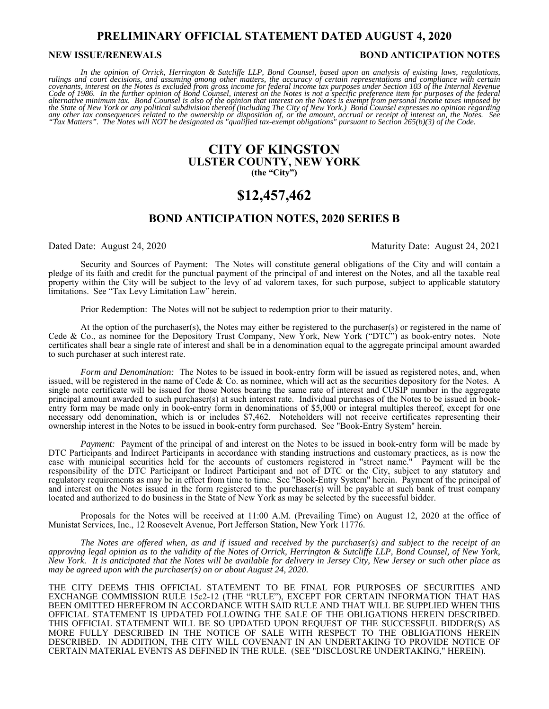# **PRELIMINARY OFFICIAL STATEMENT DATED AUGUST 4, 2020**

#### **NEW ISSUE/RENEWALS BOND ANTICIPATION NOTES**

In the opinion of Orrick, Herrington & Sutcliffe LLP, Bond Counsel, based upon an analysis of existing laws, regulations,<br>rulings and court decisions, and assuming among other matters, the accuracy of certain representatio *covenants, interest on the Notes is excluded from gross income for federal income tax purposes under Section 103 of the Internal Revenue*<br>Code of 1986. In the further opinion of Bond Counsel, interest on the Notes is not alternative minimum tax. Bond Counsel is also of the opinion that interest on the Notes is exempt from personal income taxes imposed by<br>the State of New York or any political subdivision thereof (including The City of New any other tax consequences related to the ownership or disposition of, or the amount, accrual or receipt of interest on, the Notes. See<br>"Tax Matters". The Notes will NOT be designated as "qualified tax-exempt obligations"

# **CITY OF KINGSTON ULSTER COUNTY, NEW YORK (the "City")**

# **\$12,457,462**

# **BOND ANTICIPATION NOTES, 2020 SERIES B**

#### Dated Date: August 24, 2020 Maturity Date: August 24, 2021

 Security and Sources of Payment: The Notes will constitute general obligations of the City and will contain a pledge of its faith and credit for the punctual payment of the principal of and interest on the Notes, and all the taxable real property within the City will be subject to the levy of ad valorem taxes, for such purpose, subject to applicable statutory limitations. See "Tax Levy Limitation Law" herein.

Prior Redemption: The Notes will not be subject to redemption prior to their maturity.

 At the option of the purchaser(s), the Notes may either be registered to the purchaser(s) or registered in the name of Cede & Co., as nominee for the Depository Trust Company, New York, New York ("DTC") as book-entry notes. Note certificates shall bear a single rate of interest and shall be in a denomination equal to the aggregate principal amount awarded to such purchaser at such interest rate.

*Form and Denomination:* The Notes to be issued in book-entry form will be issued as registered notes, and, when issued, will be registered in the name of Cede & Co. as nominee, which will act as the securities depository for the Notes. A single note certificate will be issued for those Notes bearing the same rate of interest and CUSIP number in the aggregate principal amount awarded to such purchaser(s) at such interest rate. Individual purchases of the Notes to be issued in bookentry form may be made only in book-entry form in denominations of \$5,000 or integral multiples thereof, except for one necessary odd denomination, which is or includes \$7,462. Noteholders will not receive certificates representing their ownership interest in the Notes to be issued in book-entry form purchased. See "Book-Entry System" herein.

*Payment:* Payment of the principal of and interest on the Notes to be issued in book-entry form will be made by DTC Participants and Indirect Participants in accordance with standing instructions and customary practices, as is now the case with municipal securities held for the accounts of customers registered in "street name." Payment will be the responsibility of the DTC Participant or Indirect Participant and not of DTC or the City, subject to any statutory and regulatory requirements as may be in effect from time to time. See "Book-Entry System" herein. Payment of the principal of and interest on the Notes issued in the form registered to the purchaser(s) will be payable at such bank of trust company located and authorized to do business in the State of New York as may be selected by the successful bidder.

Proposals for the Notes will be received at 11:00 A.M. (Prevailing Time) on August 12, 2020 at the office of Munistat Services, Inc., 12 Roosevelt Avenue, Port Jefferson Station, New York 11776.

*The Notes are offered when, as and if issued and received by the purchaser(s) and subject to the receipt of an approving legal opinion as to the validity of the Notes of Orrick, Herrington & Sutcliffe LLP, Bond Counsel, of New York, New York. It is anticipated that the Notes will be available for delivery in Jersey City, New Jersey or such other place as may be agreed upon with the purchaser(s) on or about August 24, 2020.* 

THE CITY DEEMS THIS OFFICIAL STATEMENT TO BE FINAL FOR PURPOSES OF SECURITIES AND EXCHANGE COMMISSION RULE 15c2-12 (THE "RULE"), EXCEPT FOR CERTAIN INFORMATION THAT HAS BEEN OMITTED HEREFROM IN ACCORDANCE WITH SAID RULE AND THAT WILL BE SUPPLIED WHEN THIS OFFICIAL STATEMENT IS UPDATED FOLLOWING THE SALE OF THE OBLIGATIONS HEREIN DESCRIBED. THIS OFFICIAL STATEMENT WILL BE SO UPDATED UPON REQUEST OF THE SUCCESSFUL BIDDER(S) AS MORE FULLY DESCRIBED IN THE NOTICE OF SALE WITH RESPECT TO THE OBLIGATIONS HEREIN DESCRIBED. IN ADDITION, THE CITY WILL COVENANT IN AN UNDERTAKING TO PROVIDE NOTICE OF CERTAIN MATERIAL EVENTS AS DEFINED IN THE RULE. (SEE "DISCLOSURE UNDERTAKING," HEREIN).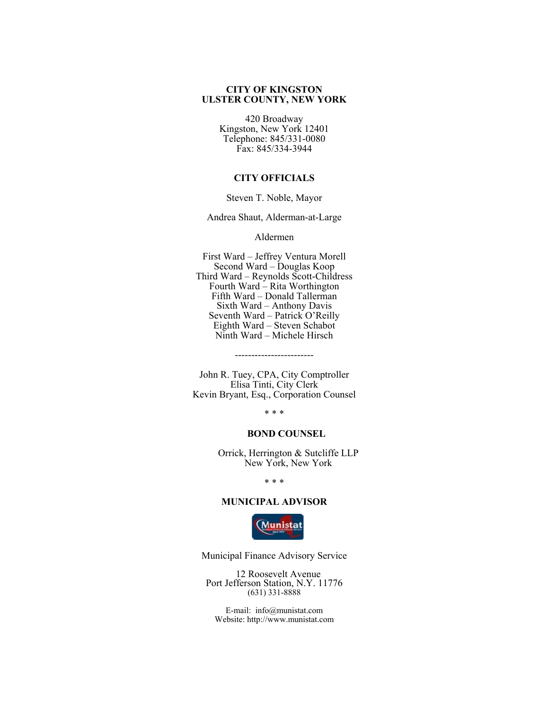# **CITY OF KINGSTON ULSTER COUNTY, NEW YORK**

420 Broadway Kingston, New York 12401 Telephone: 845/331-0080 Fax: 845/334-3944

# **CITY OFFICIALS**

Steven T. Noble, Mayor

Andrea Shaut, Alderman-at-Large

Aldermen

First Ward – Jeffrey Ventura Morell Second Ward – Douglas Koop Third Ward – Reynolds Scott-Childress Fourth Ward – Rita Worthington Fifth Ward – Donald Tallerman Sixth Ward – Anthony Davis Seventh Ward – Patrick O'Reilly Eighth Ward – Steven Schabot Ninth Ward – Michele Hirsch

John R. Tuey, CPA, City Comptroller Elisa Tinti, City Clerk Kevin Bryant, Esq., Corporation Counsel

------------------------

\* \* \*

# **BOND COUNSEL**

Orrick, Herrington & Sutcliffe LLP New York, New York

\* \* \*

#### **MUNICIPAL ADVISOR**



Municipal Finance Advisory Service

12 Roosevelt Avenue Port Jefferson Station, N.Y. 11776 (631) 331-8888

E-mail: info@munistat.com Website: http://www.munistat.com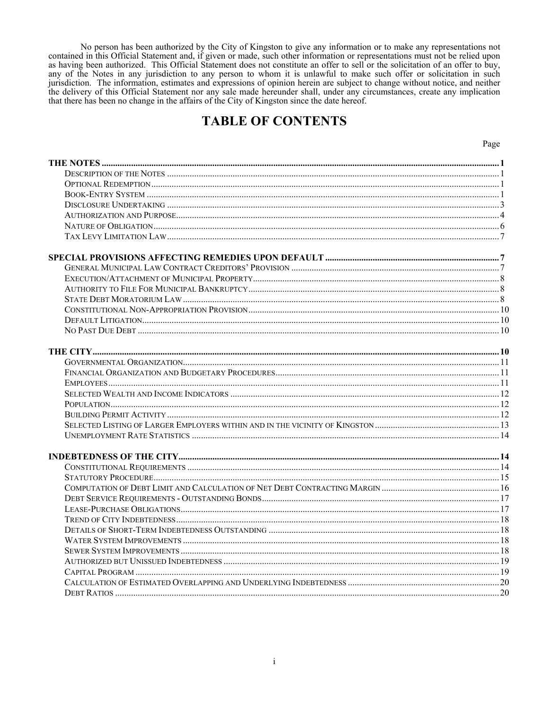No person has been authorized by the City of Kingston to give any information or to make any representations not<br>contained in this Official Statement and, if given or made, such other information or representations must no as having been authorized. This Official Statement does not constitute an offer to sell or the solicitation of an offer to buy, any of the Notes in any jurisdiction to any person to whom it is unlawful to make such offer or solicitation in such jurisdiction. The information, estimates and expressions of opinion herein are subject to change without notice, and neither the delivery of this Official Statement nor any sale made hereunder shall, under any circumstance that there has been no change in the affairs of the City of Kingston since the date hereof.

# **TABLE OF CONTENTS**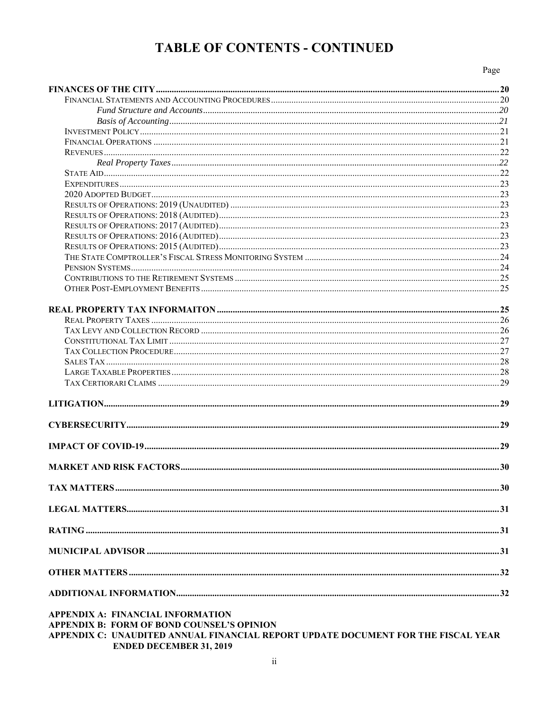# **TABLE OF CONTENTS - CONTINUED**

Page

| <b>APPENDIX A: FINANCIAL INFORMATION</b><br><b>APPENDIX B: FORM OF BOND COUNSEL'S OPINION</b><br>APPENDIX C: UNAUDITED ANNUAL FINANCIAL REPORT UPDATE DOCUMENT FOR THE FISCAL YEAR |  |
|------------------------------------------------------------------------------------------------------------------------------------------------------------------------------------|--|

**ENDED DECEMBER 31, 2019**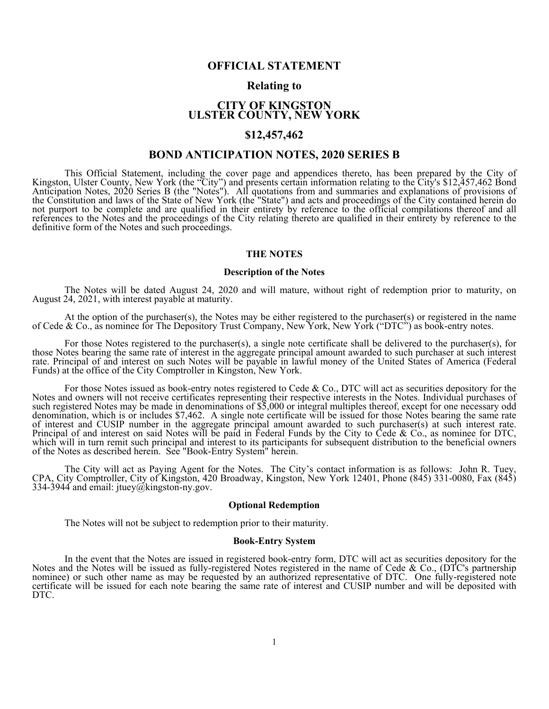# **OFFICIAL STATEMENT**

# **Relating to**

# **CITY OF KINGSTON ULSTER COUNTY, NEW YORK**

# **\$12,457,462**

# **BOND ANTICIPATION NOTES, 2020 SERIES B**

This Official Statement, including the cover page and appendices thereto, has been prepared by the City of Kingston, Ulster County, New York (the "City") and presents certain information relating to the City's \$12,457,462

#### **THE NOTES**

#### **Description of the Notes**

The Notes will be dated August 24, 2020 and will mature, without right of redemption prior to maturity, on August 24, 2021, with interest payable at maturity.

At the option of the purchaser(s), the Notes may be either registered to the purchaser(s) or registered in the name of Cede & Co., as nominee for The Depository Trust Company, New York, New York ("DTC") as book-entry notes.

For those Notes registered to the purchaser(s), a single note certificate shall be delivered to the purchaser(s), for<br>those Notes bearing the same rate of interest in the aggregate principal amount awarded to such purchase

For those Notes issued as book-entry notes registered to Cede & Co., DTC will act as securities depository for the<br>Notes and owners will not receive certificates representing their respective interests in the Notes. Indivi of the Notes as described herein. See "Book-Entry System" herein.

The City will act as Paying Agent for the Notes. The City's contact information is as follows: John R. Tuey, CPA, City Comptroller, City of Kingston, 420 Broadway, Kingston, New York 12401, Phone (845) 331-0080, Fax (845)

#### **Optional Redemption**

The Notes will not be subject to redemption prior to their maturity.

#### **Book-Entry System**

In the event that the Notes are issued in registered book-entry form, DTC will act as securities depository for the Notes and the Notes will be issued as fully-registered Notes registered in the name of Cede & Co., (DTC's DTC.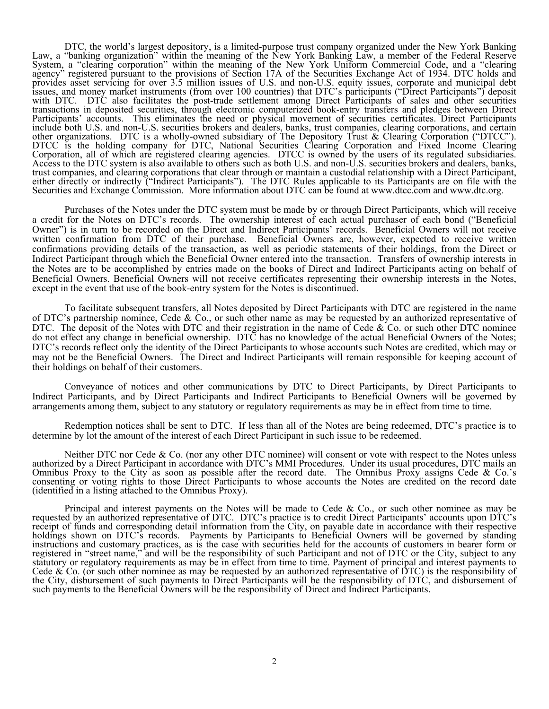DTC, the world's largest depository, is a limited-purpose trust company organized under the New York Banking<br>Law, a "banking organization" within the meaning of the New York Banking Law, a member of the Federal Reserve<br>Sys either directly or indirectly ("Indirect Participants"). The DTC Rules applicable to its Participants are on file with the Securities and Exchange Commission. More information about DTC can be found at www.dtcc.com and www

 Purchases of the Notes under the DTC system must be made by or through Direct Participants, which will receive a credit for the Notes on DTC's records. The ownership interest of each actual purchaser of each bond ("Beneficial Owner") is in turn to be recorded on the Direct and Indirect Participants' records. Beneficial Owners will not receive written confirmation from DTC of their purchase. Beneficial Owners are, however, expected to receive written confirmations providing details of the transaction, as well as periodic statements of their holdings, from the Direct or Indirect Participant through which the Beneficial Owner entered into the transaction. Transfers of ownership interests in the Notes are to be accomplished by entries made on the books of Direct and Indirect Participants acting on behalf of Beneficial Owners. Beneficial Owners will not receive certificates representing their ownership interests in the Notes, except in the event that use of the book-entry system for the Notes is discontinued.

 To facilitate subsequent transfers, all Notes deposited by Direct Participants with DTC are registered in the name of DTC's partnership nominee, Cede & Co., or such other name as may be requested by an authorized representative of DTC. The deposit of the Notes with DTC and their registration in the name of Cede & Co. or such other DTC nominee do not effect any change in beneficial ownership. DTC has no knowledge of the actual Beneficial Owners of the Notes; DTC's records reflect only the identity of the Direct Participants to whose accounts such Notes are credited, which may or may not be the Beneficial Owners. The Direct and Indirect Participants will remain responsible for keeping account of their holdings on behalf of their customers.

 Conveyance of notices and other communications by DTC to Direct Participants, by Direct Participants to Indirect Participants, and by Direct Participants and Indirect Participants to Beneficial Owners will be governed by arrangements among them, subject to any statutory or regulatory requirements as may be in effect from time to time.

 Redemption notices shall be sent to DTC. If less than all of the Notes are being redeemed, DTC's practice is to determine by lot the amount of the interest of each Direct Participant in such issue to be redeemed.

Neither DTC nor Cede & Co. (nor any other DTC nominee) will consent or vote with respect to the Notes unless<br>authorized by a Direct Participant in accordance with DTC's MMI Procedures. Under its usual procedures, DTC mails (identified in a listing attached to the Omnibus Proxy).

Principal and interest payments on the Notes will be made to Cede & Co., or such other nominee as may be requested by an authorized representative of DTC. DTC's practice is to credit Direct Participants' accounts upon DTC' registered in "street name," and will be the responsibility of such Participant and not of DTC or the City, subject to any<br>statutory or regulatory requirements as may be in effect from time to time. Payment of principal an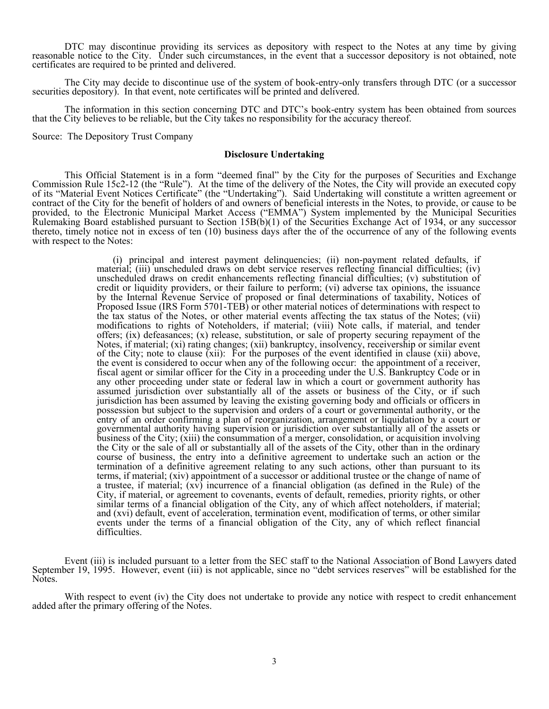DTC may discontinue providing its services as depository with respect to the Notes at any time by giving<br>reasonable notice to the City. Under such circumstances, in the event that a successor depository is not obtained, no

The City may decide to discontinue use of the system of book-entry-only transfers through DTC (or a successor securities depository). In that event, note certificates will be printed and delivered.

The information in this section concerning DTC and DTC's book-entry system has been obtained from sources that the City believes to be reliable, but the City takes no responsibility for the accuracy thereof.

Source: The Depository Trust Company

#### **Disclosure Undertaking**

 This Official Statement is in a form "deemed final" by the City for the purposes of Securities and Exchange Commission Rule 15c2-12 (the "Rule"). At the time of the delivery of the Notes, the City will provide an executed copy of its "Material Event Notices Certificate" (the "Undertaking"). Said Undertaking will constitute a written agreement or contract of the City for the benefit of holders of and owners of beneficial interests in the Notes, to provide, or cause to be provided, to the Electronic Municipal Market Access ("EMMA") System implemented by the Municipal Securities Rulemaking Board established pursuant to Section 15B(b)(1) of the Securities Exchange Act of 1934, or any successor thereto, timely notice not in excess of ten (10) business days after the of the occurrence of any of the following events with respect to the Notes:

> (i) principal and interest payment delinquencies; (ii) non-payment related defaults, if material; (iii) unscheduled draws on debt service reserves reflecting financial difficulties; (iv) unscheduled draws on credit enhancements reflecting financial difficulties; (v) substitution of credit or liquidity providers, or their failure to perform; (vi) adverse tax opinions, the issuance by the Internal Revenue Service of proposed or final determinations of taxability, Notices of Proposed Issue (IRS Form 5701-TEB) or other material notices of determinations with respect to the tax status of the Notes, or other material events affecting the tax status of the Notes; (vii) modifications to rights of Noteholders, if material; (viii) Note calls, if material, and tender offers; (ix) defeasances; (x) release, substitution, or sale of property securing repayment of the Notes, if material; (xi) rating changes; (xii) bankruptcy, insolvency, receivership or similar event of the City; note to clause (xii): For the purposes of the event identified in clause (xii) above, the event is considered to occur when any of the following occur: the appointment of a receiver, fiscal agent or similar officer for the City in a proceeding under the U.S. Bankruptcy Code or in any other proceeding under state or federal law in which a court or government authority has assumed jurisdiction over substantially all of the assets or business of the City, or if such jurisdiction has been assumed by leaving the existing governing body and officials or officers in possession but subject to the supervision and orders of a court or governmental authority, or the entry of an order confirming a plan of reorganization, arrangement or liquidation by a court or governmental authority having supervision or jurisdiction over substantially all of the assets or business of the City; (xiii) the consummation of a merger, consolidation, or acquisition involving the City or the sale of all or substantially all of the assets of the City, other than in the ordinary course of business, the entry into a definitive agreement to undertake such an action or the termination of a definitive agreement relating to any such actions, other than pursuant to its terms, if material; (xiv) appointment of a successor or additional trustee or the change of name of a trustee, if material;  $\langle xv \rangle$  incurrence of a financial obligation (as defined in the Rule) of the City, if material, or agreement to covenants, events of default, remedies, priority rights, or other similar terms of a financial obligation of the City, any of which affect noteholders, if material; and (xvi) default, event of acceleration, termination event, modification of terms, or other similar events under the terms of a financial obligation of the City, any of which reflect financial difficulties.

Event (iii) is included pursuant to a letter from the SEC staff to the National Association of Bond Lawyers dated<br>September 19, 1995. However, event (iii) is not applicable, since no "debt services reserves" will be establ Notes.

With respect to event (iv) the City does not undertake to provide any notice with respect to credit enhancement added after the primary offering of the Notes.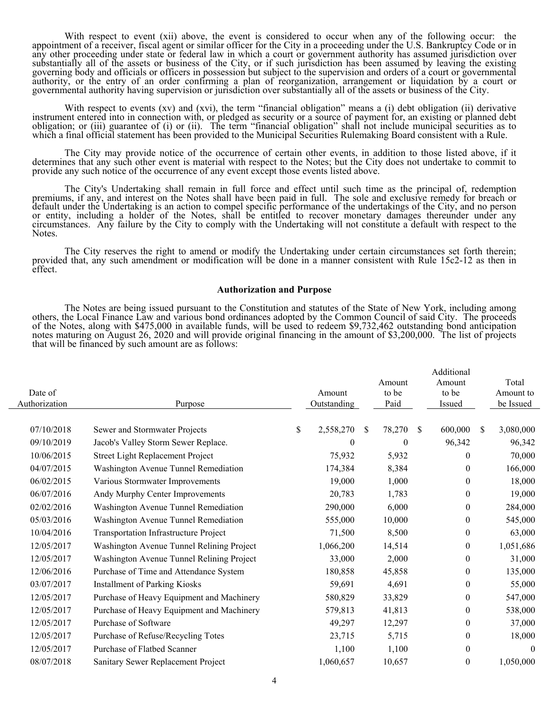With respect to event (xii) above, the event is considered to occur when any of the following occur: the appointment of a receiver, fiscal agent or similar officer for the City in a proceeding under the U.S. Bankruptcy Cod

With respect to events (xv) and (xvi), the term "financial obligation" means a (i) debt obligation (ii) derivative<br>instrument entered into in connection with, or pledged as security or a source of payment for, an existing

 The City may provide notice of the occurrence of certain other events, in addition to those listed above, if it determines that any such other event is material with respect to the Notes; but the City does not undertake to commit to provide any such notice of the occurrence of any event except those events listed above.

The City's Undertaking shall remain in full force and effect until such time as the principal of, redemption<br>premiums, if any, and interest on the Notes shall have been paid in full. The sole and exclusive remedy for breac Notes.

 The City reserves the right to amend or modify the Undertaking under certain circumstances set forth therein; provided that, any such amendment or modification will be done in a manner consistent with Rule 15c2-12 as then in effect.

#### **Authorization and Purpose**

The Notes are being issued pursuant to the Constitution and statutes of the State of New York, including among<br>others, the Local Finance Law and various bond ordinances adopted by the Common Council of said City. The proce

|               |                                           |                 |               |          |              | Additional     |               |           |
|---------------|-------------------------------------------|-----------------|---------------|----------|--------------|----------------|---------------|-----------|
|               |                                           |                 |               | Amount   |              | Amount         |               | Total     |
| Date of       |                                           | Amount          |               | to be    |              | to be          |               | Amount to |
| Authorization | Purpose                                   | Outstanding     |               | Paid     |              | Issued         |               | be Issued |
|               |                                           |                 |               |          |              |                |               |           |
| 07/10/2018    | Sewer and Stormwater Projects             | \$<br>2,558,270 | <sup>\$</sup> | 78,270   | <sup>S</sup> | 600,000        | <sup>\$</sup> | 3,080,000 |
| 09/10/2019    | Jacob's Valley Storm Sewer Replace.       | $\overline{0}$  |               | $\theta$ |              | 96,342         |               | 96,342    |
| 10/06/2015    | Street Light Replacement Project          | 75,932          |               | 5,932    |              | $\overline{0}$ |               | 70,000    |
| 04/07/2015    | Washington Avenue Tunnel Remediation      | 174,384         |               | 8,384    |              | $\theta$       |               | 166,000   |
| 06/02/2015    | Various Stormwater Improvements           | 19,000          |               | 1,000    |              | $\theta$       |               | 18,000    |
| 06/07/2016    | Andy Murphy Center Improvements           | 20,783          |               | 1,783    |              | $\mathbf{0}$   |               | 19,000    |
| 02/02/2016    | Washington Avenue Tunnel Remediation      | 290,000         |               | 6,000    |              | $\overline{0}$ |               | 284,000   |
| 05/03/2016    | Washington Avenue Tunnel Remediation      | 555,000         |               | 10,000   |              | $\overline{0}$ |               | 545,000   |
| 10/04/2016    | Transportation Infrastructure Project     | 71,500          |               | 8,500    |              | $\mathbf{0}$   |               | 63,000    |
| 12/05/2017    | Washington Avenue Tunnel Relining Project | 1,066,200       |               | 14,514   |              | $\overline{0}$ |               | 1,051,686 |
| 12/05/2017    | Washington Avenue Tunnel Relining Project | 33,000          |               | 2,000    |              | $\mathbf{0}$   |               | 31,000    |
| 12/06/2016    | Purchase of Time and Attendance System    | 180,858         |               | 45,858   |              | $\overline{0}$ |               | 135,000   |
| 03/07/2017    | <b>Installment of Parking Kiosks</b>      | 59,691          |               | 4,691    |              | $\mathbf{0}$   |               | 55,000    |
| 12/05/2017    | Purchase of Heavy Equipment and Machinery | 580,829         |               | 33,829   |              | $\theta$       |               | 547,000   |
| 12/05/2017    | Purchase of Heavy Equipment and Machinery | 579,813         |               | 41,813   |              | $\theta$       |               | 538,000   |
| 12/05/2017    | Purchase of Software                      | 49,297          |               | 12,297   |              | $\overline{0}$ |               | 37,000    |
| 12/05/2017    | Purchase of Refuse/Recycling Totes        | 23,715          |               | 5,715    |              | $\mathbf{0}$   |               | 18,000    |
| 12/05/2017    | Purchase of Flatbed Scanner               | 1,100           |               | 1,100    |              | $\mathbf{0}$   |               | $\theta$  |
| 08/07/2018    | Sanitary Sewer Replacement Project        | 1,060,657       |               | 10,657   |              | $\mathbf{0}$   |               | 1,050,000 |
|               |                                           |                 |               |          |              |                |               |           |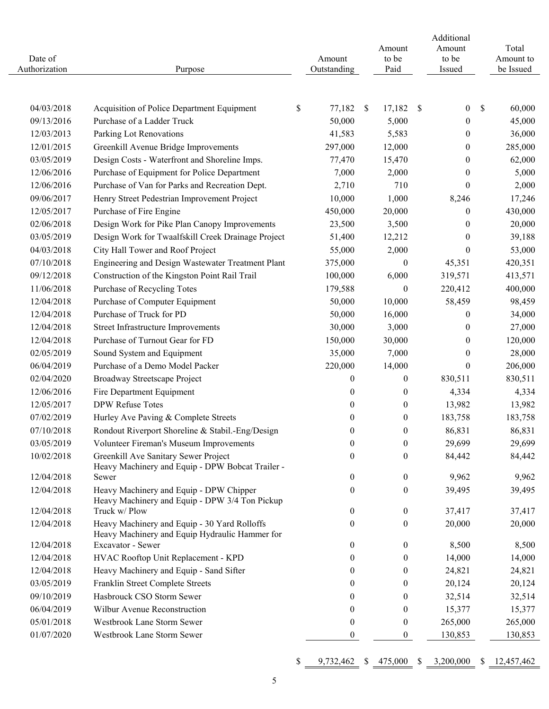| Date of<br>Authorization | Purpose                                                                                                             | Amount<br>Outstanding |    | Amount<br>to be<br>Paid        |    | Additional<br>Amount<br>to be<br>Issued | Total<br>Amount to<br>be Issued |
|--------------------------|---------------------------------------------------------------------------------------------------------------------|-----------------------|----|--------------------------------|----|-----------------------------------------|---------------------------------|
| 04/03/2018               | Acquisition of Police Department Equipment                                                                          | \$<br>77,182          | -S | 17,182                         | -S | $\boldsymbol{0}$                        | \$<br>60,000                    |
| 09/13/2016               | Purchase of a Ladder Truck                                                                                          | 50,000                |    | 5,000                          |    | $\boldsymbol{0}$                        | 45,000                          |
| 12/03/2013               | Parking Lot Renovations                                                                                             | 41,583                |    | 5,583                          |    | $\boldsymbol{0}$                        | 36,000                          |
| 12/01/2015               | Greenkill Avenue Bridge Improvements                                                                                | 297,000               |    | 12,000                         |    | $\boldsymbol{0}$                        | 285,000                         |
| 03/05/2019               | Design Costs - Waterfront and Shoreline Imps.                                                                       | 77,470                |    | 15,470                         |    | $\boldsymbol{0}$                        | 62,000                          |
| 12/06/2016               | Purchase of Equipment for Police Department                                                                         | 7,000                 |    | 2,000                          |    | $\boldsymbol{0}$                        | 5,000                           |
| 12/06/2016               | Purchase of Van for Parks and Recreation Dept.                                                                      | 2,710                 |    | 710                            |    | $\mathbf{0}$                            | 2,000                           |
| 09/06/2017               | Henry Street Pedestrian Improvement Project                                                                         | 10,000                |    | 1,000                          |    | 8,246                                   | 17,246                          |
| 12/05/2017               | Purchase of Fire Engine                                                                                             | 450,000               |    | 20,000                         |    | $\boldsymbol{0}$                        | 430,000                         |
| 02/06/2018               | Design Work for Pike Plan Canopy Improvements                                                                       | 23,500                |    | 3,500                          |    | $\boldsymbol{0}$                        | 20,000                          |
| 03/05/2019               | Design Work for Twaalfskill Creek Drainage Project                                                                  | 51,400                |    | 12,212                         |    | $\boldsymbol{0}$                        | 39,188                          |
| 04/03/2018               | City Hall Tower and Roof Project                                                                                    | 55,000                |    | 2,000                          |    | $\mathbf{0}$                            | 53,000                          |
| 07/10/2018               | Engineering and Design Wastewater Treatment Plant                                                                   | 375,000               |    | $\theta$                       |    | 45,351                                  | 420,351                         |
| 09/12/2018               | Construction of the Kingston Point Rail Trail                                                                       | 100,000               |    | 6,000                          |    | 319,571                                 | 413,571                         |
| 11/06/2018               | Purchase of Recycling Totes                                                                                         | 179,588               |    | $\theta$                       |    | 220,412                                 | 400,000                         |
| 12/04/2018               | Purchase of Computer Equipment                                                                                      | 50,000                |    | 10,000                         |    | 58,459                                  | 98,459                          |
| 12/04/2018               | Purchase of Truck for PD                                                                                            | 50,000                |    | 16,000                         |    | $\boldsymbol{0}$                        | 34,000                          |
| 12/04/2018               | Street Infrastructure Improvements                                                                                  | 30,000                |    | 3,000                          |    | $\boldsymbol{0}$                        | 27,000                          |
| 12/04/2018               | Purchase of Turnout Gear for FD                                                                                     | 150,000               |    | 30,000                         |    | $\boldsymbol{0}$                        | 120,000                         |
| 02/05/2019               | Sound System and Equipment                                                                                          | 35,000                |    | 7,000                          |    | $\boldsymbol{0}$                        | 28,000                          |
| 06/04/2019               | Purchase of a Demo Model Packer                                                                                     | 220,000               |    | 14,000                         |    | $\boldsymbol{0}$                        | 206,000                         |
| 02/04/2020               | Broadway Streetscape Project                                                                                        | 0                     |    | $\mathbf{0}$                   |    | 830,511                                 | 830,511                         |
| 12/06/2016               | Fire Department Equipment                                                                                           | 0                     |    | $\boldsymbol{0}$               |    | 4,334                                   | 4,334                           |
| 12/05/2017               | <b>DPW Refuse Totes</b>                                                                                             | 0                     |    | $\boldsymbol{0}$               |    | 13,982                                  | 13,982                          |
| 07/02/2019               | Hurley Ave Paving & Complete Streets                                                                                | $\boldsymbol{0}$      |    | $\boldsymbol{0}$               |    | 183,758                                 | 183,758                         |
| 07/10/2018               | Rondout Riverport Shoreline & Stabil.-Eng/Design                                                                    | $\theta$              |    | $\boldsymbol{0}$               |    | 86,831                                  | 86,831                          |
| 03/05/2019               | Volunteer Fireman's Museum Improvements                                                                             | $\boldsymbol{0}$      |    | $\mathbf{0}$                   |    | 29,699                                  | 29,699                          |
| 10/02/2018               | Greenkill Ave Sanitary Sewer Project<br>Heavy Machinery and Equip - DPW Bobcat Trailer -                            | 0                     |    | $\mathbf{0}$                   |    | 84,442                                  | 84,442                          |
| 12/04/2018               | Sewer                                                                                                               | $\boldsymbol{0}$      |    | $\mathbf{0}$                   |    | 9,962                                   | 9,962                           |
| 12/04/2018               | Heavy Machinery and Equip - DPW Chipper<br>Heavy Machinery and Equip - DPW 3/4 Ton Pickup                           | $\boldsymbol{0}$      |    | $\boldsymbol{0}$               |    | 39,495                                  | 39,495                          |
| 12/04/2018               | Truck w/ Plow                                                                                                       | $\boldsymbol{0}$      |    | $\boldsymbol{0}$               |    | 37,417                                  | 37,417                          |
| 12/04/2018<br>12/04/2018 | Heavy Machinery and Equip - 30 Yard Rolloffs<br>Heavy Machinery and Equip Hydraulic Hammer for<br>Excavator - Sewer | 0<br>$\boldsymbol{0}$ |    | $\overline{0}$<br>$\mathbf{0}$ |    | 20,000<br>8,500                         | 20,000<br>8,500                 |
| 12/04/2018               | HVAC Rooftop Unit Replacement - KPD                                                                                 | 0                     |    | $\boldsymbol{0}$               |    | 14,000                                  | 14,000                          |
|                          |                                                                                                                     |                       |    |                                |    |                                         |                                 |
| 12/04/2018               | Heavy Machinery and Equip - Sand Sifter                                                                             | 0                     |    | $\mathbf{0}$                   |    | 24,821                                  | 24,821                          |
| 03/05/2019               | Franklin Street Complete Streets                                                                                    | $\boldsymbol{0}$      |    | $\overline{0}$                 |    | 20,124                                  | 20,124                          |
| 09/10/2019<br>06/04/2019 | Hasbrouck CSO Storm Sewer<br>Wilbur Avenue Reconstruction                                                           | 0                     |    | $\mathbf{0}$                   |    | 32,514                                  | 32,514                          |
| 05/01/2018               | Westbrook Lane Storm Sewer                                                                                          | $\theta$              |    | $\overline{0}$                 |    | 15,377<br>265,000                       | 15,377                          |
| 01/07/2020               | Westbrook Lane Storm Sewer                                                                                          | $\boldsymbol{0}$      |    | $\boldsymbol{0}$               |    |                                         | 265,000                         |
|                          |                                                                                                                     | $\boldsymbol{0}$      |    | $\boldsymbol{0}$               |    | 130,853                                 | 130,853                         |

5

 $$ \underline{\hspace{1.5em}9,732,462} \hspace{1.5em} $ \underline{\hspace{1.5em}475,000} \hspace{1.5em} $ \underline{\hspace{1.5em}3,200,000} \hspace{1.5em} $ \underline{\hspace{1.5em}12,457,462} \hspace{1.5em} $$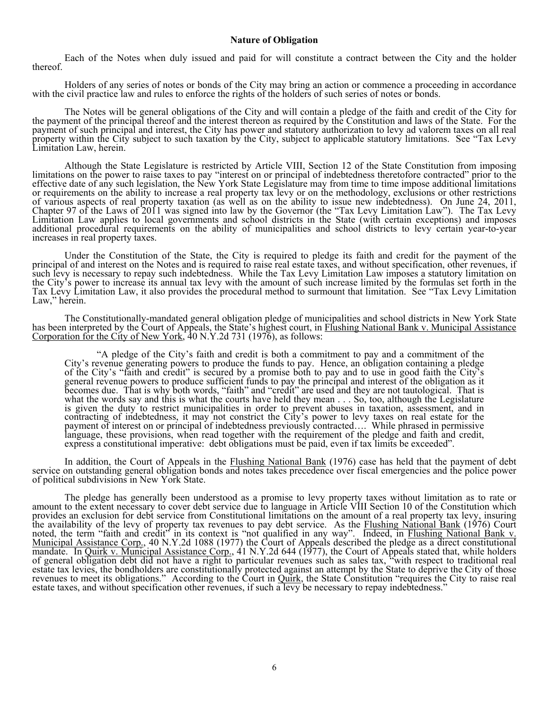#### **Nature of Obligation**

Each of the Notes when duly issued and paid for will constitute a contract between the City and the holder thereof.

Holders of any series of notes or bonds of the City may bring an action or commence a proceeding in accordance with the civil practice law and rules to enforce the rights of the holders of such series of notes or bonds.

The Notes will be general obligations of the City and will contain a pledge of the faith and credit of the City for<br>the payment of the principal thereof and the interest thereon as required by the Constitution and laws of

Although the State Legislature is restricted by Article VIII, Section 12 of the State Constitution from imposing<br>limitations on the power to raise taxes to pay "interest on or principal of indebtedness theretofore contract

Under the Constitution of the State, the City is required to pledge its faith and credit for the payment of the<br>principal of and interest on the Notes and is required to raise real estate taxes, and without specification, such levy is necessary to repay such indebtedness. While the Tax Levy Limitation Law imposes a statutory limitation on<br>the City's power to increase its annual tax levy with the amount of such increase limited by the formul

The Constitutionally-mandated general obligation pledge of municipalities and school districts in New York State<br>has been interpreted by the Court of Appeals, the State's highest court, in Flushing National Bank v. Municip

"A pledge of the City's faith and credit is both a commitment to pay and a commitment of the City's revenue generating powers to produce the funds to pay. Hence, an obligation containing a pledge of the City's "faith and c contracting of indebtedness, it may not constrict the City's power to levy taxes on real estate for the<br>payment of interest on or principal of indebtedness previously contracted.... While phrased in permissive<br>language, th

In addition, the Court of Appeals in the **Flushing National Bank** (1976) case has held that the payment of debt service on outstanding general obligation bonds and notes takes precedence over fiscal emergencies and the pol

The pledge has generally been understood as a promise to levy property taxes without limitation as to rate or<br>amount to the extent necessary to cover debt service due to language in Article VIII Section 10 of the Constitut provides an exclusion for debt service from Constitutional illustions on the amount of a real property tax levy, insuring<br>the availability of the levy of property tax revenues to pay debt service. As the Flushing National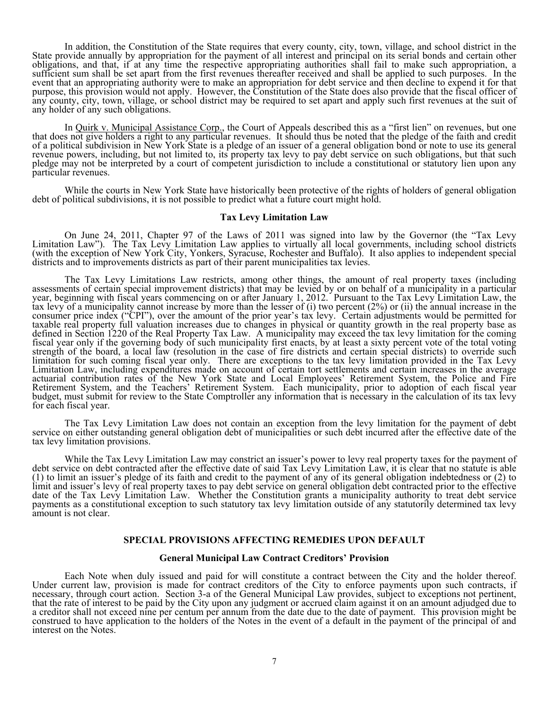In addition, the Constitution of the State requires that every county, city, town, village, and school district in the State provide annually by appropriation for the payment of all interest and principal on its serial bon

In Quirk v. Municipal Assistance Corp., the Court of Appeals described this as a "first lien" on revenues, but one that does not give holders a right to any particular revenues. It should thus be noted that the pledge of the faith and credit of a political subdivision in New York State is a pledge of an issuer of a general obligation bond or note to use its general<br>revenue powers, including, but not limited to, its property tax levy to pay debt service on such

While the courts in New York State have historically been protective of the rights of holders of general obligation debt of political subdivisions, it is not possible to predict what a future court might hold.

#### **Tax Levy Limitation Law**

On June 24, 2011, Chapter 97 of the Laws of 2011 was signed into law by the Governor (the "Tax Levy<br>Limitation Law"). The Tax Levy Limitation Law applies to virtually all local governments, including school districts<br>(with

The Tax Levy Limitations Law restricts, among other things, the amount of real property taxes (including<br>assessments of certain special improvement districts) that may be levied by or on behalf of a municipality in a parti

The Tax Levy Limitation Law does not contain an exception from the levy limitation for the payment of debt<br>service on either outstanding general obligation debt of municipalities or such debt incurred after the effective d

While the Tax Levy Limitation Law may constrict an issuer's power to levy real property taxes for the payment of debt service on debt contracted after the effective date of said Tax Levy Limitation Law, it is clear that no date of the Tax Levy Limitation Law. Whether the Constitution grants a municipality authority to treat debt service<br>payments as a constitutional exception to such statutory tax levy limitation outside of any statutorily de

#### **SPECIAL PROVISIONS AFFECTING REMEDIES UPON DEFAULT**

#### **General Municipal Law Contract Creditors' Provision**

Each Note when duly issued and paid for will constitute a contract between the City and the holder thereof.<br>Under current law, provision is made for contract creditors of the City to enforce payments upon such contracts, i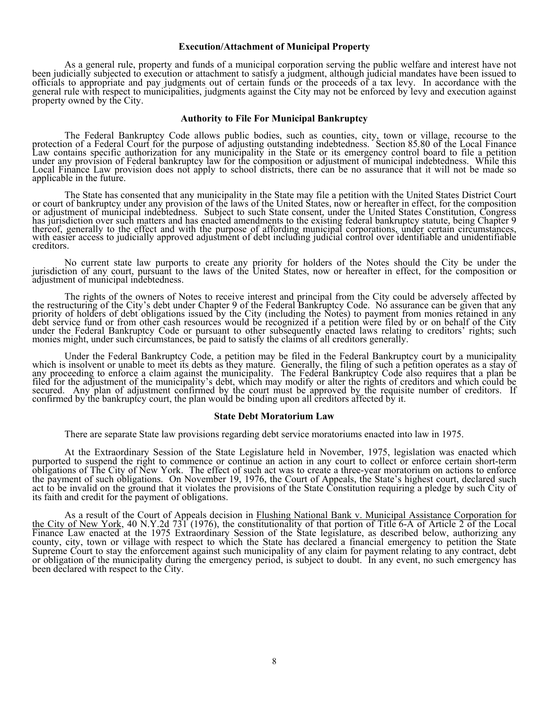#### **Execution/Attachment of Municipal Property**

As a general rule, property and funds of a municipal corporation serving the public welfare and interest have not<br>been judicially subjected to execution or attachment to satisfy a judgment, although judicial mandates have

#### **Authority to File For Municipal Bankruptcy**

The Federal Bankruptcy Code allows public bodies, such as counties, city, town or village, recourse to the protection of a Federal Court for the purpose of adjusting outstanding indebtedness. Section 85.80 of the Local Fin applicable in the future.

The State has consented that any municipality in the State may file a petition with the United States District Court<br>or court of bankruptcy under any provision of the laws of the United States, now or hereafter in effect,

No current state law purports to create any priority for holders of the Notes should the City be under the jurisdiction of any court, pursuant to the laws of the United States, now or hereafter in effect, for the compositi

The rights of the owners of Notes to receive interest and principal from the City could be adversely affected by<br>the restructuring of the City's debt under Chapter 9 of the Federal Bankruptcy Code. No assurance can be give

Under the Federal Bankruptcy Code, a petition may be filed in the Federal Bankruptcy court by a municipality<br>which is insolvent or unable to meet its debts as they mature. Generally, the filing of such a petition operates confirmed by the bankruptcy court, the plan would be binding upon all creditors affected by it.

#### **State Debt Moratorium Law**

There are separate State law provisions regarding debt service moratoriums enacted into law in 1975.

At the Extraordinary Session of the State Legislature held in November, 1975, legislation was enacted which<br>purported to suspend the right to commence or continue an action in any court to collect or enforce certain short-

As a result of the Court of Appeals decision in Flushing National Bank v. Municipal Assistance Corporation for<br>the City of New York, 40 N.Y.2d 731 (1976), the constitutionality of that portion of Title 6-A of Article 2 of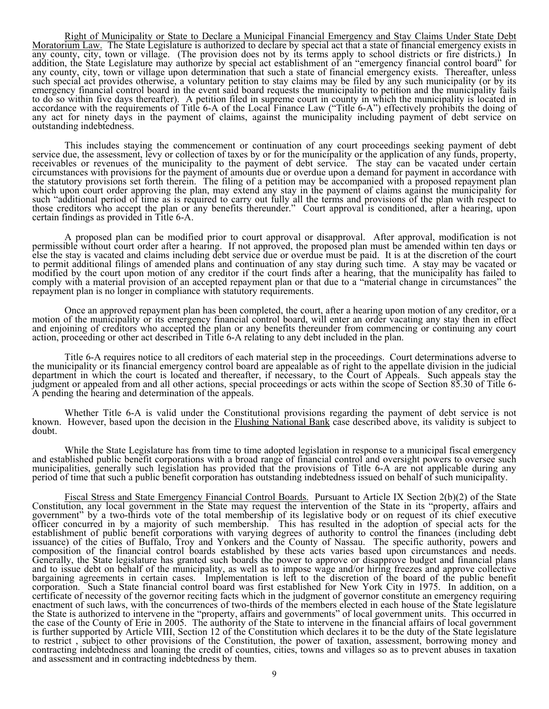Right of Municipality or State to Declare a Municipal Financial Emergency and Stay Claims Under State Debt<br>Moratorium Law. The State Legislature is authorized to declare by special act that a state of financial emergency e

This includes staying the commencement or continuation of any court proceedings seeking payment of debt<br>service due, the assessment, levy or collection of taxes by or for the municipality or the application of any funds, p

A proposed plan can be modified prior to court approval or disapproval. After approval, modification is not<br>permissible without court order after a hearing. If not approved, the proposed plan must be amended within ten day

Once an approved repayment plan has been completed, the court, after a hearing upon motion of any creditor, or a motion of the municipality or its emergency financial control board, will enter an order vacating any stay th

Title 6-A requires notice to all creditors of each material step in the proceedings. Court determinations adverse to<br>the municipality or its financial emergency control board are appealable as of right to the appellate div

Whether Title 6-A is valid under the Constitutional provisions regarding the payment of debt service is not known. However, based upon the decision in the Flushing National Bank case described above, its validity is subjec

While the State Legislature has from time to time adopted legislation in response to a municipal fiscal emergency<br>and established public benefit corporations with a broad range of financial control and oversight powers to

Fiscal Stress and State Emergency Financial Control Boards. Pursuant to Article IX Section 2(b)(2) of the State Emergency Financial Control the State in the State in the State may local government in the State may request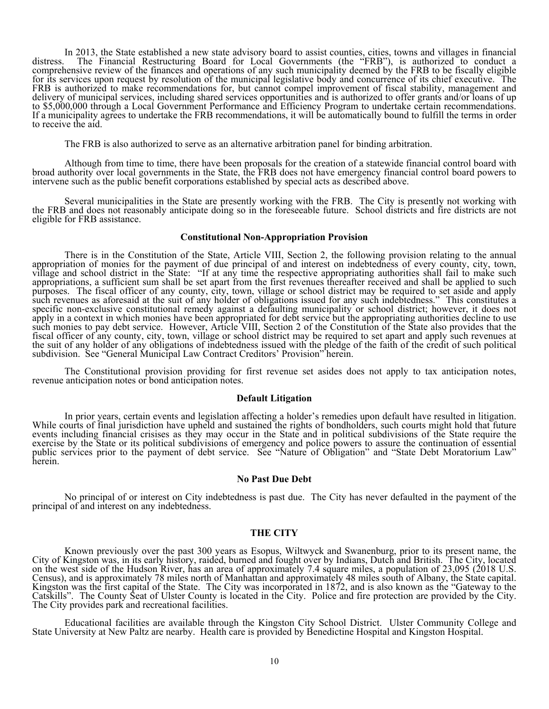In 2013, the State established a new state advisory board to assist counties, cities, towns and villages in financial<br>distress. The Financial Restructuring Board for Local Governments (the "FRB"), is authorized to conduct

The FRB is also authorized to serve as an alternative arbitration panel for binding arbitration.

 Although from time to time, there have been proposals for the creation of a statewide financial control board with broad authority over local governments in the State, the FRB does not have emergency financial control board powers to intervene such as the public benefit corporations established by special acts as described above.

Several municipalities in the State are presently working with the FRB. The City is presently not working with<br>the FRB and does not reasonably anticipate doing so in the foreseeable future. School districts and fire distri eligible for FRB assistance.

#### **Constitutional Non-Appropriation Provision**

There is in the Constitution of the State, Article VIII, Section 2, the following provision relating to the annual appropriation of monies for the payment of due principal of and interest on indebtedness of every county, c

The Constitutional provision providing for first revenue set asides does not apply to tax anticipation notes, revenue anticipation notes or bond anticipation notes.

#### **Default Litigation**

In prior years, certain events and legislation affecting a holder's remedies upon default have resulted in litigation.<br>While courts of final jurisdiction have upheld and sustained the rights of bondholders, such courts mig

#### **No Past Due Debt**

No principal of or interest on City indebtedness is past due. The City has never defaulted in the payment of the principal of and interest on any indebtedness.

### **THE CITY**

Known previously over the past 300 years as Esopus, Wiltwyck and Swanenburg, prior to its present name, the City of Kingston was, in its early history, raided, burned and fought over by Indians, Dutch and British. The City

Educational facilities are available through the Kingston City School District. Ulster Community College and State University at New Paltz are nearby. Health care is provided by Benedictine Hospital and Kingston Hospital.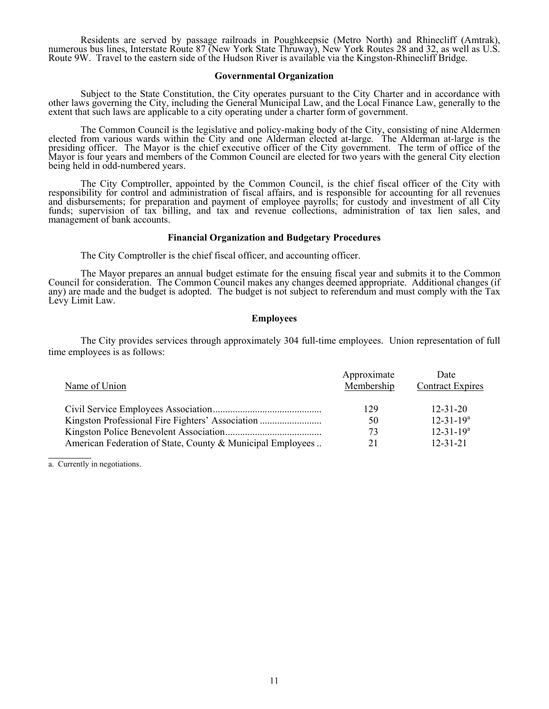Residents are served by passage railroads in Poughkeepsie (Metro North) and Rhinecliff (Amtrak), numerous bus lines, Interstate Route 87 (New York State Thruway), New York Routes 28 and 32, as well as U.S. Route 9W. Travel

#### **Governmental Organization**

Subject to the State Constitution, the City operates pursuant to the City Charter and in accordance with<br>other laws governing the City, including the General Municipal Law, and the Local Finance Law, generally to the<br>exten

The Common Council is the legislative and policy-making body of the City, consisting of nine Aldermen<br>elected from various wards within the City and one Alderman elected at-large. The Alderman at-large is the<br>presiding off

The City Comptroller, appointed by the Common Council, is the chief fiscal officer of the City with<br>responsibility for control and administration of fiscal affairs, and is responsible for accounting for all revenues<br>and di management of bank accounts.

#### **Financial Organization and Budgetary Procedures**

The City Comptroller is the chief fiscal officer, and accounting officer.

The Mayor prepares an annual budget estimate for the ensuing fiscal year and submits it to the Common<br>Council for consideration. The Common Council makes any changes deemed appropriate. Additional changes (if<br>any) are made

#### **Employees**

 The City provides services through approximately 304 full-time employees. Union representation of full time employees is as follows:

| Name of Union                                              | Approximate<br>Membership | Date<br><b>Contract Expires</b> |
|------------------------------------------------------------|---------------------------|---------------------------------|
|                                                            | 129                       | $12 - 31 - 20$                  |
|                                                            | 50                        | $12 - 31 - 19^a$                |
|                                                            | 73                        | $12 - 31 - 19^a$                |
| American Federation of State, County & Municipal Employees | 21                        | $12 - 31 - 21$                  |

a. Currently in negotiations.

l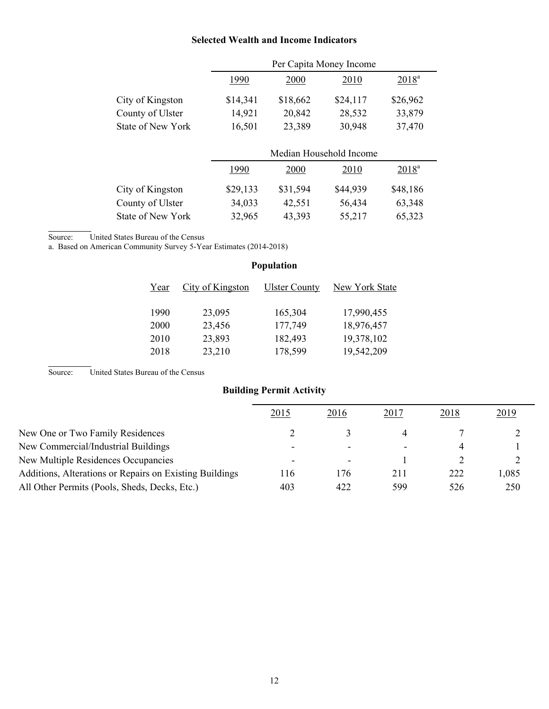# **Selected Wealth and Income Indicators**

|                   | Per Capita Money Income |          |                         |          |  |  |  |
|-------------------|-------------------------|----------|-------------------------|----------|--|--|--|
|                   | 1990                    | 2000     | 2010                    | $2018^a$ |  |  |  |
| City of Kingston  | \$14,341                | \$18,662 | \$24,117                | \$26,962 |  |  |  |
| County of Ulster  | 14,921                  | 20,842   | 28,532                  | 33,879   |  |  |  |
| State of New York | 16,501                  | 23,389   | 30,948                  | 37,470   |  |  |  |
|                   |                         |          |                         |          |  |  |  |
|                   |                         |          | Median Household Income |          |  |  |  |
|                   | 1990                    | 2000     | 2010                    | $2018^a$ |  |  |  |
| City of Kingston  | \$29,133                |          |                         |          |  |  |  |
|                   |                         | \$31,594 | \$44,939                | \$48,186 |  |  |  |
| County of Ulster  | 34,033                  | 42,551   | 56,434                  | 63,348   |  |  |  |

Source: United States Bureau of the Census

l

l

a. Based on American Community Survey 5-Year Estimates (2014-2018)

# **Population**  Year City of Kingston Ulster County New York State 1990 23,095 165,304 17,990,455 2000 23,456 177,749 18,976,457 2010 23,893 182,493 19,378,102 2018 23,210 178,599 19,542,209

Source: United States Bureau of the Census

# **Building Permit Activity**

|                                                         | 2015                     | 2016                     | 2017 | 2018 | 2019 |
|---------------------------------------------------------|--------------------------|--------------------------|------|------|------|
| New One or Two Family Residences                        |                          |                          |      |      |      |
| New Commercial/Industrial Buildings                     |                          | $\overline{\phantom{0}}$ |      | 4    |      |
| New Multiple Residences Occupancies                     | $\overline{\phantom{0}}$ | $\overline{\phantom{a}}$ |      |      |      |
| Additions, Alterations or Repairs on Existing Buildings | 16                       | 176                      | 211  | 222  | .085 |
| All Other Permits (Pools, Sheds, Decks, Etc.)           | 403                      | 422                      | 599  | 526  | 250  |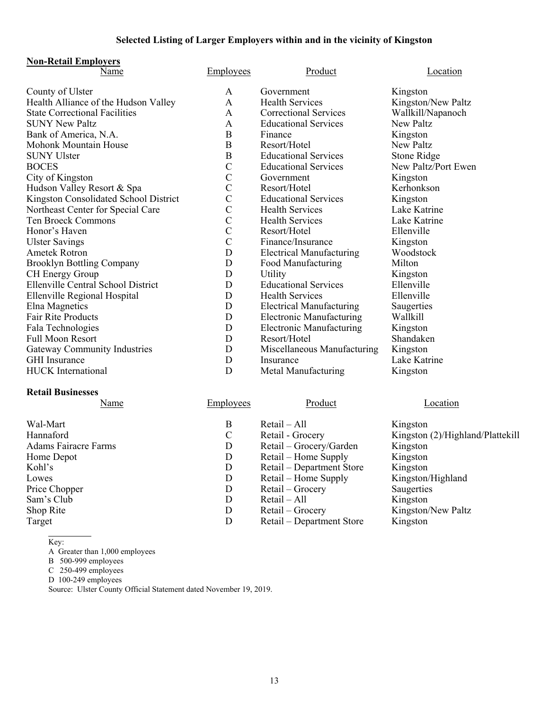# **Selected Listing of Larger Employers within and in the vicinity of Kingston**

# **Non-Retail Employers**

| Name                                  | <b>Employees</b> | Product                         | Location            |
|---------------------------------------|------------------|---------------------------------|---------------------|
| County of Ulster                      | A                | Government                      | Kingston            |
| Health Alliance of the Hudson Valley  | A                | <b>Health Services</b>          | Kingston/New Paltz  |
| <b>State Correctional Facilities</b>  | A                | <b>Correctional Services</b>    | Wallkill/Napanoch   |
| <b>SUNY New Paltz</b>                 | A                | <b>Educational Services</b>     | New Paltz           |
| Bank of America, N.A.                 | B                | Finance                         | Kingston            |
| <b>Mohonk Mountain House</b>          | $\mathbf B$      | Resort/Hotel                    | <b>New Paltz</b>    |
| <b>SUNY Ulster</b>                    | B                | <b>Educational Services</b>     | Stone Ridge         |
| <b>BOCES</b>                          | $\mathcal{C}$    | <b>Educational Services</b>     | New Paltz/Port Ewen |
| City of Kingston                      | $\mathcal{C}$    | Government                      | Kingston            |
| Hudson Valley Resort & Spa            | $\mathsf{C}$     | Resort/Hotel                    | Kerhonkson          |
| Kingston Consolidated School District | $\overline{C}$   | <b>Educational Services</b>     | Kingston            |
| Northeast Center for Special Care     | $\mathcal{C}$    | <b>Health Services</b>          | Lake Katrine        |
| <b>Ten Broeck Commons</b>             | $\mathcal{C}$    | <b>Health Services</b>          | Lake Katrine        |
| Honor's Haven                         | $\mathcal{C}$    | Resort/Hotel                    | Ellenville          |
| <b>Ulster Savings</b>                 | $\mathcal{C}$    | Finance/Insurance               | Kingston            |
| <b>Ametek Rotron</b>                  | D                | <b>Electrical Manufacturing</b> | Woodstock           |
| <b>Brooklyn Bottling Company</b>      | D                | Food Manufacturing              | Milton              |
| CH Energy Group                       | D                | Utility                         | Kingston            |
| Ellenville Central School District    | D                | <b>Educational Services</b>     | Ellenville          |
| Ellenville Regional Hospital          | D                | <b>Health Services</b>          | Ellenville          |
| Elna Magnetics                        | D                | <b>Electrical Manufacturing</b> | Saugerties          |
| Fair Rite Products                    | D                | <b>Electronic Manufacturing</b> | Wallkill            |
| Fala Technologies                     | D                | <b>Electronic Manufacturing</b> | Kingston            |
| <b>Full Moon Resort</b>               | D                | Resort/Hotel                    | Shandaken           |
| <b>Gateway Community Industries</b>   | D                | Miscellaneous Manufacturing     | Kingston            |
| <b>GHI</b> Insurance                  | D                | Insurance                       | Lake Katrine        |
| <b>HUCK</b> International             | D                | Metal Manufacturing             | Kingston            |

# **Retail Businesses**

| Name                        | Employees | Product                   | Location                         |
|-----------------------------|-----------|---------------------------|----------------------------------|
| Wal-Mart                    | B         | $Retail - All$            | Kingston                         |
| Hannaford                   | C         | Retail - Grocery          | Kingston (2)/Highland/Plattekill |
| <b>Adams Fairacre Farms</b> | D         | Retail - Grocery/Garden   | Kingston                         |
| Home Depot                  | D         | Retail – Home Supply      | Kingston                         |
| Kohl's                      | D         | Retail – Department Store | Kingston                         |
| Lowes                       | D         | Retail – Home Supply      | Kingston/Highland                |
| Price Chopper               | D         | Retail – Grocery          | Saugerties                       |
| Sam's Club                  | D         | Retail – All              | Kingston                         |
| Shop Rite                   | D         | Retail – Grocery          | Kingston/New Paltz               |
| Target                      | D         | Retail – Department Store | Kingston                         |
|                             |           |                           |                                  |

Key:

A Greater than 1,000 employees

B 500-999 employees

C 250-499 employees

D 100-249 employees

Source: Ulster County Official Statement dated November 19, 2019.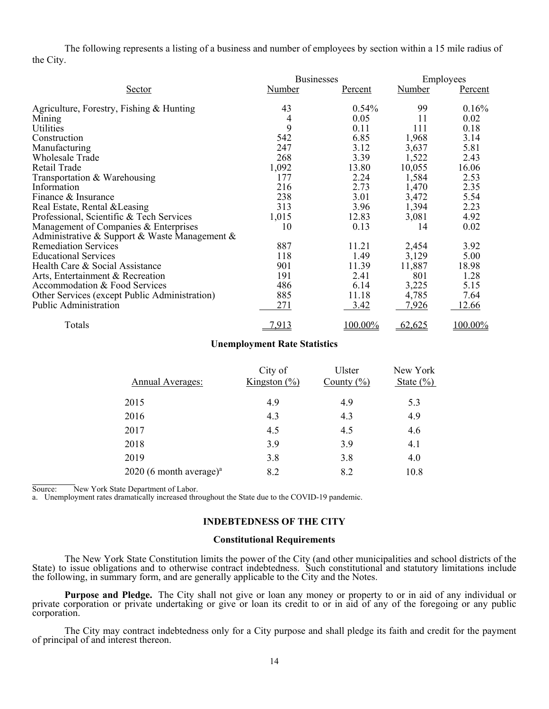The following represents a listing of a business and number of employees by section within a 15 mile radius of the City.

|                                               | <b>Businesses</b> |                |        | Employees |  |
|-----------------------------------------------|-------------------|----------------|--------|-----------|--|
| <u>Sector</u>                                 | Number            | <u>Percent</u> | Number | Percent   |  |
| Agriculture, Forestry, Fishing & Hunting      | 43                | 0.54%          | 99     | 0.16%     |  |
| Mining                                        | 4                 | 0.05           | 11     | 0.02      |  |
| Utilities                                     | 9                 | 0.11           | 111    | 0.18      |  |
| Construction                                  | 542               | 6.85           | 1,968  | 3.14      |  |
| Manufacturing                                 | 247               | 3.12           | 3,637  | 5.81      |  |
| <b>Wholesale Trade</b>                        | 268               | 3.39           | 1,522  | 2.43      |  |
| Retail Trade                                  | 1,092             | 13.80          | 10,055 | 16.06     |  |
| Transportation & Warehousing                  | 177               | 2.24           | 1,584  | 2.53      |  |
| Information                                   | 216               | 2.73           | 1,470  | 2.35      |  |
| Finance & Insurance                           | 238               | 3.01           | 3,472  | 5.54      |  |
| Real Estate, Rental & Leasing                 | 313               | 3.96           | 1,394  | 2.23      |  |
| Professional, Scientific & Tech Services      | 1,015             | 12.83          | 3,081  | 4.92      |  |
| Management of Companies & Enterprises         | 10                | 0.13           | 14     | 0.02      |  |
| Administrative & Support & Waste Management & |                   |                |        |           |  |
| <b>Remediation Services</b>                   | 887               | 11.21          | 2,454  | 3.92      |  |
| <b>Educational Services</b>                   | 118               | 1.49           | 3,129  | 5.00      |  |
| Health Care & Social Assistance               | 901               | 11.39          | 11,887 | 18.98     |  |
| Arts, Entertainment & Recreation              | 191               | 2.41           | 801    | 1.28      |  |
| Accommodation & Food Services                 | 486               | 6.14           | 3,225  | 5.15      |  |
| Other Services (except Public Administration) | 885               | 11.18          | 4,785  | 7.64      |  |
| Public Administration                         | 271               | <u>3.42</u>    | 7,926  | 12.66     |  |
| Totals                                        | 7,913             | 100.00%        | 62,625 | 100.00%   |  |

#### **Unemployment Rate Statistics**

| Annual Averages:           | City of<br>Kingston $(\% )$ | Ulster<br>County $(\% )$ | New York<br>State $(\% )$ |
|----------------------------|-----------------------------|--------------------------|---------------------------|
| 2015                       | 4.9                         | 4.9                      | 5.3                       |
| 2016                       | 4.3                         | 4.3                      | 4.9                       |
| 2017                       | 4.5                         | 4.5                      | 4.6                       |
| 2018                       | 3.9                         | 3.9                      | 4.1                       |
| 2019                       | 3.8                         | 3.8                      | 4.0                       |
| 2020 (6 month average) $a$ | 8.2                         | 8.2                      | 10.8                      |

Source: New York State Department of Labor.

a. Unemployment rates dramatically increased throughout the State due to the COVID-19 pandemic.

### **INDEBTEDNESS OF THE CITY**

#### **Constitutional Requirements**

The New York State Constitution limits the power of the City (and other municipalities and school districts of the State) to issue obligations and to otherwise contract indebtedness. Such constitutional and statutory limit

Purpose and Pledge. The City shall not give or loan any money or property to or in aid of any individual or private corporation or private undertaking or give or loan its credit to or in aid of any of the foregoing or any

The City may contract indebtedness only for a City purpose and shall pledge its faith and credit for the payment of principal of and interest thereon.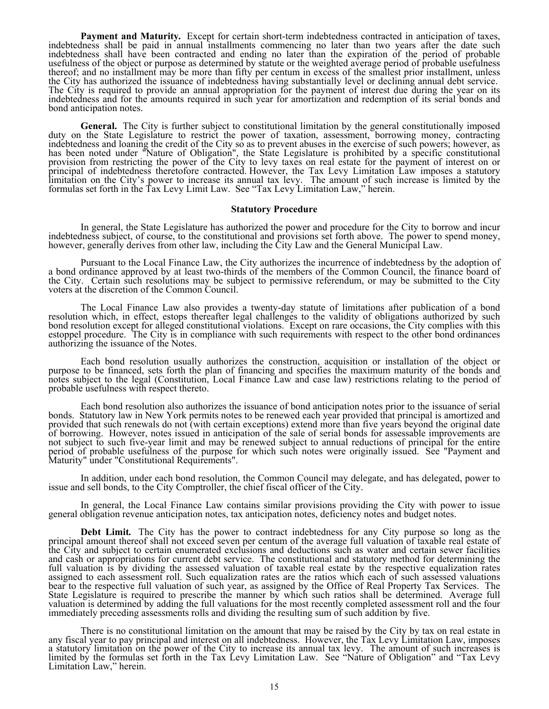**Payment and Maturity.** Except for certain short-term indebtedness contracted in anticipation of taxes, indebtedness shall be paid in annual installments commencing no later than two years after the date such indebtedness

**General.** The City is further subject to constitutional limitation by the general constitutionally imposed duty on the State Legislature to restrict the power of taxation, assessment, borrowing money, contracting indebted

#### **Statutory Procedure**

In general, the State Legislature has authorized the power and procedure for the City to borrow and incur<br>indebtedness subject, of course, to the constitutional and provisions set forth above. The power to spend money,<br>how

 Pursuant to the Local Finance Law, the City authorizes the incurrence of indebtedness by the adoption of a bond ordinance approved by at least two-thirds of the members of the Common Council, the finance board of the City. Certain such resolutions may be subject to permissive referendum, or may be submitted to the City voters at the discretion of the Common Council.

The Local Finance Law also provides a twenty-day statute of limitations after publication of a bond<br>resolution which, in effect, estops thereafter legal challenges to the validity of obligations authorized by such<br>bond res

Each bond resolution usually authorizes the construction, acquisition or installation of the object or purpose to be financed, sets forth the plan of financing and specifies the maximum maturity of the bonds and notes subj  $\overline{a}$ 

Each bond resolution also authorizes the issuance of bond anticipation notes prior to the issuance of serial<br>bonds. Statutory law in New York permits notes to be renewed each year provided that principal is amortized and<br>p

In addition, under each bond resolution, the Common Council may delegate, and has delegated, power to issue and sell bonds, to the City Comptroller, the chief fiscal officer of the City.

In general, the Local Finance Law contains similar provisions providing the City with power to issue general obligation revenue anticipation notes, tax anticipation notes, deficiency notes and budget notes.

**Debt Limit.** The City has the power to contract indebtedness for any City purpose so long as the principal amount thereof shall not exceed seven per centum of the average full valuation of taxable real estate of the City full valuation is by dividing the assessed valuation of taxable real estate by the respective equalization rates<br>assigned to each assessment roll. Such equalization rates are the ratios which each of such assessed valuatio State Legislature is required to prescribe the manner by which such ratios shall be determined. Average full valuation is determined by adding the full valuations for the most recently completed assessment roll and the fou

There is no constitutional limitation on the amount that may be raised by the City by tax on real estate in<br>any fiscal year to pay principal and interest on all indebtedness. However, the Tax Levy Limitation Law, imposes<br>a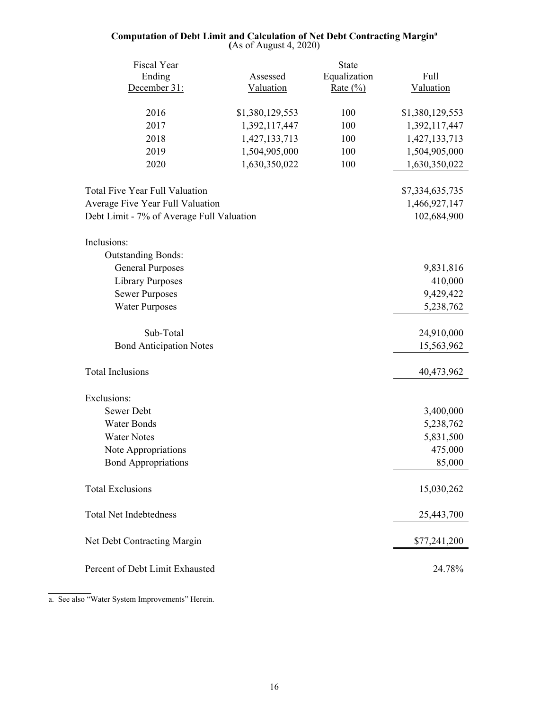#### **Computation of Debt Limit and Calculation of Net Debt Contracting Margina (**As of August 4, 2020)

| Fiscal Year                               |                 | <b>State</b> |                 |
|-------------------------------------------|-----------------|--------------|-----------------|
| Ending                                    | Assessed        | Equalization | Full            |
| December 31:                              | Valuation       | Rate $(\%)$  | Valuation       |
| 2016                                      | \$1,380,129,553 | 100          | \$1,380,129,553 |
| 2017                                      | 1,392,117,447   | 100          | 1,392,117,447   |
| 2018                                      | 1,427,133,713   | 100          | 1,427,133,713   |
| 2019                                      | 1,504,905,000   | 100          | 1,504,905,000   |
| 2020                                      | 1,630,350,022   | 100          | 1,630,350,022   |
|                                           |                 |              |                 |
| <b>Total Five Year Full Valuation</b>     |                 |              | \$7,334,635,735 |
| Average Five Year Full Valuation          |                 |              | 1,466,927,147   |
| Debt Limit - 7% of Average Full Valuation |                 |              | 102,684,900     |
|                                           |                 |              |                 |
| Inclusions:                               |                 |              |                 |
| <b>Outstanding Bonds:</b>                 |                 |              |                 |
| <b>General Purposes</b>                   |                 |              | 9,831,816       |
| <b>Library Purposes</b>                   |                 |              | 410,000         |
| <b>Sewer Purposes</b>                     |                 |              | 9,429,422       |
| <b>Water Purposes</b>                     |                 |              | 5,238,762       |
| Sub-Total                                 |                 |              | 24,910,000      |
| <b>Bond Anticipation Notes</b>            |                 |              | 15,563,962      |
|                                           |                 |              |                 |
| <b>Total Inclusions</b>                   |                 |              | 40,473,962      |
|                                           |                 |              |                 |
| Exclusions:                               |                 |              |                 |
| Sewer Debt                                |                 |              | 3,400,000       |
| <b>Water Bonds</b>                        |                 |              | 5,238,762       |
| <b>Water Notes</b>                        |                 |              | 5,831,500       |
| Note Appropriations                       |                 |              | 475,000         |
| <b>Bond Appropriations</b>                |                 |              | 85,000          |
| <b>Total Exclusions</b>                   |                 |              | 15,030,262      |
| <b>Total Net Indebtedness</b>             |                 |              | 25,443,700      |
| Net Debt Contracting Margin               |                 |              | \$77,241,200    |
| Percent of Debt Limit Exhausted           |                 |              | 24.78%          |

a. See also "Water System Improvements" Herein.

l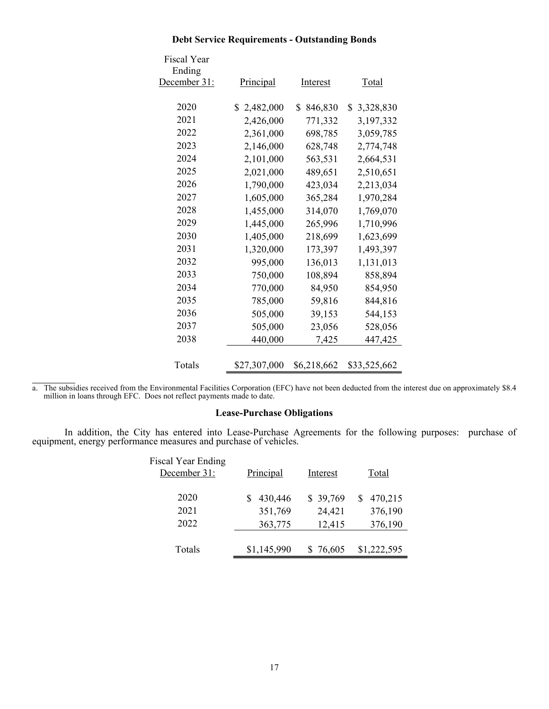| <b>Fiscal Year</b><br>Ending<br>December 31: | <b>Principal</b> | Interest      | <u>Total</u>    |
|----------------------------------------------|------------------|---------------|-----------------|
| 2020                                         |                  |               |                 |
|                                              | \$2,482,000      | 846,830<br>\$ | 3,328,830<br>\$ |
| 2021                                         | 2,426,000        | 771,332       | 3,197,332       |
| 2022                                         | 2,361,000        | 698,785       | 3,059,785       |
| 2023                                         | 2,146,000        | 628,748       | 2,774,748       |
| 2024                                         | 2,101,000        | 563,531       | 2,664,531       |
| 2025                                         | 2,021,000        | 489,651       | 2,510,651       |
| 2026                                         | 1,790,000        | 423,034       | 2,213,034       |
| 2027                                         | 1,605,000        | 365,284       | 1,970,284       |
| 2028                                         | 1,455,000        | 314,070       | 1,769,070       |
| 2029                                         | 1,445,000        | 265,996       | 1,710,996       |
| 2030                                         | 1,405,000        | 218,699       | 1,623,699       |
| 2031                                         | 1,320,000        | 173,397       | 1,493,397       |
| 2032                                         | 995,000          | 136,013       | 1,131,013       |
| 2033                                         | 750,000          | 108,894       | 858,894         |
| 2034                                         | 770,000          | 84,950        | 854,950         |
| 2035                                         | 785,000          | 59,816        | 844,816         |
| 2036                                         | 505,000          | 39,153        | 544,153         |
| 2037                                         | 505,000          | 23,056        | 528,056         |
| 2038                                         | 440,000          | 7,425         | 447,425         |
|                                              |                  |               |                 |
| Totals                                       | \$27,307,000     | \$6,218,662   | \$33,525,662    |

# **Debt Service Requirements - Outstanding Bonds**

l a. The subsidies received from the Environmental Facilities Corporation (EFC) have not been deducted from the interest due on approximately \$8.4 million in loans through EFC. Does not reflect payments made to date.

# **Lease-Purchase Obligations**

In addition, the City has entered into Lease-Purchase Agreements for the following purposes: purchase of equipment, energy performance measures and purchase of vehicles.

| <b>Fiscal Year Ending</b> |             |          |             |
|---------------------------|-------------|----------|-------------|
| December 31:              | Principal   | Interest | Total       |
|                           |             |          |             |
| 2020                      | 430,446     | \$39,769 | 470,215     |
| 2021                      | 351,769     | 24,421   | 376,190     |
| 2022                      | 363,775     | 12,415   | 376,190     |
|                           |             |          |             |
| Totals                    | \$1,145,990 | \$76,605 | \$1,222,595 |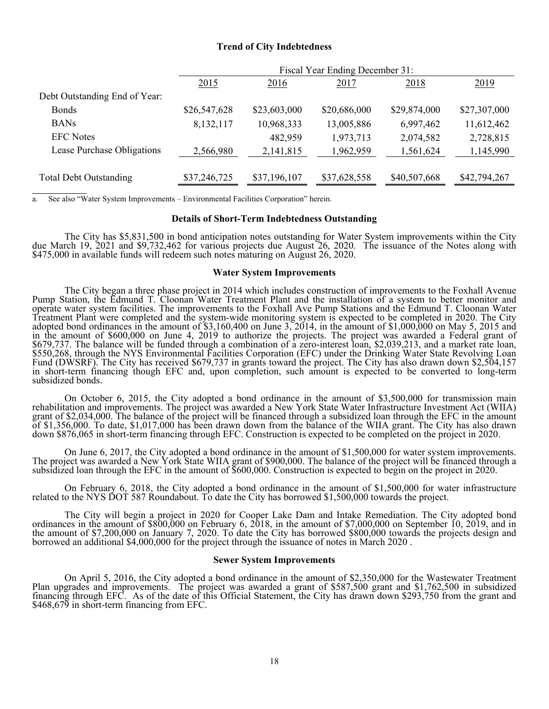#### **Trend of City Indebtedness**

|                               | Fiscal Year Ending December 31: |              |              |              |              |
|-------------------------------|---------------------------------|--------------|--------------|--------------|--------------|
|                               | 2015                            | 2016         | 2017         | 2018         | 2019         |
| Debt Outstanding End of Year: |                                 |              |              |              |              |
| <b>Bonds</b>                  | \$26,547,628                    | \$23,603,000 | \$20,686,000 | \$29,874,000 | \$27,307,000 |
| <b>BANs</b>                   | 8,132,117                       | 10,968,333   | 13,005,886   | 6,997,462    | 11,612,462   |
| <b>EFC</b> Notes              |                                 | 482,959      | 1,973,713    | 2,074,582    | 2,728,815    |
| Lease Purchase Obligations    | 2,566,980                       | 2,141,815    | 1,962,959    | 1,561,624    | 1,145,990    |
|                               |                                 |              |              |              |              |
| <b>Total Debt Outstanding</b> | \$37,246,725                    | \$37,196,107 | \$37,628,558 | \$40,507,668 | \$42,794,267 |
|                               |                                 |              |              |              |              |

a. See also "Water System Improvements – Environmental Facilities Corporation" herein.

l

#### **Details of Short-Term Indebtedness Outstanding**

The City has \$5,831,500 in bond anticipation notes outstanding for Water System improvements within the City due March 19, 2021 and \$9,732,462 for various projects due August 26, 2020. The issuance of the Notes along with

#### **Water System Improvements**

The City began a three phase project in 2014 which includes construction of improvements to the Foxhall Avenue<br>Pump Station, the Edmund T. Cloonan Water Treatment Plant and the installation of a system to better monitor an Define water system facilities. The improvements to the Foxnan Ave Funp stations and the Edinton 1. Crossian water<br>Treatment Plant were completed and the system-wide monitoring system is expected to be completed in 2020. T Fund (DWSRF). The City has received \$679,737 in grants toward the project. The City has also drawn down \$2,504,157<br>in short-term financing though EFC and, upon completion, such amount is expected to be converted to long-te

On October 6, 2015, the City adopted a bond ordinance in the amount of \$3,500,000 for transmission main rehabilitation and improvements. The project was awarded a New York State Water Infrastructure Investment Act (WIIA) grant of \$2,034,000. The balance of the project was awarded a Tew Tork bate water inhastractic investment Fet (WIT)<br>of \$1,356,000. To date, \$1,017,000 has been drawn down from the balance of the WIIA grant. The City has al

On June 6, 2017, the City adopted a bond ordinance in the amount of \$1,500,000 for water system improvements.<br>The project was awarded a New York State WIIA grant of \$900,000. The balance of the project will be financed thr

 On February 6, 2018, the City adopted a bond ordinance in the amount of \$1,500,000 for water infrastructure related to the NYS DOT 587 Roundabout. To date the City has borrowed \$1,500,000 towards the project.

The City will begin a project in 2020 for Cooper Lake Dam and Intake Remediation. The City adopted bond<br>ordinances in the amount of \$800,000 on February 6, 2018, in the amount of \$7,000,000 on September 10, 2019, and in<br>th

#### **Sewer System Improvements**

On April 5, 2016, the City adopted a bond ordinance in the amount of \$2,350,000 for the Wastewater Treatment<br>Plan upgrades and improvements. The project was awarded a grant of \$587,500 grant and \$1,762,500 in subsidized financing through EFC. As of the date of this Official Statement, the City has drawn down \$293,750 from the grant and \$468,679 in short-term financing from EFC.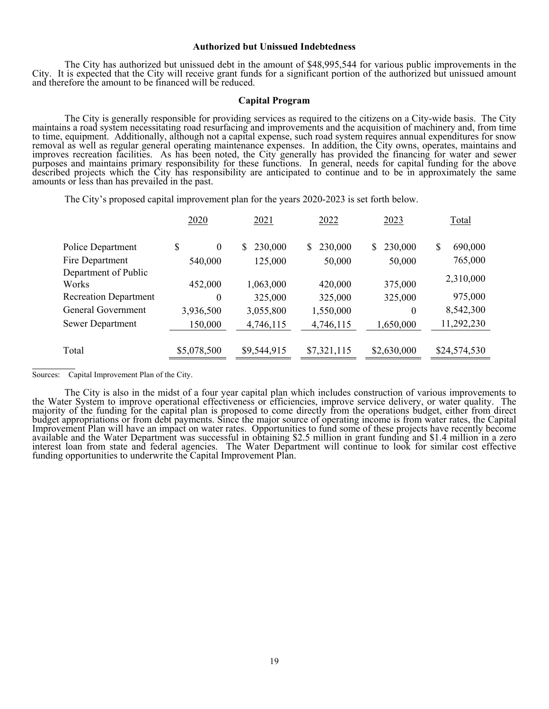#### **Authorized but Unissued Indebtedness**

The City has authorized but unissued debt in the amount of \$48,995,544 for various public improvements in the City. It is expected that the City will receive grant funds for a significant portion of the authorized but unis

#### **Capital Program**

The City is generally responsible for providing services as required to the citizens on a City-wide basis. The City maintains a road system necessitating road resurfacing and improvements and the acquisition of machinery a

The City's proposed capital improvement plan for the years 2020-2023 is set forth below.

|                               | 2020        | 2021         | 2022          | 2023          | Total         |
|-------------------------------|-------------|--------------|---------------|---------------|---------------|
| Police Department             | \$<br>0     | 230,000<br>S | 230,000<br>S. | 230,000<br>\$ | \$<br>690,000 |
| Fire Department               | 540,000     | 125,000      | 50,000        | 50,000        | 765,000       |
| Department of Public<br>Works | 452,000     | 1,063,000    | 420,000       | 375,000       | 2,310,000     |
| <b>Recreation Department</b>  | $\theta$    | 325,000      | 325,000       | 325,000       | 975,000       |
| General Government            | 3,936,500   | 3,055,800    | 1,550,000     | $\theta$      | 8,542,300     |
| <b>Sewer Department</b>       | 150,000     | 4,746,115    | 4,746,115     | 1,650,000     | 11,292,230    |
| Total                         | \$5,078,500 | \$9,544,915  | \$7,321,115   | \$2,630,000   | \$24,574,530  |

Sources: Capital Improvement Plan of the City.

l

The City is also in the midst of a four year capital plan which includes construction of various improvements to<br>the Water System to improve operational effectiveness or efficiencies, improve service delivery, or water qua funding opportunities to underwrite the Capital Improvement Plan.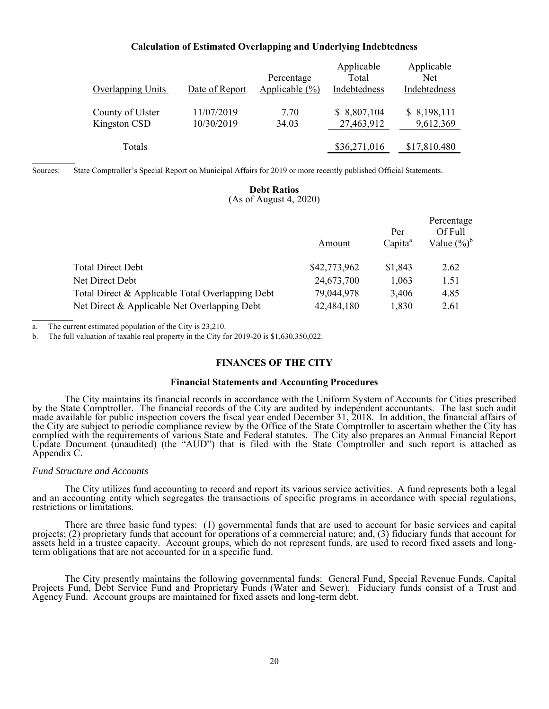#### **Calculation of Estimated Overlapping and Underlying Indebtedness**

| <b>Overlapping Units</b>         | Date of Report           | Percentage<br>Applicable $(\% )$ | Applicable<br>Total<br>Indebtedness | Applicable<br><b>Net</b><br>Indebtedness |
|----------------------------------|--------------------------|----------------------------------|-------------------------------------|------------------------------------------|
| County of Ulster<br>Kingston CSD | 11/07/2019<br>10/30/2019 | 7.70<br>34.03                    | \$8,807,104<br>27,463,912           | \$8,198,111<br>9,612,369                 |
| Totals                           |                          |                                  | \$36,271,016                        | \$17,810,480                             |

Sources: State Comptroller's Special Report on Municipal Affairs for 2019 or more recently published Official Statements.

#### **Debt Ratios**  (As of August 4, 2020)

|                                                  |              |                            | Percentage                |
|--------------------------------------------------|--------------|----------------------------|---------------------------|
|                                                  | Amount       | Per<br>Capita <sup>a</sup> | Of Full<br>Value $(\%)^b$ |
| <b>Total Direct Debt</b>                         | \$42,773,962 | \$1,843                    | 2.62                      |
| Net Direct Debt                                  | 24,673,700   | 1,063                      | 1.51                      |
| Total Direct & Applicable Total Overlapping Debt | 79,044,978   | 3,406                      | 4.85                      |
| Net Direct & Applicable Net Overlapping Debt     | 42,484,180   | 1,830                      | 2.61                      |

a. The current estimated population of the City is 23,210.

b. The full valuation of taxable real property in the City for 2019-20 is \$1,630,350,022.

#### **FINANCES OF THE CITY**

#### **Financial Statements and Accounting Procedures**

The City maintains its financial records in accordance with the Uniform System of Accounts for Cities prescribed<br>by the State Comptroller. The financial records of the City are audited by independent accountants. The last made available for public inspection covers the fiscal year ended December 31, 2018. In addition, the financial affairs of the City are subject to periodic compliance review by the Office of the State Comptroller to ascertain whether the City has<br>complied with the requirements of various State and Federal statutes. The City also prepares an An

#### *Fund Structure and Accounts*

l

l

The City utilizes fund accounting to record and report its various service activities. A fund represents both a legal<br>and an accounting entity which segregates the transactions of specific programs in accordance with speci

There are three basic fund types: (1) governmental funds that are used to account for basic services and capital projects; (2) proprietary funds that account for operations of a commercial nature; and, (3) fiduciary funds

The City presently maintains the following governmental funds: General Fund, Special Revenue Funds, Capital Projects Fund, Debt Service Fund and Proprietary Funds (Water and Sewer). Fiduciary funds consist of a Trust and A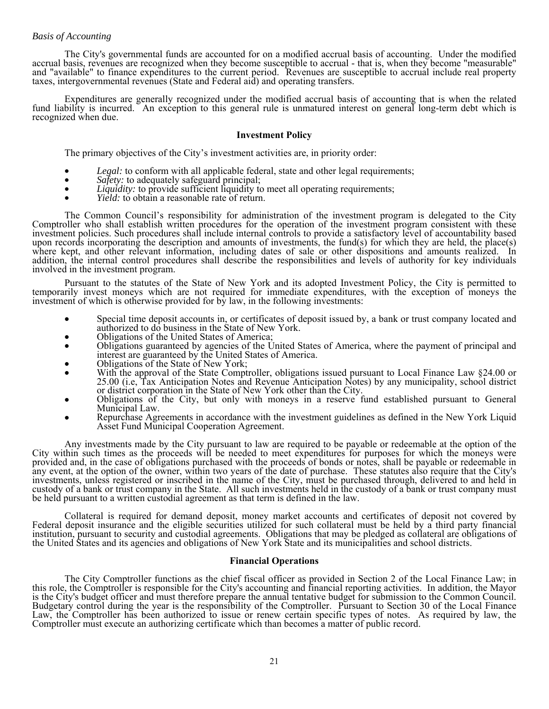The City's governmental funds are accounted for on a modified accrual basis of accounting. Under the modified<br>accrual basis, revenues are recognized when they become susceptible to accrual - that is, when they become "meas

Expenditures are generally recognized under the modified accrual basis of accounting that is when the related<br>fund liability is incurred. An exception to this general rule is unmatured interest on general long-term debt wh

#### **Investment Policy**

The primary objectives of the City's investment activities are, in priority order:

- 
- 
- Legal: to conform with all applicable federal, state and other legal requirements;<br>Safety: to adequately safeguard principal;<br>Liquidity: to provide sufficient liquidity to meet all operating requirements;<br>Yield: to obtai
- 

The Common Council's responsibility for administration of the investment program is delegated to the City<br>Comptroller who shall establish written procedures for the operation of the investment program consistent with these

Pursuant to the statutes of the State of New York and its adopted Investment Policy, the City is permitted to temporarily invest moneys which are not required for immediate expenditures, with the exception of moneys the in

- 
- 
- 
- 
- Special time deposit accounts in, or certificates of deposit issued by, a bank or trust company located and<br>
authorized to do business in the State of New York.<br>
 Obligations of the United States of America, where the p
- 
- 

Any investments made by the City pursuant to law are required to be payable or redeemable at the option of the<br>City within such times as the proceeds will be needed to meet expenditures for purposes for which the moneys we

Collateral is required for demand deposit, money market accounts and certificates of deposit not covered by<br>Federal deposit insurance and the eligible securities utilized for such collateral must be held by a third party f

#### **Financial Operations**

The City Comptroller functions as the chief fiscal officer as provided in Section 2 of the Local Finance Law; in<br>this role, the Comptroller is responsible for the City's accounting and financial reporting activities. In ad is the City's budget officer and must therefore prepare the annual tentative budget for submission to the Common Council. Law, the Comptroller has been authorized to issue or renew certain specific types of notes. As required by law, the Comptroller must execute an authorizing certificate which than becomes a matter of public record.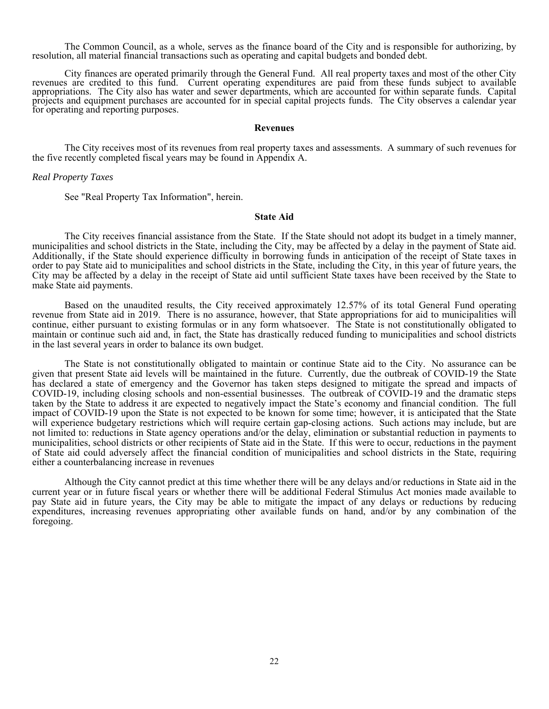The Common Council, as a whole, serves as the finance board of the City and is responsible for authorizing, by resolution, all material financial transactions such as operating and capital budgets and bonded debt.

City finances are operated primarily through the General Fund. All real property taxes and most of the other City<br>revenues are credited to this fund. Current operating expenditures are paid from these funds subject to avai

#### **Revenues**

 The City receives most of its revenues from real property taxes and assessments. A summary of such revenues for the five recently completed fiscal years may be found in Appendix A.

#### *Real Property Taxes*

See "Real Property Tax Information", herein.

# **State Aid**

 The City receives financial assistance from the State. If the State should not adopt its budget in a timely manner, municipalities and school districts in the State, including the City, may be affected by a delay in the payment of State aid. Additionally, if the State should experience difficulty in borrowing funds in anticipation of the receipt of State taxes in order to pay State aid to municipalities and school districts in the State, including the City, in this year of future years, the City may be affected by a delay in the receipt of State aid until sufficient State taxes have been received by the State to make State aid payments.

 Based on the unaudited results, the City received approximately 12.57% of its total General Fund operating revenue from State aid in 2019. There is no assurance, however, that State appropriations for aid to municipalities will continue, either pursuant to existing formulas or in any form whatsoever. The State is not constitutionally obligated to maintain or continue such aid and, in fact, the State has drastically reduced funding to municipalities and school districts in the last several years in order to balance its own budget.

 The State is not constitutionally obligated to maintain or continue State aid to the City. No assurance can be given that present State aid levels will be maintained in the future. Currently, due the outbreak of COVID-19 the State has declared a state of emergency and the Governor has taken steps designed to mitigate the spread and impacts of COVID-19, including closing schools and non-essential businesses. The outbreak of COVID-19 and the dramatic steps taken by the State to address it are expected to negatively impact the State's economy and financial condition. The full impact of COVID-19 upon the State is not expected to be known for some time; however, it is anticipated that the State will experience budgetary restrictions which will require certain gap-closing actions. Such actions may include, but are not limited to: reductions in State agency operations and/or the delay, elimination or substantial reduction in payments to municipalities, school districts or other recipients of State aid in the State. If this were to occur, reductions in the payment of State aid could adversely affect the financial condition of municipalities and school districts in the State, requiring either a counterbalancing increase in revenues

 Although the City cannot predict at this time whether there will be any delays and/or reductions in State aid in the current year or in future fiscal years or whether there will be additional Federal Stimulus Act monies made available to pay State aid in future years, the City may be able to mitigate the impact of any delays or reductions by reducing expenditures, increasing revenues appropriating other available funds on hand, and/or by any combination of the foregoing.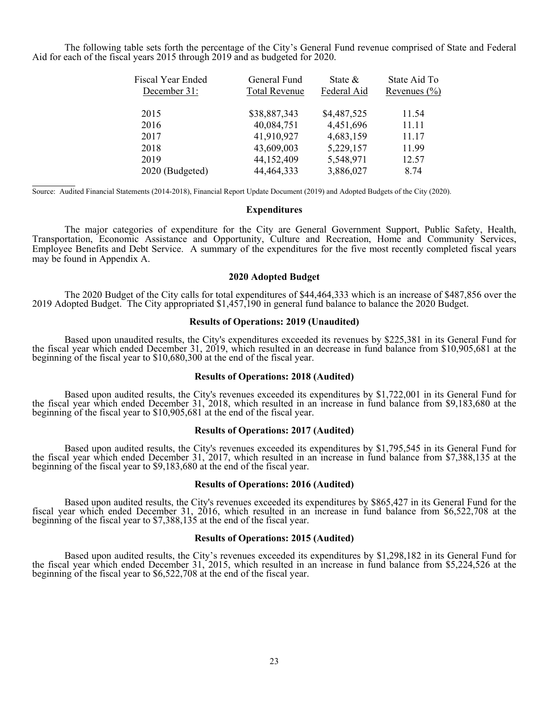The following table sets forth the percentage of the City's General Fund revenue comprised of State and Federal Aid for each of the fiscal years 2015 through 2019 and as budgeted for 2020.

| <b>Fiscal Year Ended</b> | General Fund         | State $\&$  | State Aid To     |
|--------------------------|----------------------|-------------|------------------|
| December 31:             | <b>Total Revenue</b> | Federal Aid | Revenues $(\% )$ |
| 2015                     | \$38,887,343         | \$4,487,525 | 11.54            |
| 2016                     | 40,084,751           | 4,451,696   | 11.11            |
| 2017                     | 41,910,927           | 4,683,159   | 11.17            |
| 2018                     | 43,609,003           | 5,229,157   | 11.99            |
| 2019                     | 44,152,409           | 5,548,971   | 12.57            |
| 2020 (Budgeted)          | 44, 464, 333         | 3,886,027   | 8.74             |

Source: Audited Financial Statements (2014-2018), Financial Report Update Document (2019) and Adopted Budgets of the City (2020).

l

#### **Expenditures**

 The major categories of expenditure for the City are General Government Support, Public Safety, Health, Transportation, Economic Assistance and Opportunity, Culture and Recreation, Home and Community Services, Employee Benefits and Debt Service. A summary of the expenditures for the five most recently completed fiscal years may be found in Appendix A.

#### **2020 Adopted Budget**

 The 2020 Budget of the City calls for total expenditures of \$44,464,333 which is an increase of \$487,856 over the 2019 Adopted Budget. The City appropriated \$1,457,190 in general fund balance to balance the 2020 Budget.

#### **Results of Operations: 2019 (Unaudited)**

Based upon unaudited results, the City's expenditures exceeded its revenues by \$225,381 in its General Fund for<br>the fiscal year which ended December 31, 2019, which resulted in an decrease in fund balance from \$10,905,681 beginning of the fiscal year to \$10,680,300 at the end of the fiscal year.

#### **Results of Operations: 2018 (Audited)**

Based upon audited results, the City's revenues exceeded its expenditures by \$1,722,001 in its General Fund for<br>the fiscal year which ended December 31, 2018, which resulted in an increase in fund balance from \$9,183,680 a beginning of the fiscal year to \$10,905,681 at the end of the fiscal year.

#### **Results of Operations: 2017 (Audited)**

Based upon audited results, the City's revenues exceeded its expenditures by \$1,795,545 in its General Fund for<br>the fiscal year which ended December 31, 2017, which resulted in an increase in fund balance from \$7,388,135 a beginning of the fiscal year to \$9,183,680 at the end of the fiscal year.

#### **Results of Operations: 2016 (Audited)**

Based upon audited results, the City's revenues exceeded its expenditures by \$865,427 in its General Fund for the fiscal year which ended December 31, 2016, which resulted in an increase in fund balance from \$6,522,708 at beginning of the fiscal year to \$7,388,135 at the end of the fiscal year.

#### **Results of Operations: 2015 (Audited)**

Based upon audited results, the City's revenues exceeded its expenditures by \$1,298,182 in its General Fund for<br>the fiscal year which ended December 31, 2015, which resulted in an increase in fund balance from \$5,224,526 a beginning of the fiscal year to \$6,522,708 at the end of the fiscal year.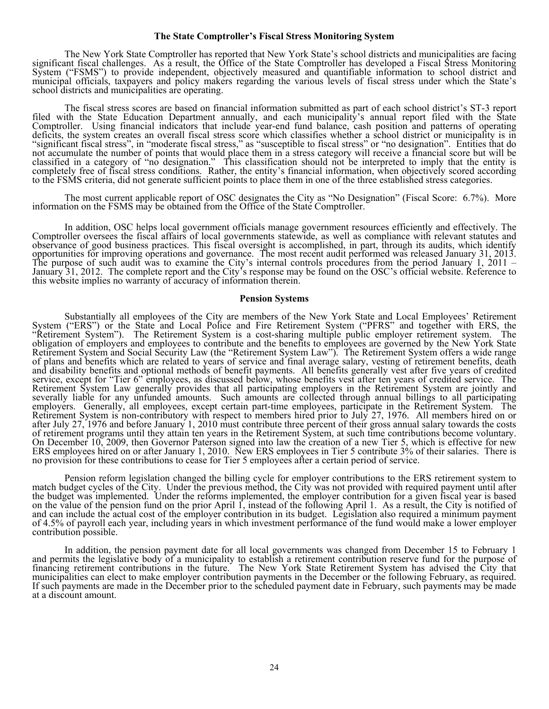#### **The State Comptroller's Fiscal Stress Monitoring System**

The New York State Comptroller has reported that New York State's school districts and municipalities are facing<br>significant fiscal challenges. As a result, the Office of the State Comptroller has developed a Fiscal Stress school districts and municipalities are operating.

The fiscal stress scores are based on financial information submitted as part of each school district's ST-3 report<br>filed with the State Education Department annually, and each municipality's annual report filed with the S deficits, the system creates an overall fiscal stress score which classifies whether a school district or municipality is in "significant fiscal stress", in "moderate fiscal stress," as "susceptible to fiscal stress" or "n classified in a category of "no designation." This classification should not be interpreted to imply that the entity is<br>completely free of fiscal stress conditions. Rather, the entity's financial information, when objectiv

The most current applicable report of OSC designates the City as "No Designation" (Fiscal Score: 6.7%). More information on the FSMS may be obtained from the Office of the State Comptroller.

In addition, OSC helps local government officials manage government resources efficiently and effectively. The<br>Comptroller oversees the fiscal affairs of local governments statewide, as well as compliance with relevant sta

#### **Pension Systems**

Substantially all employees of the City are members of the New York State and Local Employees' Retirement<br>
System ("ERS") or the State and Local Police and Fire Retirement System ("PFRS" and together with ERS, the<br>
"Retire On December 10, 2009, then Governor Paterson signed into law the creation of a new Tier 5, which is effective for new ERS employees hired on or after January 1, 2010. New ERS employees in Tier 5 contribute 3% of their sala

Pension reform legislation changed the billing cycle for employer contributions to the ERS retirement system to match budget cycles of the City. Under the previous method, the City was not provided with required payment un

In addition, the pension payment date for all local governments was changed from December 15 to February 1<br>and permits the legislative body of a municipality to establish a retirement contribution reserve fund for the purp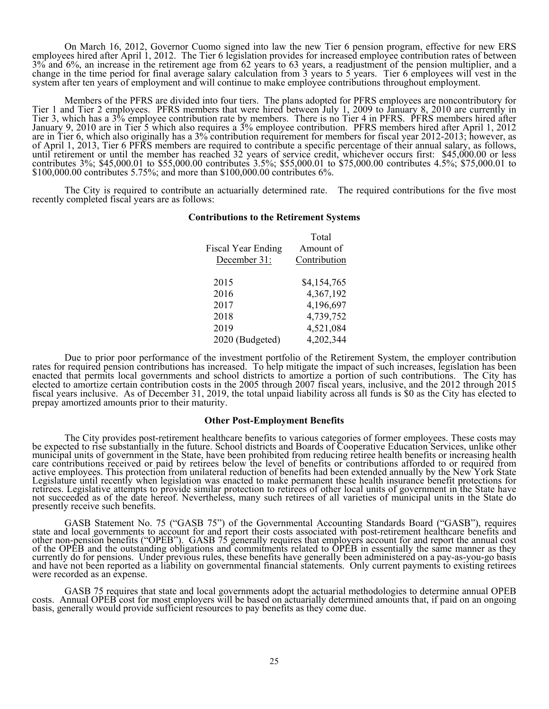On March 16, 2012, Governor Cuomo signed into law the new Tier 6 pension program, effective for new ERS<br>employees hired after April 1, 2012. The Tier 6 legislation provides for increased employee contribution rates of betw

Members of the PFRS are divided into four tiers. The plans adopted for PFRS employees are noncontributory for<br>Tier 1 and Tier 2 employees. PFRS members that were hired between July 1, 2009 to January 8, 2010 are currently January 9, 2010 are in Tier<sup>5</sup> 5 which also requires a 3% employee contribution. PFRS members hired after April 1, 2012<br>are in Tier 6, which also originally has a 3% contribution requirement for members for fiscal year 201 contributes 3%; \$45,000.01 to \$55,000.00 contributes 3.5%; \$55,000.01 to \$75,000.00 contributes 4.5%; \$75,000.01 to to \$100,000.00 contributes 5.75%; and more than \$100,000.00 contributes 6%.

The City is required to contribute an actuarially determined rate. The required contributions for the five most recently completed fiscal years are as follows:

#### **Contributions to the Retirement Systems**

|                           | Total        |
|---------------------------|--------------|
| <b>Fiscal Year Ending</b> | Amount of    |
| December 31:              | Contribution |
|                           |              |
| 2015                      | \$4,154,765  |
| 2016                      | 4,367,192    |
| 2017                      | 4,196,697    |
| 2018                      | 4,739,752    |
| 2019                      | 4,521,084    |
| 2020 (Budgeted)           | 4,202,344    |
|                           |              |

Due to prior poor performance of the investment portfolio of the Retirement System, the employer contribution<br>rates for required pension contributions has increased. To help mitigate the impact of such increases, legislati

#### **Other Post-Employment Benefits**

The City provides post-retirement healthcare benefits to various categories of former employees. These costs may<br>be expected to rise substantially in the future. School districts and Boards of Cooperative Education Service

GASB Statement No. 75 ("GASB 75") of the Governmental Accounting Standards Board ("GASB"), requires state and local governments to account for and report their costs associated with post-retirement healthcare benefits and

GASB 75 requires that state and local governments adopt the actuarial methodologies to determine annual OPEB costs. Annual OPEB cost for most employers will be based on actuarially determined amounts that, if paid on an on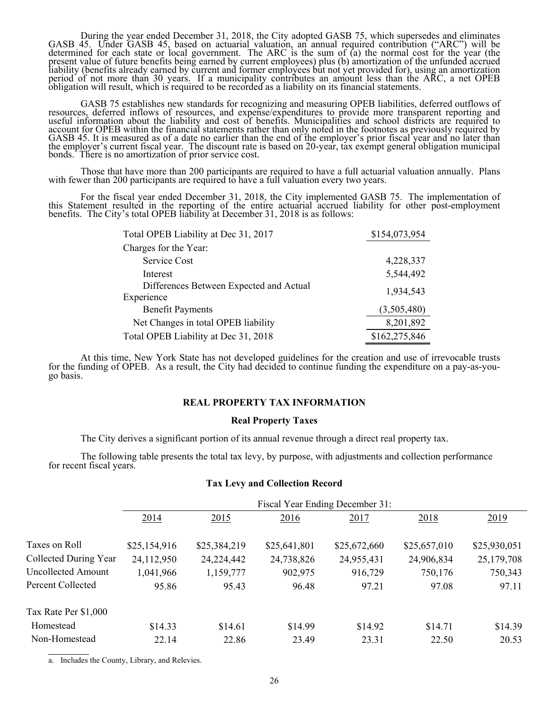During the year ended December 31, 2018, the City adopted GASB 75, which supersedes and eliminates GASB 45. Under GASB 45, based on actuarial valuation, an annual required contribution ("ARC") will be determined for each s

GASB 75 establishes new standards for recognizing and measuring OPEB liabilities, deferred outflows of resources, deferred inflows of resources, and expense/expenditures to provide more transparent reporting and useful inf

Those that have more than 200 participants are required to have a full actuarial valuation annually. Plans with fewer than 200 participants are required to have a full valuation every two years.

For the fiscal year ended December 31, 2018, the City implemented GASB 75. The implementation of this Statement resulted in the reporting of the entire actuarial accrued liability for other post-employment benefits. The Ci

| Total OPEB Liability at Dec 31, 2017    | \$154,073,954 |
|-----------------------------------------|---------------|
| Charges for the Year:                   |               |
| Service Cost                            | 4,228,337     |
| Interest                                | 5,544,492     |
| Differences Between Expected and Actual | 1,934,543     |
| Experience                              |               |
| <b>Benefit Payments</b>                 | (3,505,480)   |
| Net Changes in total OPEB liability     | 8,201,892     |
| Total OPEB Liability at Dec 31, 2018    | \$162,275,846 |

 At this time, New York State has not developed guidelines for the creation and use of irrevocable trusts for the funding of OPEB. As a result, the City had decided to continue funding the expenditure on a pay-as-you- go basis.

#### **REAL PROPERTY TAX INFORMATION**

#### **Real Property Taxes**

The City derives a significant portion of its annual revenue through a direct real property tax.

The following table presents the total tax levy, by purpose, with adjustments and collection performance for recent fiscal years.

#### **Tax Levy and Collection Record**

|                       | Fiscal Year Ending December 31: |              |              |              |              |              |
|-----------------------|---------------------------------|--------------|--------------|--------------|--------------|--------------|
|                       | 2014                            | 2015         | 2016         | 2017         | 2018         | 2019         |
| Taxes on Roll         | \$25,154,916                    | \$25,384,219 | \$25,641,801 | \$25,672,660 | \$25,657,010 | \$25,930,051 |
| Collected During Year | 24,112,950                      | 24, 224, 442 | 24,738,826   | 24,955,431   | 24,906,834   | 25,179,708   |
| Uncollected Amount    | 1,041,966                       | 1,159,777    | 902,975      | 916,729      | 750,176      | 750,343      |
| Percent Collected     | 95.86                           | 95.43        | 96.48        | 97.21        | 97.08        | 97.11        |
| Tax Rate Per \$1,000  |                                 |              |              |              |              |              |
| Homestead             | \$14.33                         | \$14.61      | \$14.99      | \$14.92      | \$14.71      | \$14.39      |
| Non-Homestead         | 22.14                           | 22.86        | 23.49        | 23.31        | 22.50        | 20.53        |

a. Includes the County, Library, and Relevies.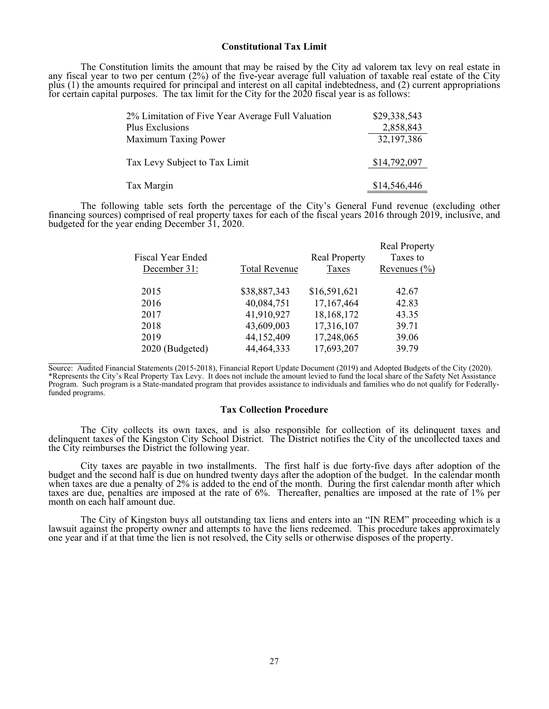#### **Constitutional Tax Limit**

The Constitution limits the amount that may be raised by the City ad valorem tax levy on real estate in<br>any fiscal year to two per centum (2%) of the five-year average full valuation of taxable real estate of the City<br>plus

| 2% Limitation of Five Year Average Full Valuation | \$29,338,543 |
|---------------------------------------------------|--------------|
| Plus Exclusions                                   | 2,858,843    |
| Maximum Taxing Power                              | 32,197,386   |
| Tax Levy Subject to Tax Limit                     | \$14,792,097 |
| Tax Margin                                        | \$14,546,446 |

The following table sets forth the percentage of the City's General Fund revenue (excluding other financing sources) comprised of real property taxes for each of the fiscal years 2016 through 2019, inclusive, and budgeted

|                   |                      |                      | <b>Real Property</b> |
|-------------------|----------------------|----------------------|----------------------|
| Fiscal Year Ended |                      | <b>Real Property</b> | Taxes to             |
| December 31:      | <b>Total Revenue</b> | Taxes                | Revenues $(\% )$     |
|                   |                      |                      |                      |
| 2015              | \$38,887,343         | \$16,591,621         | 42.67                |
| 2016              | 40,084,751           | 17,167,464           | 42.83                |
| 2017              | 41,910,927           | 18,168,172           | 43.35                |
| 2018              | 43,609,003           | 17,316,107           | 39.71                |
| 2019              | 44,152,409           | 17,248,065           | 39.06                |
| 2020 (Budgeted)   | 44, 464, 333         | 17,693,207           | 39.79                |
|                   |                      |                      |                      |

Source: Audited Financial Statements (2015-2018), Financial Report Update Document (2019) and Adopted Budgets of the City (2020). \*Represents the City's Real Property Tax Levy. It does not include the amount levied to fund the local share of the Safety Net Assistance Program. Such program is a State-mandated program that provides assistance to individuals and families who do not qualify for Federallyfunded programs.

l

#### **Tax Collection Procedure**

The City collects its own taxes, and is also responsible for collection of its delinquent taxes and delinquent taxes of the Kingston City School District. The District notifies the City of the uncollected taxes and the Cit

City taxes are payable in two installments. The first half is due forty-five days after adoption of the budget and the second half is due on hundred twenty days after the adoption of the budget. In the calendar month when

The City of Kingston buys all outstanding tax liens and enters into an "IN REM" proceeding which is a lawsuit against the property owner and attempts to have the liens redeemed. This procedure takes approximately one year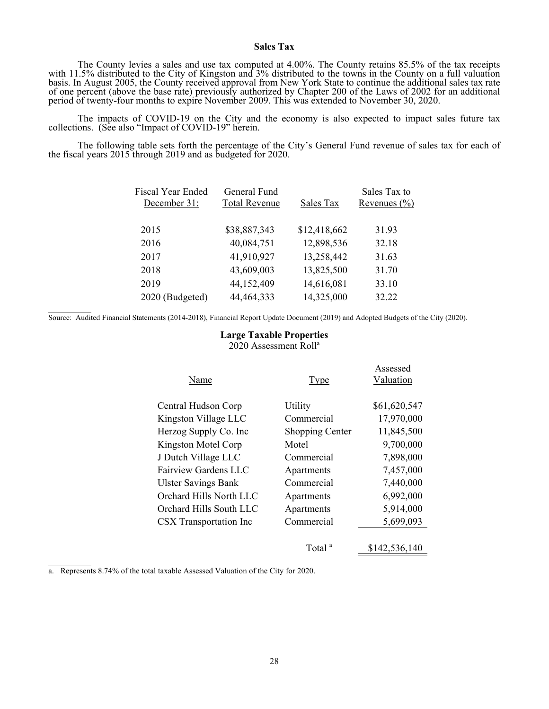# **Sales Tax**

The County levies a sales and use tax computed at 4.00%. The County retains 85.5% of the tax receipts<br>with 11.5% distributed to the City of Kingston and 3% distributed to the towns in the County on a full valuation<br>basis. of one percent (above the base rate) previously authorized by Chapter 200 of the Laws of 2002 for an additional period of twenty-four months to expire November 2009. This was extended to November 30, 2020.

The impacts of COVID-19 on the City and the economy is also expected to impact sales future tax collections. (See also "Impact of COVID-19" herein.

 The following table sets forth the percentage of the City's General Fund revenue of sales tax for each of the fiscal years 2015 through 2019 and as budgeted for 2020.

| Fiscal Year Ended | General Fund         |              | Sales Tax to     |
|-------------------|----------------------|--------------|------------------|
| December 31:      | <b>Total Revenue</b> | Sales Tax    | Revenues $(\% )$ |
|                   |                      |              |                  |
| 2015              | \$38,887,343         | \$12,418,662 | 31.93            |
| 2016              | 40,084,751           | 12,898,536   | 32.18            |
| 2017              | 41,910,927           | 13,258,442   | 31.63            |
| 2018              | 43,609,003           | 13,825,500   | 31.70            |
| 2019              | 44,152,409           | 14,616,081   | 33.10            |
| 2020 (Budgeted)   | 44, 464, 333         | 14,325,000   | 32.22            |

Source: Audited Financial Statements (2014-2018), Financial Report Update Document (2019) and Adopted Budgets of the City (2020).

# **Large Taxable Properties**

2020 Assessment Roll<sup>a</sup>

| Name                       | <b>Type</b>            | Assessed<br>Valuation |
|----------------------------|------------------------|-----------------------|
|                            |                        |                       |
| Central Hudson Corp        | Utility                | \$61,620,547          |
| Kingston Village LLC       | Commercial             | 17,970,000            |
| Herzog Supply Co. Inc      | <b>Shopping Center</b> | 11,845,500            |
| Kingston Motel Corp        | Motel                  | 9,700,000             |
| J Dutch Village LLC        | Commercial             | 7,898,000             |
| Fairview Gardens LLC       | Apartments             | 7,457,000             |
| <b>Ulster Savings Bank</b> | Commercial             | 7,440,000             |
| Orchard Hills North LLC    | Apartments             | 6,992,000             |
| Orchard Hills South LLC    | Apartments             | 5,914,000             |
| CSX Transportation Inc     | Commercial             | 5,699,093             |
|                            |                        |                       |
|                            | Total                  | \$142,536,140         |

a. Represents 8.74% of the total taxable Assessed Valuation of the City for 2020.

l

l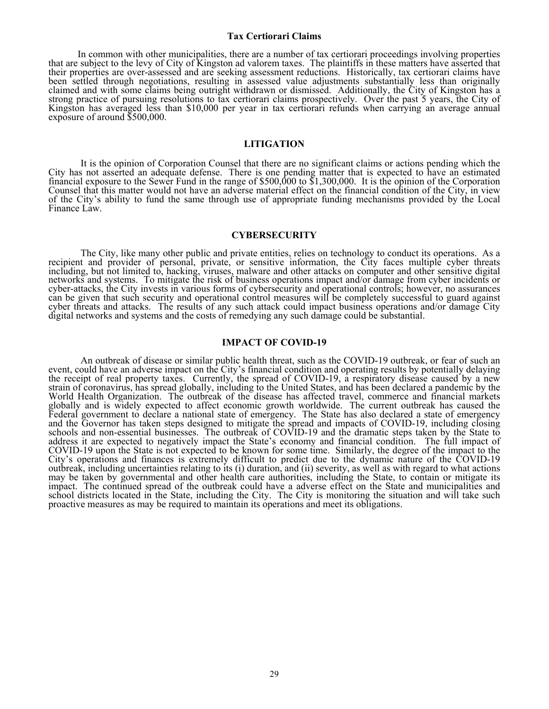#### **Tax Certiorari Claims**

In common with other municipalities, there are a number of tax certiorari proceedings involving properties<br>that are subject to the levy of City of Kingston ad valorem taxes. The plaintiffs in these matters have asserted th

#### **LITIGATION**

It is the opinion of Corporation Counsel that there are no significant claims or actions pending which the<br>City has not asserted an adequate defense. There is one pending matter that is expected to have an estimated<br>financ

#### **CYBERSECURITY**

The City, like many other public and private entities, relies on technology to conduct its operations. As a recipient and provider of personal, private, or sensitive information, the City faces multiple cyber threats inclu

#### **IMPACT OF COVID-19**

An outbreak of disease or similar public health threat, such as the COVID-19 outbreak, or fear of such an event, could have an adverse impact on the City's financial condition and operating results by potentially delaying the receipt of real property taxes. Currently, the spread of COVID-19, a respiratory disease caused by a new strain of coronavirus, has spread globally, including to the United States, and has been declared a pandemic by t globally and is widely expected to affect economic growth worldwide. The current outbreak has caused the Federal government to declare a national state of emergency. The State has also declared a state of emergency and the Governor has taken steps designed to mitigate the spread and impacts of COVID-19, including closing<br>schools and non-essential businesses. The outbreak of COVID-19 and the dramatic steps taken by the State to<br>addres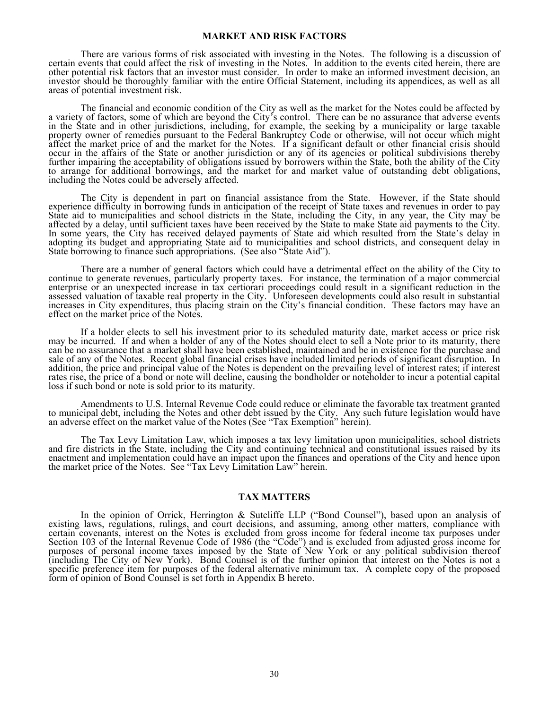#### **MARKET AND RISK FACTORS**

There are various forms of risk associated with investing in the Notes. The following is a discussion of certain events that could affect the risk of investing in the Notes. In addition to the events cited herein, there are other potential risk factors that an investor must consider. In order to make an informed investment decision, an investor should be thoroughly familiar with the entire Official Statement, including its appendices, as well as all areas of potential investment risk.

The financial and economic condition of the City as well as the market for the Notes could be affected by a variety of factors, some of which are beyond the City's control. There can be no assurance that adverse events in property owner of remedies pursuant to the Federal Bankruptcy Code or otherwise, will not occur which might affect the market price of and the market for the Notes. If a significant default or other financial crisis should

The City is dependent in part on financial assistance from the State. However, if the State should experience difficulty in borrowing funds in anticipation of the receipt of State taxes and revenues in order to pay State aid to municipalities and school districts in the State, including the City, in any year, the City may be affected by a delay, until sufficient taxes have been received by the State to make State aid payments to the

There are a number of general factors which could have a detrimental effect on the ability of the City to continue to generate revenues, particularly property taxes. For instance, the termination of a major commercial ente

If a holder elects to sell his investment prior to its scheduled maturity date, market access or price risk<br>may be incurred. If and when a holder of any of the Notes should elect to sell a Note prior to its maturity, there

Amendments to U.S. Internal Revenue Code could reduce or eliminate the favorable tax treatment granted<br>to municipal debt, including the Notes and other debt issued by the City. Any such future legislation would have<br>an adv

The Tax Levy Limitation Law, which imposes a tax levy limitation upon municipalities, school districts<br>and fire districts in the State, including the City and continuing technical and constitutional issues raised by its<br>en

#### **TAX MATTERS**

In the opinion of Orrick, Herrington & Sutcliffe LLP ("Bond Counsel"), based upon an analysis of existing laws, regulations, rulings, and court decisions, and assuming, among other matters, compliance with certain covenant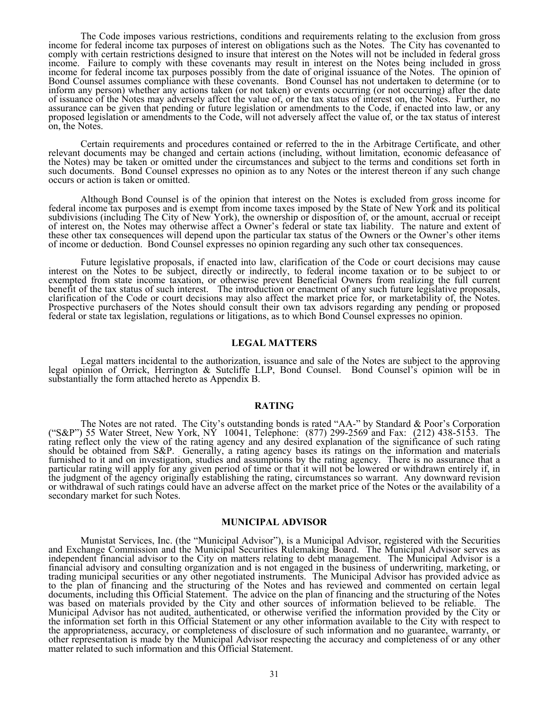The Code imposes various restrictions, conditions and requirements relating to the exclusion from gross<br>income for federal income tax purposes of interest on obligations such as the Notes. The City has covenanted to<br>comply assurance can be given that pending or future legislation or amendments to the Code, if enacted into law, or any<br>proposed legislation or amendments to the Code, will not adversely affect the value of, or the tax status of

Certain requirements and procedures contained or referred to the in the Arbitrage Certificate, and other relevant documents may be changed and certain actions (including, without limitation, economic defeasance of the Note

Although Bond Counsel is of the opinion that interest on the Notes is excluded from gross income for federal income tax purposes and is exempt from income taxes imposed by the State of New York and its political subdivisio of income or deduction. Bond Counsel expresses no opinion regarding any such other tax consequences.

Future legislative proposals, if enacted into law, clarification of the Code or court decisions may cause<br>interest on the Notes to be subject, directly or indirectly, to federal income taxation or to be subject to or<br>exemp

#### **LEGAL MATTERS**

Legal matters incidental to the authorization, issuance and sale of the Notes are subject to the approving<br>legal opinion of Orrick, Herrington & Sutcliffe LLP, Bond Counsel. Bond Counsel's opinion will be in<br>substantially

#### **RATING**

The Notes are not rated. The City's outstanding bonds is rated "AA-" by Standard & Poor's Corporation<br>("S&P") 55 Water Street, New York, NY 10041, Telephone: (877) 299-2569 and Fax: (212) 438-5153. The<br>rating reflect only

#### **MUNICIPAL ADVISOR**

Munistat Services, Inc. (the "Municipal Advisor"), is a Municipal Advisor, registered with the Securities and Exchange Commission and the Municipal Securities Rulemaking Board. The Municipal Advisor serves as independent f Imancial advisory and consulting organization and is not engaged in the business of underwriting, marketing, or<br>trading municipal securities or any other negotiated instruments. The Municipal Advisor has provided advice as the information set forth in this Official Statement or any other information available to the City with respect to the appropriateness, accuracy, or completeness of disclosure of such information and no guarantee, warrant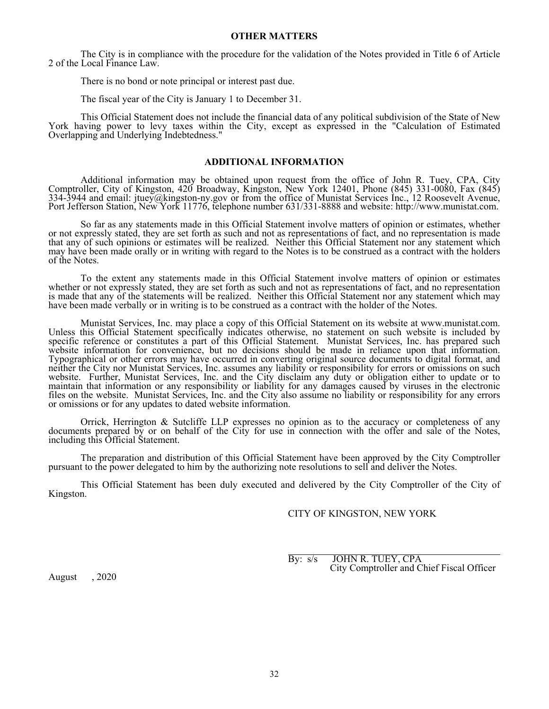The City is in compliance with the procedure for the validation of the Notes provided in Title 6 of Article 2 of the Local Finance Law.

There is no bond or note principal or interest past due.

The fiscal year of the City is January 1 to December 31.

 This Official Statement does not include the financial data of any political subdivision of the State of New York having power to levy taxes within the City, except as expressed in the "Calculation of Estimated Overlapping and Underlying Indebtedness."

#### **ADDITIONAL INFORMATION**

Additional information may be obtained upon request from the office of John R. Tuey, CPA, City<br>Comptroller, City of Kingston, 420 Broadway, Kingston, New York 12401, Phone (845) 331-0080, Fax (845)<br>334-3944 and email: jtue Port Jefferson Station, New York 11776, telephone number 631/331-8888 and website: http://www.munistat.com.

So far as any statements made in this Official Statement involve matters of opinion or estimates, whether<br>or not expressly stated, they are set forth as such and not as representations of fact, and no representation is mad of the Notes.

To the extent any statements made in this Official Statement involve matters of opinion or estimates<br>whether or not expressly stated, they are set forth as such and not as representations of fact, and no representation<br>is

 Munistat Services, Inc. may place a copy of this Official Statement on its website at www.munistat.com. website information for convenience, but no decisions should be made in reliance upon that information.<br>Typographical or other errors may have occurred in converting original source documents to digital format, and<br>neither

 Orrick, Herrington & Sutcliffe LLP expresses no opinion as to the accuracy or completeness of any documents prepared by or on behalf of the City for use in connection with the offer and sale of the Notes, including this Official Statement.

The preparation and distribution of this Official Statement have been approved by the City Comptroller pursuant to the power delegated to him by the authorizing note resolutions to sell and deliver the Notes.

This Official Statement has been duly executed and delivered by the City Comptroller of the City of Kingston.

# CITY OF KINGSTON, NEW YORK

 By: s/s JOHN R. TUEY, CPA City Comptroller and Chief Fiscal Officer

August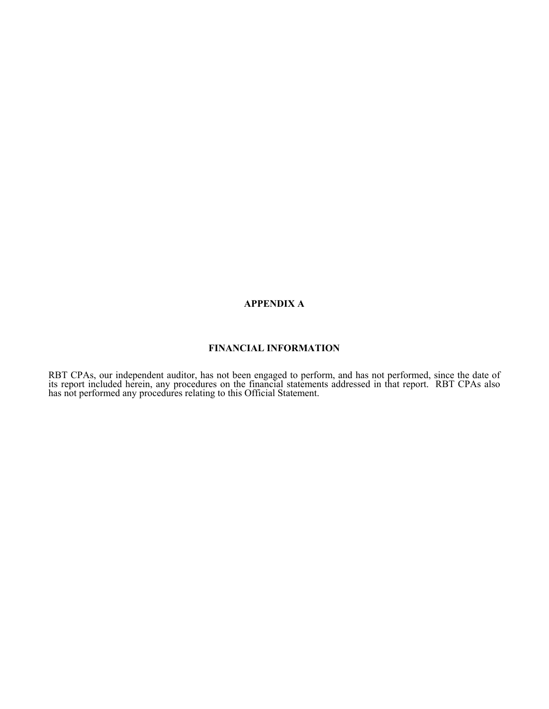### **APPENDIX A**

### **FINANCIAL INFORMATION**

RBT CPAs, our independent auditor, has not been engaged to perform, and has not performed, since the date of its report included herein, any procedures on the financial statements addressed in that report. RBT CPAs also ha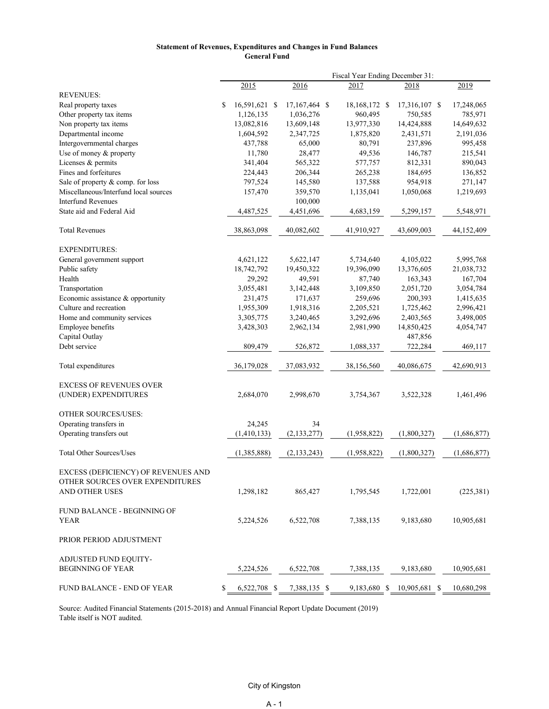#### **Statement of Revenues, Expenditures and Changes in Fund Balances General Fund**

|                                       | Fiscal Year Ending December 31: |               |  |               |  |               |               |  |             |
|---------------------------------------|---------------------------------|---------------|--|---------------|--|---------------|---------------|--|-------------|
|                                       |                                 | 2015          |  | 2016          |  | 2017          | 2018          |  | 2019        |
| <b>REVENUES:</b>                      |                                 |               |  |               |  |               |               |  |             |
| Real property taxes                   | \$                              | 16,591,621 \$ |  | 17,167,464 \$ |  | 18,168,172 \$ | 17,316,107 \$ |  | 17,248,065  |
| Other property tax items              |                                 | 1,126,135     |  | 1,036,276     |  | 960,495       | 750,585       |  | 785,971     |
| Non property tax items                |                                 | 13,082,816    |  | 13,609,148    |  | 13,977,330    | 14,424,888    |  | 14,649,632  |
| Departmental income                   |                                 | 1,604,592     |  | 2,347,725     |  | 1,875,820     | 2,431,571     |  | 2,191,036   |
| Intergovernmental charges             |                                 | 437,788       |  | 65,000        |  | 80,791        | 237,896       |  | 995,458     |
| Use of money & property               |                                 | 11,780        |  | 28,477        |  | 49,536        | 146,787       |  | 215,541     |
| Licenses & permits                    |                                 | 341,404       |  | 565,322       |  | 577,757       | 812,331       |  | 890,043     |
| Fines and forfeitures                 |                                 | 224,443       |  | 206,344       |  | 265,238       | 184,695       |  | 136,852     |
| Sale of property & comp. for loss     |                                 | 797,524       |  | 145,580       |  | 137,588       | 954,918       |  | 271,147     |
| Miscellaneous/Interfund local sources |                                 | 157,470       |  | 359,570       |  | 1,135,041     | 1,050,068     |  | 1,219,693   |
| <b>Interfund Revenues</b>             |                                 |               |  | 100,000       |  |               |               |  |             |
| State aid and Federal Aid             |                                 | 4,487,525     |  | 4,451,696     |  | 4,683,159     | 5,299,157     |  | 5,548,971   |
| <b>Total Revenues</b>                 |                                 | 38,863,098    |  | 40,082,602    |  | 41,910,927    | 43,609,003    |  | 44,152,409  |
| <b>EXPENDITURES:</b>                  |                                 |               |  |               |  |               |               |  |             |
| General government support            |                                 | 4,621,122     |  | 5,622,147     |  | 5,734,640     | 4,105,022     |  | 5,995,768   |
| Public safety                         |                                 | 18,742,792    |  | 19,450,322    |  | 19,396,090    | 13,376,605    |  | 21,038,732  |
| Health                                |                                 | 29,292        |  | 49,591        |  | 87,740        | 163,343       |  | 167,704     |
| Transportation                        |                                 | 3,055,481     |  | 3,142,448     |  | 3,109,850     | 2,051,720     |  | 3,054,784   |
| Economic assistance & opportunity     |                                 | 231,475       |  | 171,637       |  | 259,696       | 200,393       |  | 1,415,635   |
| Culture and recreation                |                                 | 1,955,309     |  | 1,918,316     |  | 2,205,521     | 1,725,462     |  | 2,996,421   |
| Home and community services           |                                 | 3,305,775     |  | 3,240,465     |  | 3,292,696     | 2,403,565     |  | 3,498,005   |
| Employee benefits                     |                                 | 3,428,303     |  | 2,962,134     |  | 2,981,990     | 14,850,425    |  | 4,054,747   |
| Capital Outlay                        |                                 |               |  |               |  |               | 487,856       |  |             |
| Debt service                          |                                 | 809,479       |  | 526,872       |  | 1,088,337     | 722,284       |  | 469,117     |
| Total expenditures                    |                                 | 36,179,028    |  | 37,083,932    |  | 38,156,560    | 40,086,675    |  | 42,690,913  |
| <b>EXCESS OF REVENUES OVER</b>        |                                 |               |  |               |  |               |               |  |             |
| (UNDER) EXPENDITURES                  |                                 | 2,684,070     |  | 2,998,670     |  | 3,754,367     | 3,522,328     |  | 1,461,496   |
| OTHER SOURCES/USES:                   |                                 |               |  |               |  |               |               |  |             |
| Operating transfers in                |                                 | 24,245        |  | 34            |  |               |               |  |             |
| Operating transfers out               |                                 | (1,410,133)   |  | (2, 133, 277) |  | (1,958,822)   | (1,800,327)   |  | (1,686,877) |
| <b>Total Other Sources/Uses</b>       |                                 | (1,385,888)   |  | (2,133,243)   |  | (1,958,822)   | (1,800,327)   |  | (1,686,877) |
| EXCESS (DEFICIENCY) OF REVENUES AND   |                                 |               |  |               |  |               |               |  |             |
| OTHER SOURCES OVER EXPENDITURES       |                                 |               |  |               |  |               |               |  |             |
| AND OTHER USES                        |                                 | 1,298,182     |  | 865,427       |  | 1,795,545     | 1,722,001     |  | (225, 381)  |
| <b>FUND BALANCE - BEGINNING OF</b>    |                                 |               |  |               |  |               |               |  |             |
| YEAR                                  |                                 | 5,224,526     |  | 6,522,708     |  | 7,388,135     | 9,183,680     |  | 10,905,681  |
| PRIOR PERIOD ADJUSTMENT               |                                 |               |  |               |  |               |               |  |             |
| ADJUSTED FUND EQUITY-                 |                                 |               |  |               |  |               |               |  |             |
| <b>BEGINNING OF YEAR</b>              |                                 | 5,224,526     |  | 6,522,708     |  | 7,388,135     | 9,183,680     |  | 10,905,681  |
| FUND BALANCE - END OF YEAR            | \$                              | 6,522,708 \$  |  | 7,388,135 \$  |  | 9,183,680 \$  | 10,905,681 \$ |  | 10,680,298  |

Source: Audited Financial Statements (2015-2018) and Annual Financial Report Update Document (2019) Table itself is NOT audited.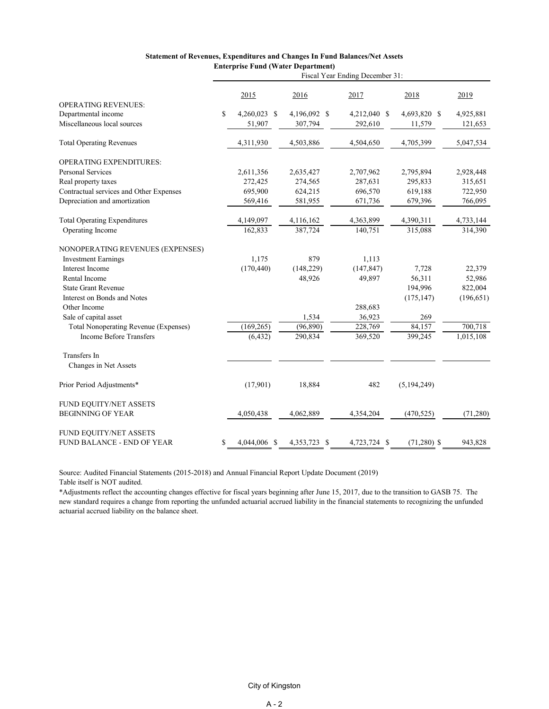|                                         | Fiscal Year Ending December 31: |              |              |              |               |            |
|-----------------------------------------|---------------------------------|--------------|--------------|--------------|---------------|------------|
|                                         |                                 | 2015         | 2016         | 2017         | 2018          | 2019       |
| <b>OPERATING REVENUES:</b>              |                                 |              |              |              |               |            |
| Departmental income                     | \$                              | 4,260,023 \$ | 4,196,092 \$ | 4,212,040 \$ | 4,693,820 \$  | 4,925,881  |
| Miscellaneous local sources             |                                 | 51,907       | 307,794      | 292,610      | 11,579        | 121,653    |
| <b>Total Operating Revenues</b>         |                                 | 4,311,930    | 4,503,886    | 4,504,650    | 4,705,399     | 5,047,534  |
| OPERATING EXPENDITURES:                 |                                 |              |              |              |               |            |
| <b>Personal Services</b>                |                                 | 2,611,356    | 2,635,427    | 2,707,962    | 2,795,894     | 2,928,448  |
| Real property taxes                     |                                 | 272,425      | 274,565      | 287,631      | 295,833       | 315,651    |
| Contractual services and Other Expenses |                                 | 695,900      | 624,215      | 696,570      | 619,188       | 722,950    |
| Depreciation and amortization           |                                 | 569,416      | 581,955      | 671,736      | 679,396       | 766,095    |
| <b>Total Operating Expenditures</b>     |                                 | 4,149,097    | 4,116,162    | 4,363,899    | 4,390,311     | 4,733,144  |
| Operating Income                        |                                 | 162,833      | 387,724      | 140,751      | 315,088       | 314,390    |
| NONOPERATING REVENUES (EXPENSES)        |                                 |              |              |              |               |            |
| <b>Investment Earnings</b>              |                                 | 1,175        | 879          | 1,113        |               |            |
| Interest Income                         |                                 | (170, 440)   | (148, 229)   | (147, 847)   | 7,728         | 22,379     |
| Rental Income                           |                                 |              | 48,926       | 49,897       | 56,311        | 52,986     |
| <b>State Grant Revenue</b>              |                                 |              |              |              | 194,996       | 822,004    |
| Interest on Bonds and Notes             |                                 |              |              |              | (175, 147)    | (196, 651) |
| Other Income                            |                                 |              |              | 288,683      |               |            |
| Sale of capital asset                   |                                 |              | 1,534        | 36,923       | 269           |            |
| Total Nonoperating Revenue (Expenses)   |                                 | (169, 265)   | (96, 890)    | 228,769      | 84,157        | 700,718    |
| <b>Income Before Transfers</b>          |                                 | (6, 432)     | 290,834      | 369,520      | 399,245       | 1,015,108  |
| Transfers In                            |                                 |              |              |              |               |            |
| Changes in Net Assets                   |                                 |              |              |              |               |            |
| Prior Period Adjustments*               |                                 | (17,901)     | 18,884       | 482          | (5, 194, 249) |            |
| FUND EQUITY/NET ASSETS                  |                                 |              |              |              |               |            |
| <b>BEGINNING OF YEAR</b>                |                                 | 4,050,438    | 4,062,889    | 4,354,204    | (470, 525)    | (71, 280)  |
| FUND EQUITY/NET ASSETS                  |                                 |              |              |              |               |            |
| FUND BALANCE - END OF YEAR              | \$                              | 4,044,006 \$ | 4,353,723 \$ | 4,723,724 \$ | $(71,280)$ \$ | 943,828    |

#### **Statement of Revenues, Expenditures and Changes In Fund Balances/Net Assets Enterprise Fund (Water Department)**

Source: Audited Financial Statements (2015-2018) and Annual Financial Report Update Document (2019) Table itself is NOT audited.

\*Adjustments reflect the accounting changes effective for fiscal years beginning after June 15, 2017, due to the transition to GASB 75. The new standard requires a change from reporting the unfunded actuarial accrued liability in the financial statements to recognizing the unfunded actuarial accrued liability on the balance sheet.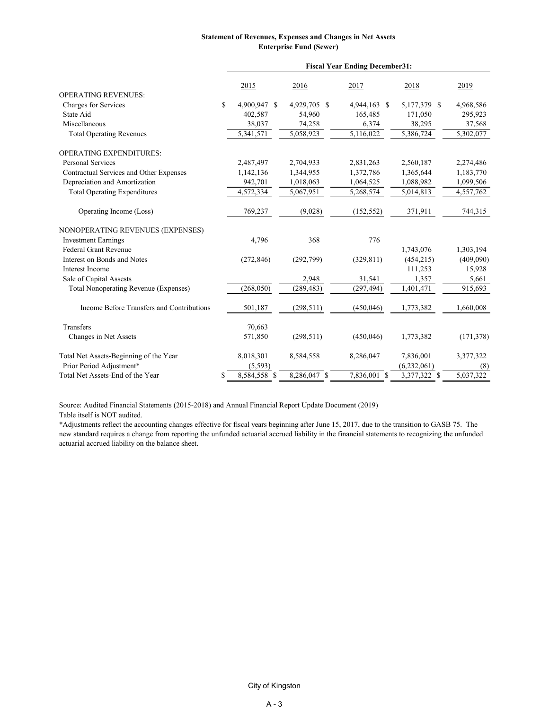#### **Statement of Revenues, Expenses and Changes in Net Assets Enterprise Fund (Sewer)**

|                                              | <b>Fiscal Year Ending December31:</b> |              |              |  |              |  |            |
|----------------------------------------------|---------------------------------------|--------------|--------------|--|--------------|--|------------|
|                                              | 2015                                  | 2016         | 2017         |  | 2018         |  | 2019       |
| <b>OPERATING REVENUES:</b>                   |                                       |              |              |  |              |  |            |
| Charges for Services                         | \$<br>4,900,947 \$                    | 4,929,705 \$ | 4,944,163 \$ |  | 5,177,379 \$ |  | 4,968,586  |
| State Aid                                    | 402,587                               | 54,960       | 165,485      |  | 171,050      |  | 295,923    |
| Miscellaneous                                | 38,037                                | 74,258       | 6,374        |  | 38,295       |  | 37,568     |
| <b>Total Operating Revenues</b>              | 5,341,571                             | 5,058,923    | 5,116,022    |  | 5,386,724    |  | 5,302,077  |
| <b>OPERATING EXPENDITURES:</b>               |                                       |              |              |  |              |  |            |
| <b>Personal Services</b>                     | 2,487,497                             | 2,704,933    | 2,831,263    |  | 2,560,187    |  | 2,274,486  |
| Contractual Services and Other Expenses      | 1,142,136                             | 1,344,955    | 1,372,786    |  | 1,365,644    |  | 1,183,770  |
| Depreciation and Amortization                | 942,701                               | 1,018,063    | 1,064,525    |  | 1,088,982    |  | 1,099,506  |
| <b>Total Operating Expenditures</b>          | 4,572,334                             | 5,067,951    | 5,268,574    |  | 5,014,813    |  | 4,557,762  |
| Operating Income (Loss)                      | 769,237                               | (9,028)      | (152, 552)   |  | 371,911      |  | 744,315    |
| NONOPERATING REVENUES (EXPENSES)             |                                       |              |              |  |              |  |            |
| <b>Investment Earnings</b>                   | 4,796                                 | 368          | 776          |  |              |  |            |
| <b>Federal Grant Revenue</b>                 |                                       |              |              |  | 1,743,076    |  | 1,303,194  |
| Interest on Bonds and Notes                  | (272, 846)                            | (292,799)    | (329, 811)   |  | (454, 215)   |  | (409,090)  |
| Interest Income                              |                                       |              |              |  | 111,253      |  | 15,928     |
| Sale of Capital Assests                      |                                       | 2,948        | 31,541       |  | 1,357        |  | 5,661      |
| <b>Total Nonoperating Revenue (Expenses)</b> | (268, 050)                            | (289, 483)   | (297, 494)   |  | 1,401,471    |  | 915,693    |
| Income Before Transfers and Contributions    | 501,187                               | (298, 511)   | (450,046)    |  | 1,773,382    |  | 1,660,008  |
| Transfers                                    | 70,663                                |              |              |  |              |  |            |
| Changes in Net Assets                        | 571,850                               | (298, 511)   | (450,046)    |  | 1,773,382    |  | (171, 378) |
| Total Net Assets-Beginning of the Year       | 8,018,301                             | 8,584,558    | 8,286,047    |  | 7,836,001    |  | 3,377,322  |
| Prior Period Adjustment*                     | (5,593)                               |              |              |  | (6,232,061)  |  | (8)        |
| Total Net Assets-End of the Year             | \$<br>8,584,558 \$                    | 8,286,047 \$ | 7,836,001 \$ |  | 3,377,322 \$ |  | 5,037,322  |

Source: Audited Financial Statements (2015-2018) and Annual Financial Report Update Document (2019)

Table itself is NOT audited.

\*Adjustments reflect the accounting changes effective for fiscal years beginning after June 15, 2017, due to the transition to GASB 75. The new standard requires a change from reporting the unfunded actuarial accrued liability in the financial statements to recognizing the unfunded actuarial accrued liability on the balance sheet.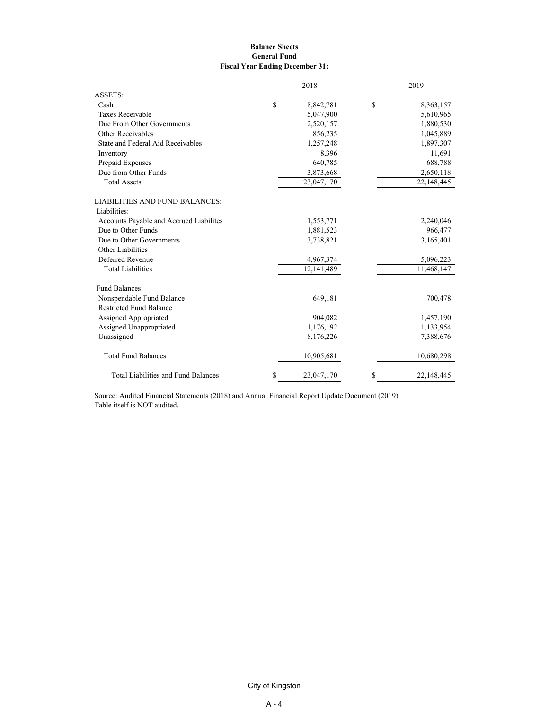#### **Balance Sheets General Fund Fiscal Year Ending December 31:**

| ASSETS:<br>\$<br>\$<br>Cash<br>8,842,781<br>Taxes Receivable<br>5,047,900<br>Due From Other Governments<br>2,520,157<br>Other Receivables<br>856,235<br>State and Federal Aid Receivables<br>1,257,248<br>8,396<br>Inventory<br>Prepaid Expenses<br>640,785<br>Due from Other Funds<br>3,873,668<br><b>Total Assets</b><br>23,047,170<br>Liabilities:<br>Accounts Payable and Accrued Liabilites<br>1,553,771<br>Due to Other Funds<br>1,881,523<br>Due to Other Governments<br>3,738,821<br>Other Liabilities<br>Deferred Revenue<br>4,967,374<br><b>Total Liabilities</b><br>12,141,489<br>Fund Balances:<br>Nonspendable Fund Balance<br>649,181<br><b>Restricted Fund Balance</b><br>Assigned Appropriated<br>904,082<br>Assigned Unappropriated<br>1,176,192<br>Unassigned<br>8,176,226<br><b>Total Fund Balances</b><br>10,905,681 | 2019       |
|------------------------------------------------------------------------------------------------------------------------------------------------------------------------------------------------------------------------------------------------------------------------------------------------------------------------------------------------------------------------------------------------------------------------------------------------------------------------------------------------------------------------------------------------------------------------------------------------------------------------------------------------------------------------------------------------------------------------------------------------------------------------------------------------------------------------------------------|------------|
| LIABILITIES AND FUND BALANCES:                                                                                                                                                                                                                                                                                                                                                                                                                                                                                                                                                                                                                                                                                                                                                                                                           |            |
|                                                                                                                                                                                                                                                                                                                                                                                                                                                                                                                                                                                                                                                                                                                                                                                                                                          | 8,363,157  |
|                                                                                                                                                                                                                                                                                                                                                                                                                                                                                                                                                                                                                                                                                                                                                                                                                                          | 5,610,965  |
|                                                                                                                                                                                                                                                                                                                                                                                                                                                                                                                                                                                                                                                                                                                                                                                                                                          | 1,880,530  |
|                                                                                                                                                                                                                                                                                                                                                                                                                                                                                                                                                                                                                                                                                                                                                                                                                                          | 1,045,889  |
|                                                                                                                                                                                                                                                                                                                                                                                                                                                                                                                                                                                                                                                                                                                                                                                                                                          | 1,897,307  |
|                                                                                                                                                                                                                                                                                                                                                                                                                                                                                                                                                                                                                                                                                                                                                                                                                                          | 11,691     |
|                                                                                                                                                                                                                                                                                                                                                                                                                                                                                                                                                                                                                                                                                                                                                                                                                                          | 688,788    |
|                                                                                                                                                                                                                                                                                                                                                                                                                                                                                                                                                                                                                                                                                                                                                                                                                                          | 2,650,118  |
|                                                                                                                                                                                                                                                                                                                                                                                                                                                                                                                                                                                                                                                                                                                                                                                                                                          | 22,148,445 |
|                                                                                                                                                                                                                                                                                                                                                                                                                                                                                                                                                                                                                                                                                                                                                                                                                                          |            |
|                                                                                                                                                                                                                                                                                                                                                                                                                                                                                                                                                                                                                                                                                                                                                                                                                                          |            |
|                                                                                                                                                                                                                                                                                                                                                                                                                                                                                                                                                                                                                                                                                                                                                                                                                                          | 2,240,046  |
|                                                                                                                                                                                                                                                                                                                                                                                                                                                                                                                                                                                                                                                                                                                                                                                                                                          | 966,477    |
|                                                                                                                                                                                                                                                                                                                                                                                                                                                                                                                                                                                                                                                                                                                                                                                                                                          | 3,165,401  |
|                                                                                                                                                                                                                                                                                                                                                                                                                                                                                                                                                                                                                                                                                                                                                                                                                                          |            |
|                                                                                                                                                                                                                                                                                                                                                                                                                                                                                                                                                                                                                                                                                                                                                                                                                                          | 5,096,223  |
|                                                                                                                                                                                                                                                                                                                                                                                                                                                                                                                                                                                                                                                                                                                                                                                                                                          | 11,468,147 |
|                                                                                                                                                                                                                                                                                                                                                                                                                                                                                                                                                                                                                                                                                                                                                                                                                                          |            |
|                                                                                                                                                                                                                                                                                                                                                                                                                                                                                                                                                                                                                                                                                                                                                                                                                                          | 700,478    |
|                                                                                                                                                                                                                                                                                                                                                                                                                                                                                                                                                                                                                                                                                                                                                                                                                                          |            |
|                                                                                                                                                                                                                                                                                                                                                                                                                                                                                                                                                                                                                                                                                                                                                                                                                                          | 1,457,190  |
|                                                                                                                                                                                                                                                                                                                                                                                                                                                                                                                                                                                                                                                                                                                                                                                                                                          | 1,133,954  |
|                                                                                                                                                                                                                                                                                                                                                                                                                                                                                                                                                                                                                                                                                                                                                                                                                                          | 7,388,676  |
|                                                                                                                                                                                                                                                                                                                                                                                                                                                                                                                                                                                                                                                                                                                                                                                                                                          | 10,680,298 |
| \$<br>\$<br><b>Total Liabilities and Fund Balances</b><br>23,047,170                                                                                                                                                                                                                                                                                                                                                                                                                                                                                                                                                                                                                                                                                                                                                                     | 22,148,445 |

Source: Audited Financial Statements (2018) and Annual Financial Report Update Document (2019) Table itself is NOT audited.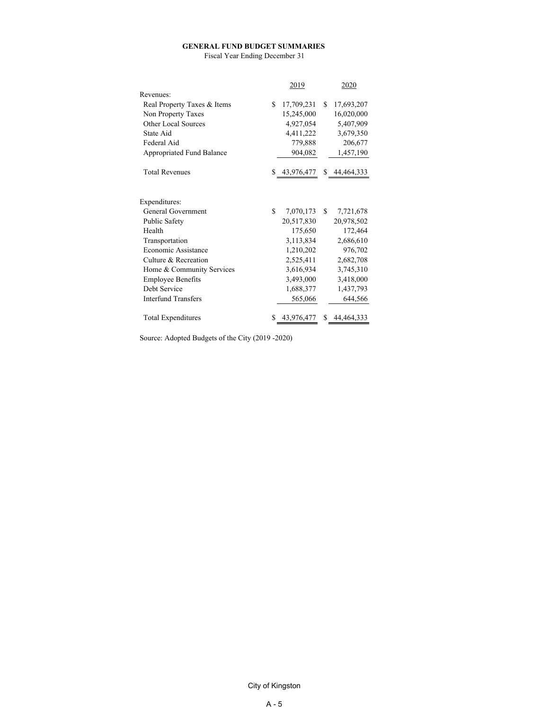#### **GENERAL FUND BUDGET SUMMARIES**

Fiscal Year Ending December 31

|                             | 2019             |     | 2020         |
|-----------------------------|------------------|-----|--------------|
| Revenues:                   |                  |     |              |
| Real Property Taxes & Items | \$<br>17,709,231 | \$. | 17,693,207   |
| Non Property Taxes          | 15,245,000       |     | 16,020,000   |
| Other Local Sources         | 4,927,054        |     | 5,407,909    |
| State Aid                   | 4,411,222        |     | 3,679,350    |
| Federal Aid                 | 779,888          |     | 206,677      |
| Appropriated Fund Balance   | 904,082          |     | 1,457,190    |
|                             |                  |     |              |
| <b>Total Revenues</b>       | \$43,976,477     |     | \$44,464,333 |
|                             |                  |     |              |
| Expenditures:               |                  |     |              |
| General Government          | \$<br>7,070,173  | \$  | 7,721,678    |
| Public Safety               | 20,517,830       |     | 20,978,502   |
| Health                      | 175,650          |     | 172,464      |
| Transportation              | 3,113,834        |     | 2,686,610    |
| Economic Assistance         | 1,210,202        |     | 976,702      |
| Culture & Recreation        | 2,525,411        |     | 2,682,708    |
| Home & Community Services   | 3,616,934        |     | 3,745,310    |
| <b>Employee Benefits</b>    | 3,493,000        |     | 3,418,000    |
| Debt Service                | 1,688,377        |     | 1,437,793    |
| <b>Interfund Transfers</b>  | 565,066          |     | 644,566      |
| Total Expenditures          | \$<br>43,976,477 | \$  | 44, 464, 333 |

Source: Adopted Budgets of the City (2019 -2020)

City of Kingston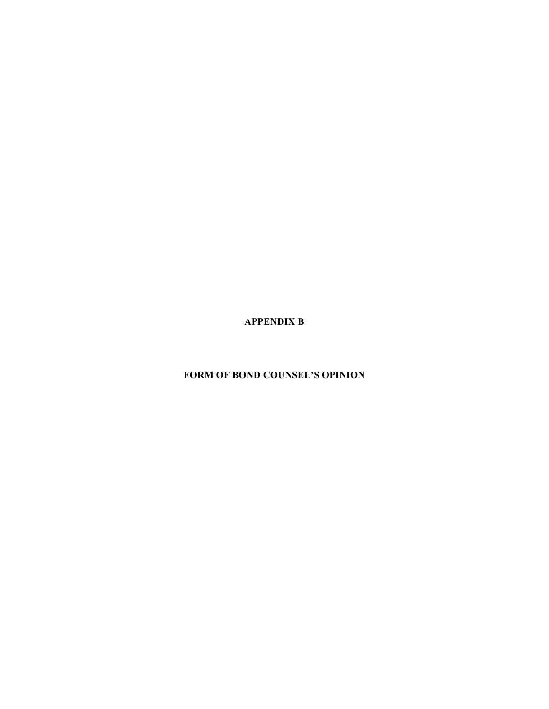**APPENDIX B** 

 **FORM OF BOND COUNSEL'S OPINION**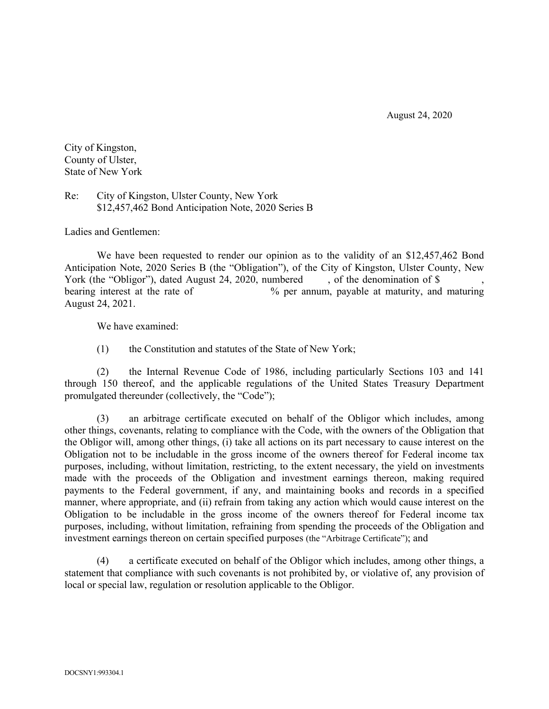August 24, 2020

City of Kingston, County of Ulster, State of New York

Re: City of Kingston, Ulster County, New York \$12,457,462 Bond Anticipation Note, 2020 Series B

Ladies and Gentlemen:

We have been requested to render our opinion as to the validity of an \$12,457,462 Bond Anticipation Note, 2020 Series B (the "Obligation"), of the City of Kingston, Ulster County, New York (the "Obligor"), dated August 24, 2020, numbered, so the denomination of \$ bearing interest at the rate of  $\%$  per annum, payable at maturity, and maturing August 24, 2021.

We have examined:

(1) the Constitution and statutes of the State of New York;

(2) the Internal Revenue Code of 1986, including particularly Sections 103 and 141 through 150 thereof, and the applicable regulations of the United States Treasury Department promulgated thereunder (collectively, the "Code");

(3) an arbitrage certificate executed on behalf of the Obligor which includes, among other things, covenants, relating to compliance with the Code, with the owners of the Obligation that the Obligor will, among other things, (i) take all actions on its part necessary to cause interest on the Obligation not to be includable in the gross income of the owners thereof for Federal income tax purposes, including, without limitation, restricting, to the extent necessary, the yield on investments made with the proceeds of the Obligation and investment earnings thereon, making required payments to the Federal government, if any, and maintaining books and records in a specified manner, where appropriate, and (ii) refrain from taking any action which would cause interest on the Obligation to be includable in the gross income of the owners thereof for Federal income tax purposes, including, without limitation, refraining from spending the proceeds of the Obligation and investment earnings thereon on certain specified purposes (the "Arbitrage Certificate"); and

(4) a certificate executed on behalf of the Obligor which includes, among other things, a statement that compliance with such covenants is not prohibited by, or violative of, any provision of local or special law, regulation or resolution applicable to the Obligor.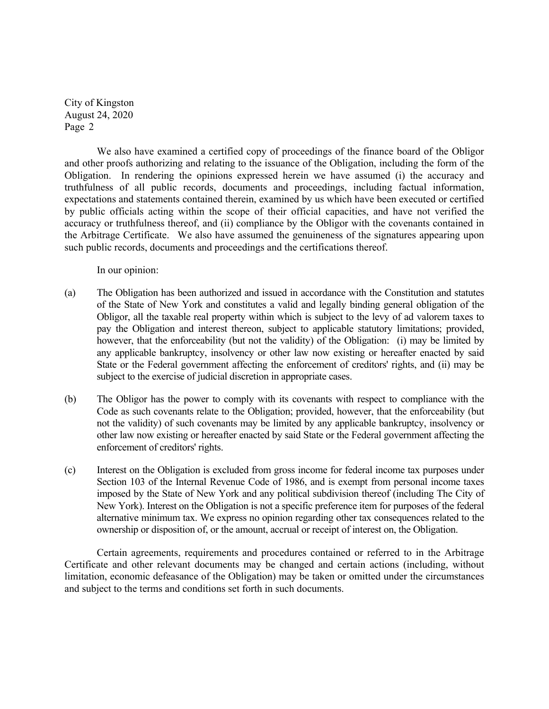City of Kingston August 24, 2020 Page 2

We also have examined a certified copy of proceedings of the finance board of the Obligor and other proofs authorizing and relating to the issuance of the Obligation, including the form of the Obligation. In rendering the opinions expressed herein we have assumed (i) the accuracy and truthfulness of all public records, documents and proceedings, including factual information, expectations and statements contained therein, examined by us which have been executed or certified by public officials acting within the scope of their official capacities, and have not verified the accuracy or truthfulness thereof, and (ii) compliance by the Obligor with the covenants contained in the Arbitrage Certificate. We also have assumed the genuineness of the signatures appearing upon such public records, documents and proceedings and the certifications thereof.

In our opinion:

- (a) The Obligation has been authorized and issued in accordance with the Constitution and statutes of the State of New York and constitutes a valid and legally binding general obligation of the Obligor, all the taxable real property within which is subject to the levy of ad valorem taxes to pay the Obligation and interest thereon, subject to applicable statutory limitations; provided, however, that the enforceability (but not the validity) of the Obligation: (i) may be limited by any applicable bankruptcy, insolvency or other law now existing or hereafter enacted by said State or the Federal government affecting the enforcement of creditors' rights, and (ii) may be subject to the exercise of judicial discretion in appropriate cases.
- (b) The Obligor has the power to comply with its covenants with respect to compliance with the Code as such covenants relate to the Obligation; provided, however, that the enforceability (but not the validity) of such covenants may be limited by any applicable bankruptcy, insolvency or other law now existing or hereafter enacted by said State or the Federal government affecting the enforcement of creditors' rights.
- (c) Interest on the Obligation is excluded from gross income for federal income tax purposes under Section 103 of the Internal Revenue Code of 1986, and is exempt from personal income taxes imposed by the State of New York and any political subdivision thereof (including The City of New York). Interest on the Obligation is not a specific preference item for purposes of the federal alternative minimum tax. We express no opinion regarding other tax consequences related to the ownership or disposition of, or the amount, accrual or receipt of interest on, the Obligation.

Certain agreements, requirements and procedures contained or referred to in the Arbitrage Certificate and other relevant documents may be changed and certain actions (including, without limitation, economic defeasance of the Obligation) may be taken or omitted under the circumstances and subject to the terms and conditions set forth in such documents.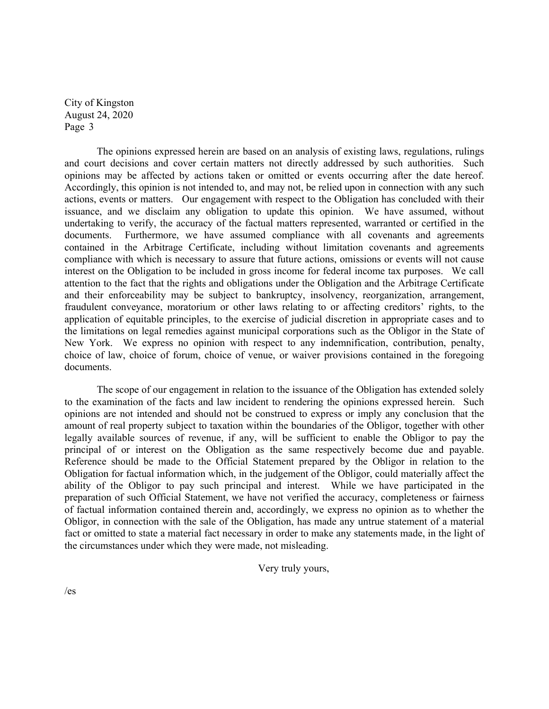City of Kingston August 24, 2020 Page 3

The opinions expressed herein are based on an analysis of existing laws, regulations, rulings and court decisions and cover certain matters not directly addressed by such authorities. Such opinions may be affected by actions taken or omitted or events occurring after the date hereof. Accordingly, this opinion is not intended to, and may not, be relied upon in connection with any such actions, events or matters.Our engagement with respect to the Obligation has concluded with their issuance, and we disclaim any obligation to update this opinion. We have assumed, without undertaking to verify, the accuracy of the factual matters represented, warranted or certified in the documents. Furthermore, we have assumed compliance with all covenants and agreements contained in the Arbitrage Certificate, including without limitation covenants and agreements compliance with which is necessary to assure that future actions, omissions or events will not cause interest on the Obligation to be included in gross income for federal income tax purposes. We call attention to the fact that the rights and obligations under the Obligation and the Arbitrage Certificate and their enforceability may be subject to bankruptcy, insolvency, reorganization, arrangement, fraudulent conveyance, moratorium or other laws relating to or affecting creditors' rights, to the application of equitable principles, to the exercise of judicial discretion in appropriate cases and to the limitations on legal remedies against municipal corporations such as the Obligor in the State of New York. We express no opinion with respect to any indemnification, contribution, penalty, choice of law, choice of forum, choice of venue, or waiver provisions contained in the foregoing documents.

The scope of our engagement in relation to the issuance of the Obligation has extended solely to the examination of the facts and law incident to rendering the opinions expressed herein. Such opinions are not intended and should not be construed to express or imply any conclusion that the amount of real property subject to taxation within the boundaries of the Obligor, together with other legally available sources of revenue, if any, will be sufficient to enable the Obligor to pay the principal of or interest on the Obligation as the same respectively become due and payable. Reference should be made to the Official Statement prepared by the Obligor in relation to the Obligation for factual information which, in the judgement of the Obligor, could materially affect the ability of the Obligor to pay such principal and interest. While we have participated in the preparation of such Official Statement, we have not verified the accuracy, completeness or fairness of factual information contained therein and, accordingly, we express no opinion as to whether the Obligor, in connection with the sale of the Obligation, has made any untrue statement of a material fact or omitted to state a material fact necessary in order to make any statements made, in the light of the circumstances under which they were made, not misleading.

Very truly yours,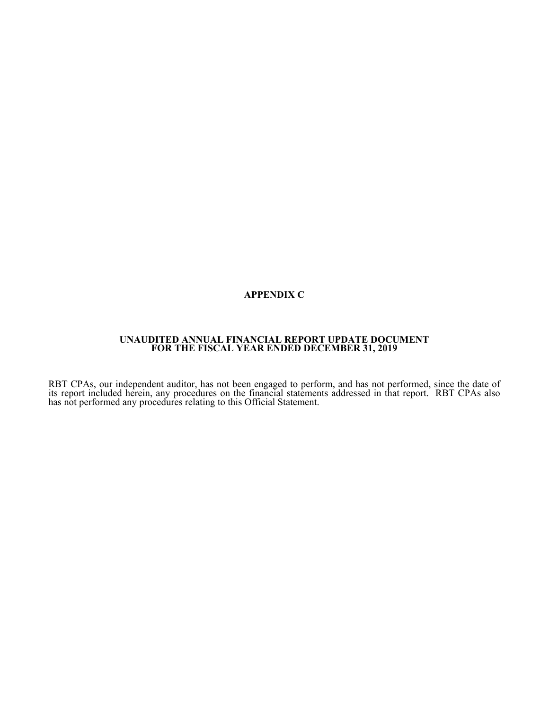# **APPENDIX C**

### **UNAUDITED ANNUAL FINANCIAL REPORT UPDATE DOCUMENT FOR THE FISCAL YEAR ENDED DECEMBER 31, 2019**

RBT CPAs, our independent auditor, has not been engaged to perform, and has not performed, since the date of its report included herein, any procedures on the financial statements addressed in that report. RBT CPAs also ha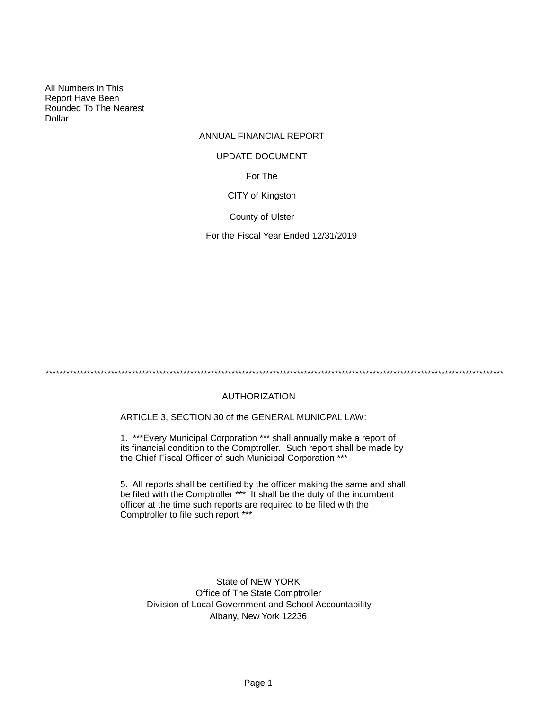All Numbers in This Report Have Been Rounded To The Nearest Dollar

# ANNUAL FINANCIAL REPORT

### UPDATE DOCUMENT

For The

CITY of Kingston

County of Ulster

For the Fiscal Year Ended 12/31/2019

\*\*\*\*\*\*\*\*\*\*\*\*\*\*\*\*\*\*\*\*\*\*\*\*\*\*\*\*\*\*\*\*\*\*\*\*\*\*\*\*\*\*\*\*\*\*\*\*\*\*\*\*\*\*\*\*\*\*\*\*\*\*\*\*\*\*\*\*\*\*\*\*\*\*\*\*\*\*\*\*\*\*\*\*\*\*\*\*\*\*\*\*\*\*\*\*\*\*\*\*\*\*\*\*\*\*\*\*\*\*\*\*\*\*\*\*\*\*\*\*\*\*\*\*\*\*\*\*\*\*\*\*\*

# AUTHORIZATION

ARTICLE 3, SECTION 30 of the GENERAL MUNICPAL LAW:

1. \*\*\*Every Municipal Corporation \*\*\* shall annually make a report of its financial condition to the Comptroller. Such report shall be made by the Chief Fiscal Officer of such Municipal Corporation \*\*\*

5. All reports shall be certified by the officer making the same and shall be filed with the Comptroller \*\*\* It shall be the duty of the incumbent officer at the time such reports are required to be filed with the Comptroller to file such report \*\*\*

State of NEW YORK Office of The State Comptroller Division of Local Government and School Accountability Albany, New York 12236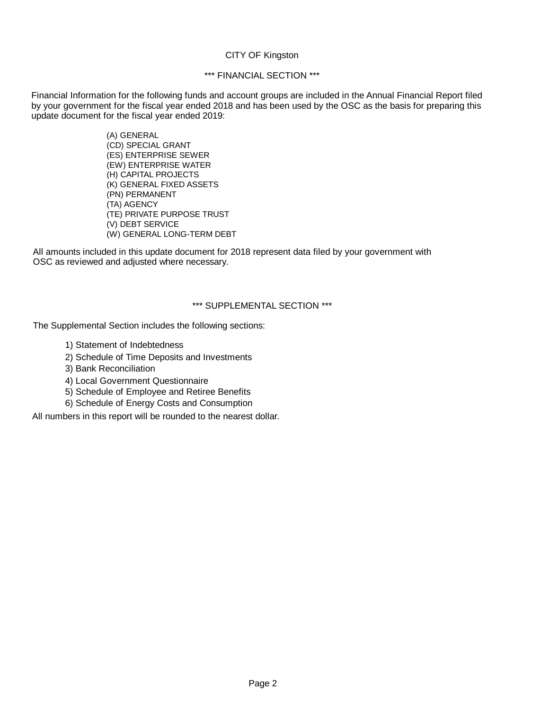### CITY OF Kingston

# \*\*\* FINANCIAL SECTION \*\*\*

Financial Information for the following funds and account groups are included in the Annual Financial Report filed by your government for the fiscal year ended 2018 and has been used by the OSC as the basis for preparing this update document for the fiscal year ended 2019:

> (A) GENERAL (CD) SPECIAL GRANT (ES) ENTERPRISE SEWER (EW) ENTERPRISE WATER (H) CAPITAL PROJECTS (K) GENERAL FIXED ASSETS (PN) PERMANENT (TA) AGENCY (TE) PRIVATE PURPOSE TRUST (V) DEBT SERVICE (W) GENERAL LONG-TERM DEBT

All amounts included in this update document for 2018 represent data filed by your government with OSC as reviewed and adjusted where necessary.

# \*\*\* SUPPLEMENTAL SECTION \*\*\*

The Supplemental Section includes the following sections:

- 1) Statement of Indebtedness
- 2) Schedule of Time Deposits and Investments
- 3) Bank Reconciliation
- 4) Local Government Questionnaire
- 5) Schedule of Employee and Retiree Benefits
- 6) Schedule of Energy Costs and Consumption

All numbers in this report will be rounded to the nearest dollar.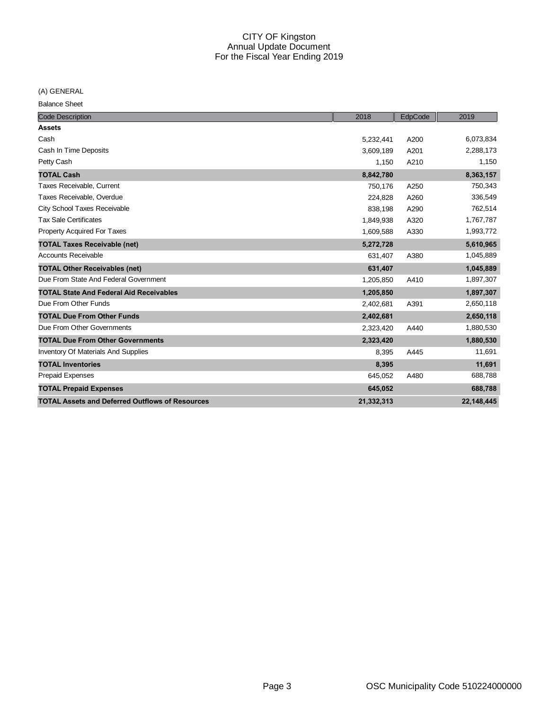(A) GENERAL

Balance Sheet

| <b>Code Description</b>                                | 2018       | EdpCode | 2019       |
|--------------------------------------------------------|------------|---------|------------|
| <b>Assets</b>                                          |            |         |            |
| Cash                                                   | 5,232,441  | A200    | 6,073,834  |
| Cash In Time Deposits                                  | 3,609,189  | A201    | 2,288,173  |
| Petty Cash                                             | 1,150      | A210    | 1,150      |
| <b>TOTAL Cash</b>                                      | 8,842,780  |         | 8,363,157  |
| Taxes Receivable, Current                              | 750,176    | A250    | 750,343    |
| Taxes Receivable, Overdue                              | 224,828    | A260    | 336,549    |
| <b>City School Taxes Receivable</b>                    | 838,198    | A290    | 762,514    |
| <b>Tax Sale Certificates</b>                           | 1,849,938  | A320    | 1,767,787  |
| Property Acquired For Taxes                            | 1,609,588  | A330    | 1,993,772  |
| <b>TOTAL Taxes Receivable (net)</b>                    | 5,272,728  |         | 5,610,965  |
| <b>Accounts Receivable</b>                             | 631,407    | A380    | 1,045,889  |
| <b>TOTAL Other Receivables (net)</b>                   | 631,407    |         | 1,045,889  |
| Due From State And Federal Government                  | 1,205,850  | A410    | 1,897,307  |
| <b>TOTAL State And Federal Aid Receivables</b>         | 1,205,850  |         | 1,897,307  |
| Due From Other Funds                                   | 2,402,681  | A391    | 2,650,118  |
| <b>TOTAL Due From Other Funds</b>                      | 2,402,681  |         | 2,650,118  |
| Due From Other Governments                             | 2,323,420  | A440    | 1,880,530  |
| <b>TOTAL Due From Other Governments</b>                | 2,323,420  |         | 1,880,530  |
| <b>Inventory Of Materials And Supplies</b>             | 8,395      | A445    | 11,691     |
| <b>TOTAL Inventories</b>                               | 8,395      |         | 11,691     |
| <b>Prepaid Expenses</b>                                | 645,052    | A480    | 688,788    |
| <b>TOTAL Prepaid Expenses</b>                          | 645,052    |         | 688,788    |
| <b>TOTAL Assets and Deferred Outflows of Resources</b> | 21,332,313 |         | 22.148.445 |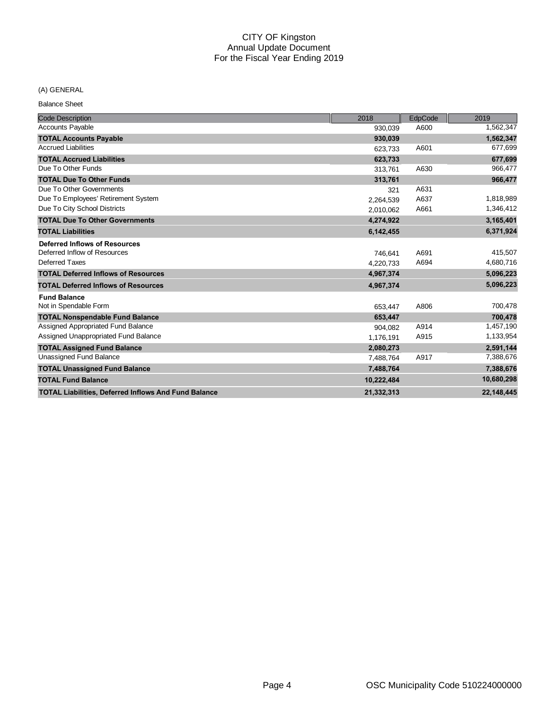#### (A) GENERAL

Balance Sheet

| <b>Code Description</b>                                     | 2018       | EdpCode | 2019       |
|-------------------------------------------------------------|------------|---------|------------|
| <b>Accounts Payable</b>                                     | 930.039    | A600    | 1,562,347  |
| <b>TOTAL Accounts Payable</b>                               | 930,039    |         | 1,562,347  |
| <b>Accrued Liabilities</b>                                  | 623,733    | A601    | 677,699    |
| <b>TOTAL Accrued Liabilities</b>                            | 623,733    |         | 677,699    |
| Due To Other Funds                                          | 313,761    | A630    | 966,477    |
| <b>TOTAL Due To Other Funds</b>                             | 313,761    |         | 966,477    |
| Due To Other Governments                                    | 321        | A631    |            |
| Due To Employees' Retirement System                         | 2,264,539  | A637    | 1,818,989  |
| Due To City School Districts                                | 2,010,062  | A661    | 1,346,412  |
| <b>TOTAL Due To Other Governments</b>                       | 4,274,922  |         | 3,165,401  |
| <b>TOTAL Liabilities</b>                                    | 6,142,455  |         | 6,371,924  |
| <b>Deferred Inflows of Resources</b>                        |            |         |            |
| Deferred Inflow of Resources                                | 746,641    | A691    | 415,507    |
| Deferred Taxes                                              | 4,220,733  | A694    | 4,680,716  |
| <b>TOTAL Deferred Inflows of Resources</b>                  | 4,967,374  |         | 5,096,223  |
| <b>TOTAL Deferred Inflows of Resources</b>                  | 4,967,374  |         | 5,096,223  |
| <b>Fund Balance</b>                                         |            |         |            |
| Not in Spendable Form                                       | 653,447    | A806    | 700,478    |
| <b>TOTAL Nonspendable Fund Balance</b>                      | 653,447    |         | 700,478    |
| Assigned Appropriated Fund Balance                          | 904,082    | A914    | 1,457,190  |
| Assigned Unappropriated Fund Balance                        | 1,176,191  | A915    | 1,133,954  |
| <b>TOTAL Assigned Fund Balance</b>                          | 2,080,273  |         | 2,591,144  |
| <b>Unassigned Fund Balance</b>                              | 7,488,764  | A917    | 7,388,676  |
| <b>TOTAL Unassigned Fund Balance</b>                        | 7,488,764  |         | 7,388,676  |
| <b>TOTAL Fund Balance</b>                                   | 10,222,484 |         | 10,680,298 |
| <b>TOTAL Liabilities, Deferred Inflows And Fund Balance</b> | 21.332.313 |         | 22.148.445 |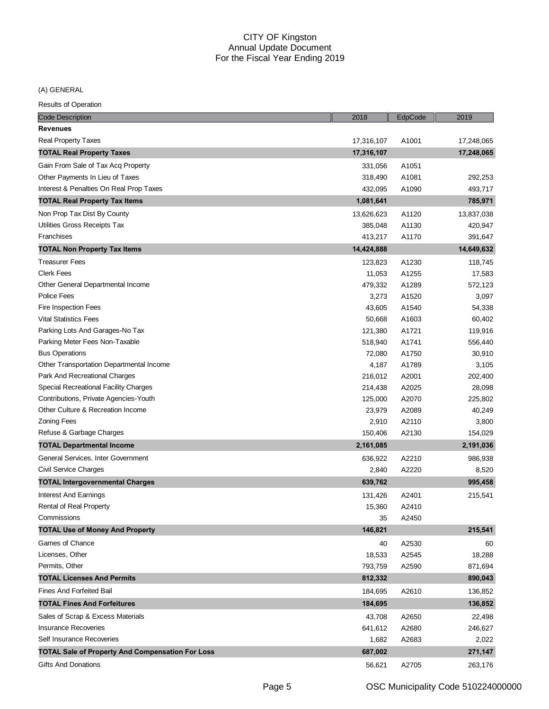(A) GENERAL

| <b>Code Description</b>                                 | 2018       | EdpCode | 2019       |
|---------------------------------------------------------|------------|---------|------------|
| <b>Revenues</b>                                         |            |         |            |
| Real Property Taxes                                     | 17,316,107 | A1001   | 17,248,065 |
| <b>TOTAL Real Property Taxes</b>                        | 17,316,107 |         | 17,248,065 |
| Gain From Sale of Tax Acq Property                      | 331,056    | A1051   |            |
| Other Payments In Lieu of Taxes                         | 318,490    | A1081   | 292,253    |
| Interest & Penalties On Real Prop Taxes                 | 432,095    | A1090   | 493,717    |
| <b>TOTAL Real Property Tax Items</b>                    | 1,081,641  |         | 785,971    |
| Non Prop Tax Dist By County                             | 13,626,623 | A1120   | 13,837,038 |
| Utilities Gross Receipts Tax                            | 385,048    | A1130   | 420,947    |
| Franchises                                              | 413,217    | A1170   | 391,647    |
| <b>TOTAL Non Property Tax Items</b>                     | 14,424,888 |         | 14,649,632 |
| <b>Treasurer Fees</b>                                   | 123,823    | A1230   | 118,745    |
| <b>Clerk Fees</b>                                       | 11,053     | A1255   | 17,583     |
| Other General Departmental Income                       | 479,332    | A1289   | 572,123    |
| <b>Police Fees</b>                                      | 3,273      | A1520   | 3,097      |
| Fire Inspection Fees                                    | 43,605     | A1540   | 54,338     |
| <b>Vital Statistics Fees</b>                            | 50,668     | A1603   | 60,402     |
| Parking Lots And Garages-No Tax                         | 121,380    | A1721   | 119,916    |
| Parking Meter Fees Non-Taxable                          | 518,940    | A1741   | 556,440    |
| <b>Bus Operations</b>                                   | 72,080     | A1750   | 30,910     |
| Other Transportation Departmental Income                | 4,187      | A1789   | 3,105      |
| Park And Recreational Charges                           | 216,012    | A2001   | 202,400    |
| Special Recreational Facility Charges                   | 214,438    | A2025   | 28,098     |
| Contributions, Private Agencies-Youth                   | 125,000    | A2070   | 225,802    |
| Other Culture & Recreation Income                       | 23,979     | A2089   | 40,249     |
| <b>Zoning Fees</b>                                      | 2,910      | A2110   | 3,800      |
| Refuse & Garbage Charges                                | 150,406    | A2130   | 154,029    |
| <b>TOTAL Departmental Income</b>                        | 2,161,085  |         | 2,191,036  |
| General Services, Inter Government                      | 636,922    | A2210   | 986,938    |
| Civil Service Charges                                   | 2,840      | A2220   | 8,520      |
| <b>TOTAL Intergovernmental Charges</b>                  | 639,762    |         | 995,458    |
| <b>Interest And Earnings</b>                            | 131,426    | A2401   | 215,541    |
| Rental of Real Property                                 | 15,360     | A2410   |            |
| Commissions                                             | 35         | A2450   |            |
| <b>TOTAL Use of Money And Property</b>                  | 146,821    |         | 215,541    |
| Games of Chance                                         | 40         | A2530   | 60         |
| Licenses, Other                                         | 18,533     | A2545   | 18,288     |
| Permits, Other                                          | 793,759    | A2590   | 871,694    |
| <b>TOTAL Licenses And Permits</b>                       | 812,332    |         | 890,043    |
| <b>Fines And Forfeited Bail</b>                         | 184,695    | A2610   | 136,852    |
| <b>TOTAL Fines And Forfeitures</b>                      | 184,695    |         | 136,852    |
| Sales of Scrap & Excess Materials                       | 43,708     | A2650   | 22,498     |
| <b>Insurance Recoveries</b>                             | 641,612    | A2680   | 246,627    |
| Self Insurance Recoveries                               | 1,682      | A2683   | 2,022      |
| <b>TOTAL Sale of Property And Compensation For Loss</b> | 687,002    |         | 271,147    |
| <b>Gifts And Donations</b>                              | 56,621     | A2705   | 263,176    |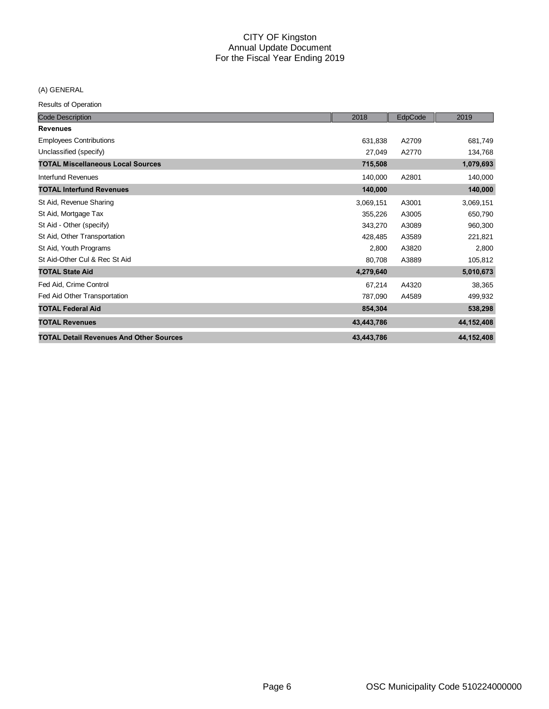(A) GENERAL

| <b>Code Description</b>                        | 2018       | EdpCode | 2019       |
|------------------------------------------------|------------|---------|------------|
| <b>Revenues</b>                                |            |         |            |
| <b>Employees Contributions</b>                 | 631,838    | A2709   | 681,749    |
| Unclassified (specify)                         | 27,049     | A2770   | 134,768    |
| <b>TOTAL Miscellaneous Local Sources</b>       | 715,508    |         | 1,079,693  |
| Interfund Revenues                             | 140,000    | A2801   | 140,000    |
| <b>TOTAL Interfund Revenues</b>                | 140,000    |         | 140,000    |
| St Aid, Revenue Sharing                        | 3,069,151  | A3001   | 3,069,151  |
| St Aid, Mortgage Tax                           | 355,226    | A3005   | 650,790    |
| St Aid - Other (specify)                       | 343,270    | A3089   | 960,300    |
| St Aid, Other Transportation                   | 428,485    | A3589   | 221,821    |
| St Aid, Youth Programs                         | 2,800      | A3820   | 2,800      |
| St Aid-Other Cul & Rec St Aid                  | 80,708     | A3889   | 105,812    |
| <b>TOTAL State Aid</b>                         | 4,279,640  |         | 5,010,673  |
| Fed Aid, Crime Control                         | 67,214     | A4320   | 38,365     |
| Fed Aid Other Transportation                   | 787,090    | A4589   | 499,932    |
| <b>TOTAL Federal Aid</b>                       | 854,304    |         | 538,298    |
| <b>TOTAL Revenues</b>                          | 43,443,786 |         | 44,152,408 |
| <b>TOTAL Detail Revenues And Other Sources</b> | 43,443,786 |         | 44,152,408 |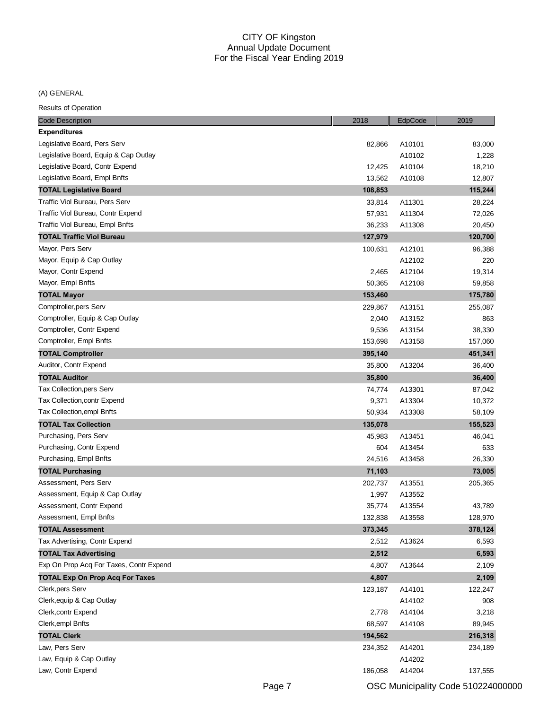# (A) GENERAL

| <b>Expenditures</b><br>Legislative Board, Pers Serv<br>82,866<br>A10101<br>83,000<br>Legislative Board, Equip & Cap Outlay<br>A10102<br>1,228<br>Legislative Board, Contr Expend<br>12,425<br>A10104<br>18,210<br>Legislative Board, Empl Bnfts<br>13,562<br>A10108<br>12,807<br>115,244<br><b>TOTAL Legislative Board</b><br>108,853<br>Traffic Viol Bureau, Pers Serv<br>A11301<br>33,814<br>28,224<br>Traffic Viol Bureau, Contr Expend<br>A11304<br>57,931<br>72,026<br>Traffic Viol Bureau, Empl Bnfts<br>36,233<br>A11308<br>20,450<br>127,979<br>120,700<br>TOTAL Traffic Viol Bureau<br>Mayor, Pers Serv<br>A12101<br>100,631<br>96,388<br>Mayor, Equip & Cap Outlay<br>A12102<br>220<br>Mayor, Contr Expend<br>A12104<br>19,314<br>2,465<br>Mayor, Empl Bnfts<br>50,365<br>A12108<br>59,858<br><b>TOTAL Mayor</b><br>153,460<br>175,780<br>Comptroller, pers Serv<br>255,087<br>229,867<br>A13151<br>Comptroller, Equip & Cap Outlay<br>2,040<br>A13152<br>863<br>Comptroller, Contr Expend<br>A13154<br>9,536<br>38,330<br>Comptroller, Empl Bnfts<br>157,060<br>153,698<br>A13158<br><b>TOTAL Comptroller</b><br>395,140<br>451,341<br>Auditor, Contr Expend<br>A13204<br>35,800<br>36,400<br><b>TOTAL Auditor</b><br>35,800<br>36,400<br>Tax Collection, pers Serv<br>A13301<br>87,042<br>74,774<br>Tax Collection, contr Expend<br>A13304<br>9,371<br>10,372<br>Tax Collection, empl Bnfts<br>50,934<br>A13308<br>58,109<br><b>TOTAL Tax Collection</b><br>135,078<br>155,523<br>Purchasing, Pers Serv<br>46,041<br>45,983<br>A13451<br>Purchasing, Contr Expend<br>604<br>A13454<br>633<br>Purchasing, Empl Bnfts<br>24,516<br>A13458<br>26,330<br><b>TOTAL Purchasing</b><br>71,103<br>73,005<br>Assessment, Pers Serv<br>A13551<br>202,737<br>205,365<br>Assessment, Equip & Cap Outlay<br>1,997<br>A13552<br>Assessment, Contr Expend<br>35,774<br>A13554<br>43,789<br>Assessment, Empl Bnfts<br>132,838<br>A13558<br>128,970<br>373,345<br>378,124<br><b>TOTAL Assessment</b><br>Tax Advertising, Contr Expend<br>A13624<br>6,593<br>2,512<br><b>TOTAL Tax Advertising</b><br>2,512<br>6,593<br>Exp On Prop Acq For Taxes, Contr Expend<br>4,807<br>A13644<br>2,109<br><b>TOTAL Exp On Prop Acq For Taxes</b><br>4,807<br>2,109<br>Clerk, pers Serv<br>A14101<br>122,247<br>123,187<br>Clerk, equip & Cap Outlay<br>A14102<br>908<br>Clerk, contr Expend<br>2,778<br>A14104<br>3,218<br>Clerk, empl Bnfts<br>68,597<br>A14108<br>89,945<br><b>TOTAL Clerk</b><br>216,318<br>194,562<br>Law, Pers Serv<br>234,352<br>A14201<br>234,189<br>Law, Equip & Cap Outlay<br>A14202 | <b>Code Description</b> | 2018    | EdpCode | 2019    |
|----------------------------------------------------------------------------------------------------------------------------------------------------------------------------------------------------------------------------------------------------------------------------------------------------------------------------------------------------------------------------------------------------------------------------------------------------------------------------------------------------------------------------------------------------------------------------------------------------------------------------------------------------------------------------------------------------------------------------------------------------------------------------------------------------------------------------------------------------------------------------------------------------------------------------------------------------------------------------------------------------------------------------------------------------------------------------------------------------------------------------------------------------------------------------------------------------------------------------------------------------------------------------------------------------------------------------------------------------------------------------------------------------------------------------------------------------------------------------------------------------------------------------------------------------------------------------------------------------------------------------------------------------------------------------------------------------------------------------------------------------------------------------------------------------------------------------------------------------------------------------------------------------------------------------------------------------------------------------------------------------------------------------------------------------------------------------------------------------------------------------------------------------------------------------------------------------------------------------------------------------------------------------------------------------------------------------------------------------------------------------------------------------------------------------------------------------------------------------------------------------------------------------------------------------------------------------------------------|-------------------------|---------|---------|---------|
|                                                                                                                                                                                                                                                                                                                                                                                                                                                                                                                                                                                                                                                                                                                                                                                                                                                                                                                                                                                                                                                                                                                                                                                                                                                                                                                                                                                                                                                                                                                                                                                                                                                                                                                                                                                                                                                                                                                                                                                                                                                                                                                                                                                                                                                                                                                                                                                                                                                                                                                                                                                              |                         |         |         |         |
|                                                                                                                                                                                                                                                                                                                                                                                                                                                                                                                                                                                                                                                                                                                                                                                                                                                                                                                                                                                                                                                                                                                                                                                                                                                                                                                                                                                                                                                                                                                                                                                                                                                                                                                                                                                                                                                                                                                                                                                                                                                                                                                                                                                                                                                                                                                                                                                                                                                                                                                                                                                              |                         |         |         |         |
|                                                                                                                                                                                                                                                                                                                                                                                                                                                                                                                                                                                                                                                                                                                                                                                                                                                                                                                                                                                                                                                                                                                                                                                                                                                                                                                                                                                                                                                                                                                                                                                                                                                                                                                                                                                                                                                                                                                                                                                                                                                                                                                                                                                                                                                                                                                                                                                                                                                                                                                                                                                              |                         |         |         |         |
|                                                                                                                                                                                                                                                                                                                                                                                                                                                                                                                                                                                                                                                                                                                                                                                                                                                                                                                                                                                                                                                                                                                                                                                                                                                                                                                                                                                                                                                                                                                                                                                                                                                                                                                                                                                                                                                                                                                                                                                                                                                                                                                                                                                                                                                                                                                                                                                                                                                                                                                                                                                              |                         |         |         |         |
|                                                                                                                                                                                                                                                                                                                                                                                                                                                                                                                                                                                                                                                                                                                                                                                                                                                                                                                                                                                                                                                                                                                                                                                                                                                                                                                                                                                                                                                                                                                                                                                                                                                                                                                                                                                                                                                                                                                                                                                                                                                                                                                                                                                                                                                                                                                                                                                                                                                                                                                                                                                              |                         |         |         |         |
|                                                                                                                                                                                                                                                                                                                                                                                                                                                                                                                                                                                                                                                                                                                                                                                                                                                                                                                                                                                                                                                                                                                                                                                                                                                                                                                                                                                                                                                                                                                                                                                                                                                                                                                                                                                                                                                                                                                                                                                                                                                                                                                                                                                                                                                                                                                                                                                                                                                                                                                                                                                              |                         |         |         |         |
|                                                                                                                                                                                                                                                                                                                                                                                                                                                                                                                                                                                                                                                                                                                                                                                                                                                                                                                                                                                                                                                                                                                                                                                                                                                                                                                                                                                                                                                                                                                                                                                                                                                                                                                                                                                                                                                                                                                                                                                                                                                                                                                                                                                                                                                                                                                                                                                                                                                                                                                                                                                              |                         |         |         |         |
|                                                                                                                                                                                                                                                                                                                                                                                                                                                                                                                                                                                                                                                                                                                                                                                                                                                                                                                                                                                                                                                                                                                                                                                                                                                                                                                                                                                                                                                                                                                                                                                                                                                                                                                                                                                                                                                                                                                                                                                                                                                                                                                                                                                                                                                                                                                                                                                                                                                                                                                                                                                              |                         |         |         |         |
|                                                                                                                                                                                                                                                                                                                                                                                                                                                                                                                                                                                                                                                                                                                                                                                                                                                                                                                                                                                                                                                                                                                                                                                                                                                                                                                                                                                                                                                                                                                                                                                                                                                                                                                                                                                                                                                                                                                                                                                                                                                                                                                                                                                                                                                                                                                                                                                                                                                                                                                                                                                              |                         |         |         |         |
|                                                                                                                                                                                                                                                                                                                                                                                                                                                                                                                                                                                                                                                                                                                                                                                                                                                                                                                                                                                                                                                                                                                                                                                                                                                                                                                                                                                                                                                                                                                                                                                                                                                                                                                                                                                                                                                                                                                                                                                                                                                                                                                                                                                                                                                                                                                                                                                                                                                                                                                                                                                              |                         |         |         |         |
|                                                                                                                                                                                                                                                                                                                                                                                                                                                                                                                                                                                                                                                                                                                                                                                                                                                                                                                                                                                                                                                                                                                                                                                                                                                                                                                                                                                                                                                                                                                                                                                                                                                                                                                                                                                                                                                                                                                                                                                                                                                                                                                                                                                                                                                                                                                                                                                                                                                                                                                                                                                              |                         |         |         |         |
|                                                                                                                                                                                                                                                                                                                                                                                                                                                                                                                                                                                                                                                                                                                                                                                                                                                                                                                                                                                                                                                                                                                                                                                                                                                                                                                                                                                                                                                                                                                                                                                                                                                                                                                                                                                                                                                                                                                                                                                                                                                                                                                                                                                                                                                                                                                                                                                                                                                                                                                                                                                              |                         |         |         |         |
|                                                                                                                                                                                                                                                                                                                                                                                                                                                                                                                                                                                                                                                                                                                                                                                                                                                                                                                                                                                                                                                                                                                                                                                                                                                                                                                                                                                                                                                                                                                                                                                                                                                                                                                                                                                                                                                                                                                                                                                                                                                                                                                                                                                                                                                                                                                                                                                                                                                                                                                                                                                              |                         |         |         |         |
|                                                                                                                                                                                                                                                                                                                                                                                                                                                                                                                                                                                                                                                                                                                                                                                                                                                                                                                                                                                                                                                                                                                                                                                                                                                                                                                                                                                                                                                                                                                                                                                                                                                                                                                                                                                                                                                                                                                                                                                                                                                                                                                                                                                                                                                                                                                                                                                                                                                                                                                                                                                              |                         |         |         |         |
|                                                                                                                                                                                                                                                                                                                                                                                                                                                                                                                                                                                                                                                                                                                                                                                                                                                                                                                                                                                                                                                                                                                                                                                                                                                                                                                                                                                                                                                                                                                                                                                                                                                                                                                                                                                                                                                                                                                                                                                                                                                                                                                                                                                                                                                                                                                                                                                                                                                                                                                                                                                              |                         |         |         |         |
|                                                                                                                                                                                                                                                                                                                                                                                                                                                                                                                                                                                                                                                                                                                                                                                                                                                                                                                                                                                                                                                                                                                                                                                                                                                                                                                                                                                                                                                                                                                                                                                                                                                                                                                                                                                                                                                                                                                                                                                                                                                                                                                                                                                                                                                                                                                                                                                                                                                                                                                                                                                              |                         |         |         |         |
|                                                                                                                                                                                                                                                                                                                                                                                                                                                                                                                                                                                                                                                                                                                                                                                                                                                                                                                                                                                                                                                                                                                                                                                                                                                                                                                                                                                                                                                                                                                                                                                                                                                                                                                                                                                                                                                                                                                                                                                                                                                                                                                                                                                                                                                                                                                                                                                                                                                                                                                                                                                              |                         |         |         |         |
|                                                                                                                                                                                                                                                                                                                                                                                                                                                                                                                                                                                                                                                                                                                                                                                                                                                                                                                                                                                                                                                                                                                                                                                                                                                                                                                                                                                                                                                                                                                                                                                                                                                                                                                                                                                                                                                                                                                                                                                                                                                                                                                                                                                                                                                                                                                                                                                                                                                                                                                                                                                              |                         |         |         |         |
|                                                                                                                                                                                                                                                                                                                                                                                                                                                                                                                                                                                                                                                                                                                                                                                                                                                                                                                                                                                                                                                                                                                                                                                                                                                                                                                                                                                                                                                                                                                                                                                                                                                                                                                                                                                                                                                                                                                                                                                                                                                                                                                                                                                                                                                                                                                                                                                                                                                                                                                                                                                              |                         |         |         |         |
|                                                                                                                                                                                                                                                                                                                                                                                                                                                                                                                                                                                                                                                                                                                                                                                                                                                                                                                                                                                                                                                                                                                                                                                                                                                                                                                                                                                                                                                                                                                                                                                                                                                                                                                                                                                                                                                                                                                                                                                                                                                                                                                                                                                                                                                                                                                                                                                                                                                                                                                                                                                              |                         |         |         |         |
|                                                                                                                                                                                                                                                                                                                                                                                                                                                                                                                                                                                                                                                                                                                                                                                                                                                                                                                                                                                                                                                                                                                                                                                                                                                                                                                                                                                                                                                                                                                                                                                                                                                                                                                                                                                                                                                                                                                                                                                                                                                                                                                                                                                                                                                                                                                                                                                                                                                                                                                                                                                              |                         |         |         |         |
|                                                                                                                                                                                                                                                                                                                                                                                                                                                                                                                                                                                                                                                                                                                                                                                                                                                                                                                                                                                                                                                                                                                                                                                                                                                                                                                                                                                                                                                                                                                                                                                                                                                                                                                                                                                                                                                                                                                                                                                                                                                                                                                                                                                                                                                                                                                                                                                                                                                                                                                                                                                              |                         |         |         |         |
|                                                                                                                                                                                                                                                                                                                                                                                                                                                                                                                                                                                                                                                                                                                                                                                                                                                                                                                                                                                                                                                                                                                                                                                                                                                                                                                                                                                                                                                                                                                                                                                                                                                                                                                                                                                                                                                                                                                                                                                                                                                                                                                                                                                                                                                                                                                                                                                                                                                                                                                                                                                              |                         |         |         |         |
|                                                                                                                                                                                                                                                                                                                                                                                                                                                                                                                                                                                                                                                                                                                                                                                                                                                                                                                                                                                                                                                                                                                                                                                                                                                                                                                                                                                                                                                                                                                                                                                                                                                                                                                                                                                                                                                                                                                                                                                                                                                                                                                                                                                                                                                                                                                                                                                                                                                                                                                                                                                              |                         |         |         |         |
|                                                                                                                                                                                                                                                                                                                                                                                                                                                                                                                                                                                                                                                                                                                                                                                                                                                                                                                                                                                                                                                                                                                                                                                                                                                                                                                                                                                                                                                                                                                                                                                                                                                                                                                                                                                                                                                                                                                                                                                                                                                                                                                                                                                                                                                                                                                                                                                                                                                                                                                                                                                              |                         |         |         |         |
|                                                                                                                                                                                                                                                                                                                                                                                                                                                                                                                                                                                                                                                                                                                                                                                                                                                                                                                                                                                                                                                                                                                                                                                                                                                                                                                                                                                                                                                                                                                                                                                                                                                                                                                                                                                                                                                                                                                                                                                                                                                                                                                                                                                                                                                                                                                                                                                                                                                                                                                                                                                              |                         |         |         |         |
|                                                                                                                                                                                                                                                                                                                                                                                                                                                                                                                                                                                                                                                                                                                                                                                                                                                                                                                                                                                                                                                                                                                                                                                                                                                                                                                                                                                                                                                                                                                                                                                                                                                                                                                                                                                                                                                                                                                                                                                                                                                                                                                                                                                                                                                                                                                                                                                                                                                                                                                                                                                              |                         |         |         |         |
|                                                                                                                                                                                                                                                                                                                                                                                                                                                                                                                                                                                                                                                                                                                                                                                                                                                                                                                                                                                                                                                                                                                                                                                                                                                                                                                                                                                                                                                                                                                                                                                                                                                                                                                                                                                                                                                                                                                                                                                                                                                                                                                                                                                                                                                                                                                                                                                                                                                                                                                                                                                              |                         |         |         |         |
|                                                                                                                                                                                                                                                                                                                                                                                                                                                                                                                                                                                                                                                                                                                                                                                                                                                                                                                                                                                                                                                                                                                                                                                                                                                                                                                                                                                                                                                                                                                                                                                                                                                                                                                                                                                                                                                                                                                                                                                                                                                                                                                                                                                                                                                                                                                                                                                                                                                                                                                                                                                              |                         |         |         |         |
|                                                                                                                                                                                                                                                                                                                                                                                                                                                                                                                                                                                                                                                                                                                                                                                                                                                                                                                                                                                                                                                                                                                                                                                                                                                                                                                                                                                                                                                                                                                                                                                                                                                                                                                                                                                                                                                                                                                                                                                                                                                                                                                                                                                                                                                                                                                                                                                                                                                                                                                                                                                              |                         |         |         |         |
|                                                                                                                                                                                                                                                                                                                                                                                                                                                                                                                                                                                                                                                                                                                                                                                                                                                                                                                                                                                                                                                                                                                                                                                                                                                                                                                                                                                                                                                                                                                                                                                                                                                                                                                                                                                                                                                                                                                                                                                                                                                                                                                                                                                                                                                                                                                                                                                                                                                                                                                                                                                              |                         |         |         |         |
|                                                                                                                                                                                                                                                                                                                                                                                                                                                                                                                                                                                                                                                                                                                                                                                                                                                                                                                                                                                                                                                                                                                                                                                                                                                                                                                                                                                                                                                                                                                                                                                                                                                                                                                                                                                                                                                                                                                                                                                                                                                                                                                                                                                                                                                                                                                                                                                                                                                                                                                                                                                              |                         |         |         |         |
|                                                                                                                                                                                                                                                                                                                                                                                                                                                                                                                                                                                                                                                                                                                                                                                                                                                                                                                                                                                                                                                                                                                                                                                                                                                                                                                                                                                                                                                                                                                                                                                                                                                                                                                                                                                                                                                                                                                                                                                                                                                                                                                                                                                                                                                                                                                                                                                                                                                                                                                                                                                              |                         |         |         |         |
|                                                                                                                                                                                                                                                                                                                                                                                                                                                                                                                                                                                                                                                                                                                                                                                                                                                                                                                                                                                                                                                                                                                                                                                                                                                                                                                                                                                                                                                                                                                                                                                                                                                                                                                                                                                                                                                                                                                                                                                                                                                                                                                                                                                                                                                                                                                                                                                                                                                                                                                                                                                              |                         |         |         |         |
|                                                                                                                                                                                                                                                                                                                                                                                                                                                                                                                                                                                                                                                                                                                                                                                                                                                                                                                                                                                                                                                                                                                                                                                                                                                                                                                                                                                                                                                                                                                                                                                                                                                                                                                                                                                                                                                                                                                                                                                                                                                                                                                                                                                                                                                                                                                                                                                                                                                                                                                                                                                              |                         |         |         |         |
|                                                                                                                                                                                                                                                                                                                                                                                                                                                                                                                                                                                                                                                                                                                                                                                                                                                                                                                                                                                                                                                                                                                                                                                                                                                                                                                                                                                                                                                                                                                                                                                                                                                                                                                                                                                                                                                                                                                                                                                                                                                                                                                                                                                                                                                                                                                                                                                                                                                                                                                                                                                              |                         |         |         |         |
|                                                                                                                                                                                                                                                                                                                                                                                                                                                                                                                                                                                                                                                                                                                                                                                                                                                                                                                                                                                                                                                                                                                                                                                                                                                                                                                                                                                                                                                                                                                                                                                                                                                                                                                                                                                                                                                                                                                                                                                                                                                                                                                                                                                                                                                                                                                                                                                                                                                                                                                                                                                              |                         |         |         |         |
|                                                                                                                                                                                                                                                                                                                                                                                                                                                                                                                                                                                                                                                                                                                                                                                                                                                                                                                                                                                                                                                                                                                                                                                                                                                                                                                                                                                                                                                                                                                                                                                                                                                                                                                                                                                                                                                                                                                                                                                                                                                                                                                                                                                                                                                                                                                                                                                                                                                                                                                                                                                              |                         |         |         |         |
|                                                                                                                                                                                                                                                                                                                                                                                                                                                                                                                                                                                                                                                                                                                                                                                                                                                                                                                                                                                                                                                                                                                                                                                                                                                                                                                                                                                                                                                                                                                                                                                                                                                                                                                                                                                                                                                                                                                                                                                                                                                                                                                                                                                                                                                                                                                                                                                                                                                                                                                                                                                              |                         |         |         |         |
|                                                                                                                                                                                                                                                                                                                                                                                                                                                                                                                                                                                                                                                                                                                                                                                                                                                                                                                                                                                                                                                                                                                                                                                                                                                                                                                                                                                                                                                                                                                                                                                                                                                                                                                                                                                                                                                                                                                                                                                                                                                                                                                                                                                                                                                                                                                                                                                                                                                                                                                                                                                              |                         |         |         |         |
|                                                                                                                                                                                                                                                                                                                                                                                                                                                                                                                                                                                                                                                                                                                                                                                                                                                                                                                                                                                                                                                                                                                                                                                                                                                                                                                                                                                                                                                                                                                                                                                                                                                                                                                                                                                                                                                                                                                                                                                                                                                                                                                                                                                                                                                                                                                                                                                                                                                                                                                                                                                              |                         |         |         |         |
|                                                                                                                                                                                                                                                                                                                                                                                                                                                                                                                                                                                                                                                                                                                                                                                                                                                                                                                                                                                                                                                                                                                                                                                                                                                                                                                                                                                                                                                                                                                                                                                                                                                                                                                                                                                                                                                                                                                                                                                                                                                                                                                                                                                                                                                                                                                                                                                                                                                                                                                                                                                              |                         |         |         |         |
|                                                                                                                                                                                                                                                                                                                                                                                                                                                                                                                                                                                                                                                                                                                                                                                                                                                                                                                                                                                                                                                                                                                                                                                                                                                                                                                                                                                                                                                                                                                                                                                                                                                                                                                                                                                                                                                                                                                                                                                                                                                                                                                                                                                                                                                                                                                                                                                                                                                                                                                                                                                              |                         |         |         |         |
|                                                                                                                                                                                                                                                                                                                                                                                                                                                                                                                                                                                                                                                                                                                                                                                                                                                                                                                                                                                                                                                                                                                                                                                                                                                                                                                                                                                                                                                                                                                                                                                                                                                                                                                                                                                                                                                                                                                                                                                                                                                                                                                                                                                                                                                                                                                                                                                                                                                                                                                                                                                              |                         |         |         |         |
|                                                                                                                                                                                                                                                                                                                                                                                                                                                                                                                                                                                                                                                                                                                                                                                                                                                                                                                                                                                                                                                                                                                                                                                                                                                                                                                                                                                                                                                                                                                                                                                                                                                                                                                                                                                                                                                                                                                                                                                                                                                                                                                                                                                                                                                                                                                                                                                                                                                                                                                                                                                              |                         |         |         |         |
|                                                                                                                                                                                                                                                                                                                                                                                                                                                                                                                                                                                                                                                                                                                                                                                                                                                                                                                                                                                                                                                                                                                                                                                                                                                                                                                                                                                                                                                                                                                                                                                                                                                                                                                                                                                                                                                                                                                                                                                                                                                                                                                                                                                                                                                                                                                                                                                                                                                                                                                                                                                              |                         |         |         |         |
|                                                                                                                                                                                                                                                                                                                                                                                                                                                                                                                                                                                                                                                                                                                                                                                                                                                                                                                                                                                                                                                                                                                                                                                                                                                                                                                                                                                                                                                                                                                                                                                                                                                                                                                                                                                                                                                                                                                                                                                                                                                                                                                                                                                                                                                                                                                                                                                                                                                                                                                                                                                              | Law, Contr Expend       | 186,058 | A14204  | 137,555 |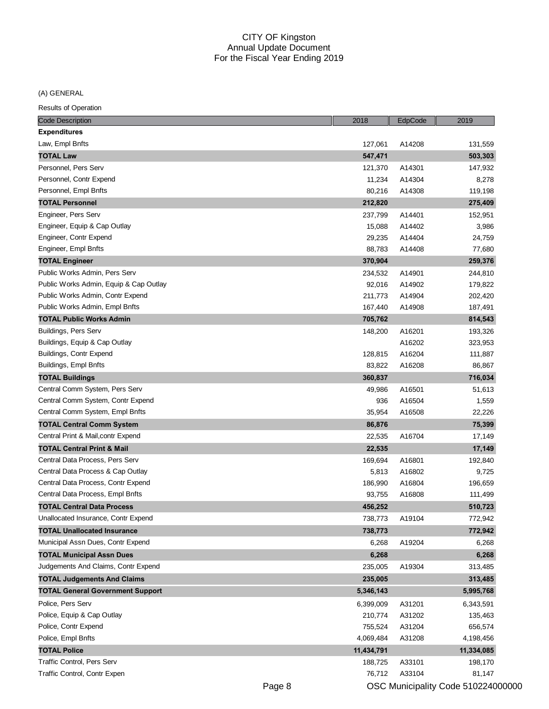(A) GENERAL

Results of Operation

| <b>Code Description</b>                 | 2018       | EdpCode | 2019       |
|-----------------------------------------|------------|---------|------------|
| <b>Expenditures</b>                     |            |         |            |
| Law, Empl Bnfts                         | 127,061    | A14208  | 131,559    |
| <b>TOTAL Law</b>                        | 547,471    |         | 503,303    |
| Personnel, Pers Serv                    | 121,370    | A14301  | 147,932    |
| Personnel, Contr Expend                 | 11,234     | A14304  | 8,278      |
| Personnel, Empl Bnfts                   | 80,216     | A14308  | 119,198    |
| <b>TOTAL Personnel</b>                  | 212,820    |         | 275,409    |
| Engineer, Pers Serv                     | 237,799    | A14401  | 152,951    |
| Engineer, Equip & Cap Outlay            | 15,088     | A14402  | 3,986      |
| Engineer, Contr Expend                  | 29,235     | A14404  | 24,759     |
| Engineer, Empl Bnfts                    | 88,783     | A14408  | 77,680     |
| <b>TOTAL Engineer</b>                   | 370,904    |         | 259,376    |
| Public Works Admin, Pers Serv           | 234,532    | A14901  | 244,810    |
| Public Works Admin, Equip & Cap Outlay  | 92,016     | A14902  | 179,822    |
| Public Works Admin, Contr Expend        | 211,773    | A14904  | 202,420    |
| Public Works Admin, Empl Bnfts          | 167,440    | A14908  | 187,491    |
| <b>TOTAL Public Works Admin</b>         | 705,762    |         | 814,543    |
| Buildings, Pers Serv                    | 148,200    | A16201  | 193,326    |
| Buildings, Equip & Cap Outlay           |            | A16202  | 323,953    |
| Buildings, Contr Expend                 | 128,815    | A16204  | 111,887    |
| Buildings, Empl Bnfts                   | 83,822     | A16208  | 86,867     |
| <b>TOTAL Buildings</b>                  | 360,837    |         | 716,034    |
| Central Comm System, Pers Serv          | 49,986     | A16501  | 51,613     |
| Central Comm System, Contr Expend       | 936        | A16504  | 1,559      |
| Central Comm System, Empl Bnfts         | 35,954     | A16508  | 22,226     |
| <b>TOTAL Central Comm System</b>        | 86,876     |         | 75,399     |
| Central Print & Mail, contr Expend      | 22,535     | A16704  | 17,149     |
| <b>TOTAL Central Print &amp; Mail</b>   | 22,535     |         | 17,149     |
| Central Data Process, Pers Serv         | 169,694    | A16801  | 192,840    |
| Central Data Process & Cap Outlay       | 5,813      | A16802  | 9,725      |
| Central Data Process, Contr Expend      | 186,990    | A16804  | 196,659    |
| Central Data Process, Empl Bnfts        | 93,755     | A16808  | 111,499    |
| <b>TOTAL Central Data Process</b>       | 456,252    |         | 510,723    |
| Unallocated Insurance, Contr Expend     | 738,773    | A19104  | 772,942    |
| <b>TOTAL Unallocated Insurance</b>      | 738,773    |         | 772,942    |
| Municipal Assn Dues, Contr Expend       | 6,268      | A19204  | 6,268      |
| <b>TOTAL Municipal Assn Dues</b>        | 6,268      |         | 6,268      |
| Judgements And Claims, Contr Expend     | 235,005    | A19304  | 313,485    |
| <b>TOTAL Judgements And Claims</b>      | 235,005    |         | 313,485    |
| <b>TOTAL General Government Support</b> | 5,346,143  |         | 5,995,768  |
| Police, Pers Serv                       | 6,399,009  | A31201  | 6,343,591  |
| Police, Equip & Cap Outlay              | 210,774    | A31202  | 135,463    |
| Police, Contr Expend                    | 755,524    | A31204  | 656,574    |
| Police, Empl Bnfts                      | 4,069,484  | A31208  | 4,198,456  |
| <b>TOTAL Police</b>                     | 11,434,791 |         | 11,334,085 |
| Traffic Control, Pers Serv              | 188,725    | A33101  | 198,170    |
| Traffic Control, Contr Expen            | 76,712     | A33104  | 81,147     |

Page 8 **OSC Municipality Code 510224000000**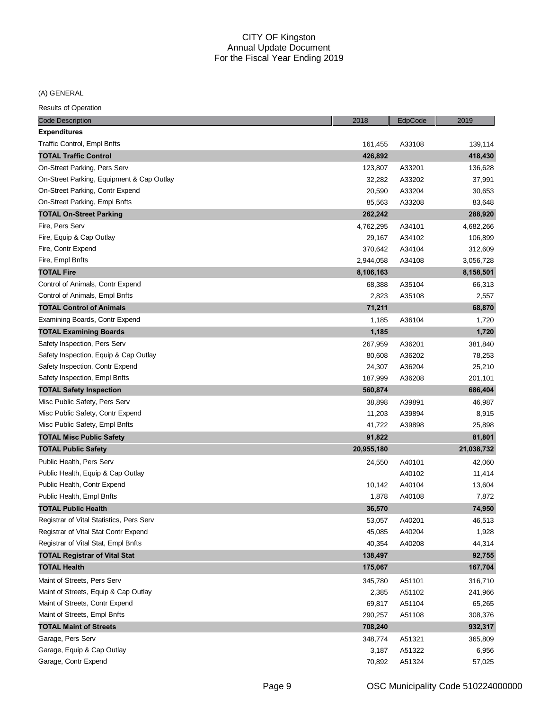(A) GENERAL

| <b>Code Description</b>                   | 2018       | EdpCode | 2019       |
|-------------------------------------------|------------|---------|------------|
| <b>Expenditures</b>                       |            |         |            |
| Traffic Control, Empl Bnfts               | 161,455    | A33108  | 139,114    |
| <b>TOTAL Traffic Control</b>              | 426,892    |         | 418,430    |
| On-Street Parking, Pers Serv              | 123,807    | A33201  | 136,628    |
| On-Street Parking, Equipment & Cap Outlay | 32,282     | A33202  | 37,991     |
| On-Street Parking, Contr Expend           | 20,590     | A33204  | 30,653     |
| On-Street Parking, Empl Bnfts             | 85,563     | A33208  | 83,648     |
| <b>TOTAL On-Street Parking</b>            | 262,242    |         | 288,920    |
| Fire, Pers Serv                           | 4,762,295  | A34101  | 4,682,266  |
| Fire, Equip & Cap Outlay                  | 29,167     | A34102  | 106,899    |
| Fire, Contr Expend                        | 370,642    | A34104  | 312,609    |
| Fire, Empl Bnfts                          | 2,944,058  | A34108  | 3,056,728  |
| <b>TOTAL Fire</b>                         | 8,106,163  |         | 8,158,501  |
| Control of Animals, Contr Expend          | 68,388     | A35104  | 66,313     |
| Control of Animals, Empl Bnfts            | 2,823      | A35108  | 2,557      |
| <b>TOTAL Control of Animals</b>           | 71,211     |         | 68,870     |
| Examining Boards, Contr Expend            | 1,185      | A36104  | 1,720      |
| <b>TOTAL Examining Boards</b>             | 1,185      |         | 1,720      |
| Safety Inspection, Pers Serv              | 267,959    | A36201  | 381,840    |
| Safety Inspection, Equip & Cap Outlay     | 80,608     | A36202  | 78,253     |
| Safety Inspection, Contr Expend           | 24,307     | A36204  | 25,210     |
| Safety Inspection, Empl Bnfts             | 187,999    | A36208  | 201,101    |
| <b>TOTAL Safety Inspection</b>            | 560,874    |         | 686,404    |
| Misc Public Safety, Pers Serv             | 38,898     | A39891  | 46,987     |
| Misc Public Safety, Contr Expend          | 11,203     | A39894  | 8,915      |
| Misc Public Safety, Empl Bnfts            | 41,722     | A39898  | 25,898     |
| <b>TOTAL Misc Public Safety</b>           | 91,822     |         | 81,801     |
| <b>TOTAL Public Safety</b>                | 20,955,180 |         | 21,038,732 |
| Public Health, Pers Serv                  | 24,550     | A40101  | 42,060     |
| Public Health, Equip & Cap Outlay         |            | A40102  | 11,414     |
| Public Health, Contr Expend               | 10,142     | A40104  | 13,604     |
| Public Health, Empl Bnfts                 | 1,878      | A40108  | 7,872      |
| <b>TOTAL Public Health</b>                | 36,570     |         | 74,950     |
| Registrar of Vital Statistics, Pers Serv  | 53,057     | A40201  | 46,513     |
| Registrar of Vital Stat Contr Expend      | 45,085     | A40204  | 1,928      |
| Registrar of Vital Stat, Empl Bnfts       | 40,354     | A40208  | 44,314     |
| <b>TOTAL Registrar of Vital Stat</b>      | 138,497    |         | 92,755     |
| <b>TOTAL Health</b>                       | 175,067    |         | 167,704    |
| Maint of Streets, Pers Serv               | 345,780    | A51101  | 316,710    |
| Maint of Streets, Equip & Cap Outlay      | 2,385      | A51102  | 241,966    |
| Maint of Streets, Contr Expend            | 69,817     | A51104  | 65,265     |
| Maint of Streets, Empl Bnfts              | 290,257    | A51108  | 308,376    |
| <b>TOTAL Maint of Streets</b>             | 708,240    |         | 932,317    |
| Garage, Pers Serv                         | 348,774    | A51321  | 365,809    |
| Garage, Equip & Cap Outlay                | 3,187      | A51322  | 6,956      |
| Garage, Contr Expend                      | 70,892     | A51324  | 57,025     |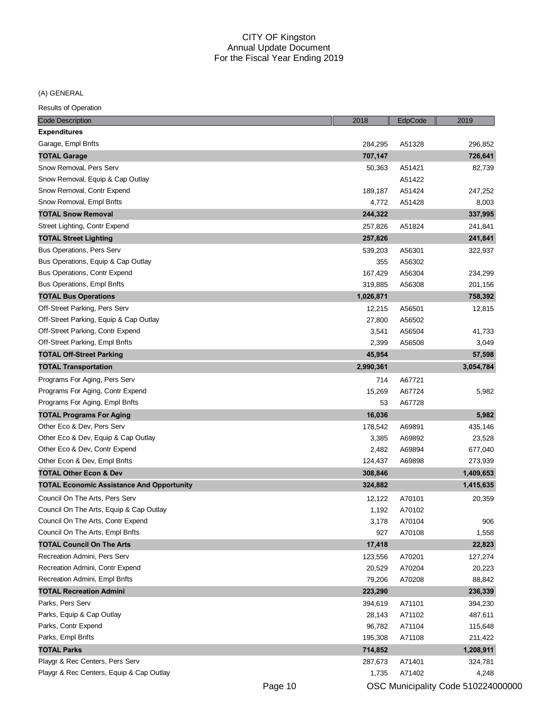(A) GENERAL

| <b>Code Description</b>                          | 2018      | EdpCode | 2019      |
|--------------------------------------------------|-----------|---------|-----------|
| <b>Expenditures</b>                              |           |         |           |
| Garage, Empl Bnfts                               | 284,295   | A51328  | 296,852   |
| <b>TOTAL Garage</b>                              | 707,147   |         | 726,641   |
| Snow Removal, Pers Serv                          | 50,363    | A51421  | 82,739    |
| Snow Removal, Equip & Cap Outlay                 |           | A51422  |           |
| Snow Removal, Contr Expend                       | 189,187   | A51424  | 247,252   |
| Snow Removal, Empl Bnfts                         | 4,772     | A51428  | 8,003     |
| <b>TOTAL Snow Removal</b>                        | 244,322   |         | 337,995   |
| Street Lighting, Contr Expend                    | 257,826   | A51824  | 241,841   |
| <b>TOTAL Street Lighting</b>                     | 257,826   |         | 241,841   |
| <b>Bus Operations, Pers Serv</b>                 | 539,203   | A56301  | 322,937   |
| Bus Operations, Equip & Cap Outlay               | 355       | A56302  |           |
| Bus Operations, Contr Expend                     | 167,429   | A56304  | 234,299   |
| <b>Bus Operations, Empl Bnfts</b>                | 319,885   | A56308  | 201,156   |
| <b>TOTAL Bus Operations</b>                      | 1,026,871 |         | 758,392   |
| Off-Street Parking, Pers Serv                    | 12,215    | A56501  | 12,815    |
| Off-Street Parking, Equip & Cap Outlay           | 27,800    | A56502  |           |
| Off-Street Parking, Contr Expend                 | 3,541     | A56504  | 41,733    |
| Off-Street Parking, Empl Bnfts                   | 2,399     | A56508  | 3,049     |
| <b>TOTAL Off-Street Parking</b>                  | 45,954    |         | 57,598    |
| <b>TOTAL Transportation</b>                      | 2,990,361 |         | 3,054,784 |
| Programs For Aging, Pers Serv                    | 714       | A67721  |           |
| Programs For Aging, Contr Expend                 | 15,269    | A67724  | 5,982     |
| Programs For Aging, Empl Bnfts                   | 53        | A67728  |           |
| <b>TOTAL Programs For Aging</b>                  | 16,036    |         | 5,982     |
| Other Eco & Dev, Pers Serv                       | 178,542   | A69891  | 435,146   |
| Other Eco & Dev, Equip & Cap Outlay              | 3,385     | A69892  | 23,528    |
| Other Eco & Dev, Contr Expend                    | 2,482     | A69894  | 677,040   |
| Other Econ & Dev, Empl Bnfts                     | 124,437   | A69898  | 273,939   |
| <b>TOTAL Other Econ &amp; Dev</b>                | 308,846   |         | 1,409,653 |
| <b>TOTAL Economic Assistance And Opportunity</b> | 324,882   |         | 1,415,635 |
| Council On The Arts, Pers Serv                   | 12,122    | A70101  | 20,359    |
| Council On The Arts, Equip & Cap Outlay          | 1,192     | A70102  |           |
| Council On The Arts, Contr Expend                | 3,178     | A70104  | 906       |
| Council On The Arts, Empl Bnfts                  | 927       | A70108  | 1,558     |
| <b>TOTAL Council On The Arts</b>                 | 17,418    |         | 22,823    |
| Recreation Admini, Pers Serv                     | 123,556   | A70201  | 127,274   |
| Recreation Admini, Contr Expend                  | 20,529    | A70204  | 20,223    |
| Recreation Admini, Empl Bnfts                    | 79,206    | A70208  | 88,842    |
| <b>TOTAL Recreation Admini</b>                   | 223,290   |         | 236,339   |
| Parks, Pers Serv                                 | 394,619   | A71101  | 394,230   |
| Parks, Equip & Cap Outlay                        | 28,143    | A71102  | 487,611   |
| Parks, Contr Expend                              | 96,782    | A71104  | 115,648   |
| Parks, Empl Bnfts                                | 195,308   | A71108  | 211,422   |
| <b>TOTAL Parks</b>                               | 714,852   |         | 1,208,911 |
| Playgr & Rec Centers, Pers Serv                  | 287,673   | A71401  | 324,781   |
| Playgr & Rec Centers, Equip & Cap Outlay         | 1,735     | A71402  | 4,248     |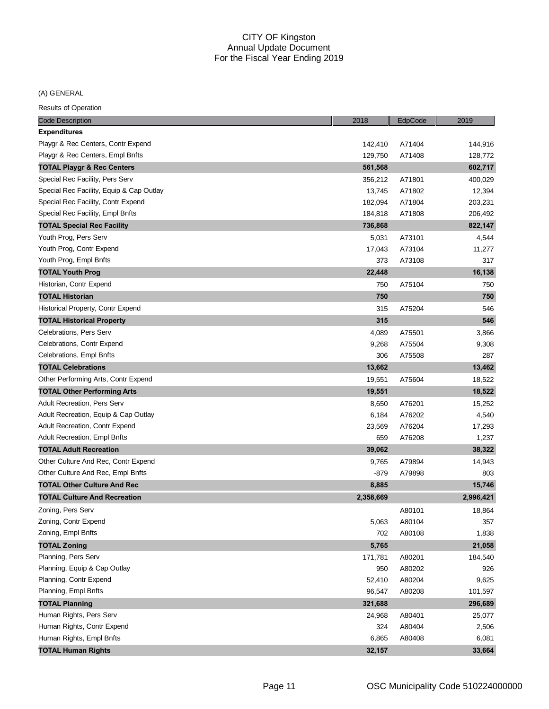# (A) GENERAL

| <b>Code Description</b>                  | 2018      | EdpCode | 2019      |
|------------------------------------------|-----------|---------|-----------|
| <b>Expenditures</b>                      |           |         |           |
| Playgr & Rec Centers, Contr Expend       | 142,410   | A71404  | 144,916   |
| Playgr & Rec Centers, Empl Bnfts         | 129,750   | A71408  | 128,772   |
| <b>TOTAL Playgr &amp; Rec Centers</b>    | 561,568   |         | 602,717   |
| Special Rec Facility, Pers Serv          | 356,212   | A71801  | 400,029   |
| Special Rec Facility, Equip & Cap Outlay | 13,745    | A71802  | 12,394    |
| Special Rec Facility, Contr Expend       | 182,094   | A71804  | 203,231   |
| Special Rec Facility, Empl Bnfts         | 184,818   | A71808  | 206,492   |
| <b>TOTAL Special Rec Facility</b>        | 736,868   |         | 822,147   |
| Youth Prog, Pers Serv                    | 5,031     | A73101  | 4,544     |
| Youth Prog, Contr Expend                 | 17,043    | A73104  | 11,277    |
| Youth Prog, Empl Bnfts                   | 373       | A73108  | 317       |
| <b>TOTAL Youth Prog</b>                  | 22,448    |         | 16,138    |
| Historian, Contr Expend                  | 750       | A75104  | 750       |
| <b>TOTAL Historian</b>                   | 750       |         | 750       |
| Historical Property, Contr Expend        | 315       | A75204  | 546       |
| <b>TOTAL Historical Property</b>         | 315       |         | 546       |
| Celebrations, Pers Serv                  | 4,089     | A75501  | 3,866     |
| Celebrations, Contr Expend               | 9,268     | A75504  | 9,308     |
| Celebrations, Empl Bnfts                 | 306       | A75508  | 287       |
| <b>TOTAL Celebrations</b>                | 13,662    |         | 13,462    |
| Other Performing Arts, Contr Expend      | 19,551    | A75604  | 18,522    |
| <b>TOTAL Other Performing Arts</b>       | 19,551    |         | 18,522    |
| <b>Adult Recreation, Pers Serv</b>       | 8,650     | A76201  | 15,252    |
| Adult Recreation, Equip & Cap Outlay     | 6,184     | A76202  | 4,540     |
| Adult Recreation, Contr Expend           | 23,569    | A76204  | 17,293    |
| <b>Adult Recreation, Empl Bnfts</b>      | 659       | A76208  | 1,237     |
| <b>TOTAL Adult Recreation</b>            | 39,062    |         | 38,322    |
| Other Culture And Rec, Contr Expend      | 9,765     | A79894  | 14,943    |
| Other Culture And Rec, Empl Bnfts        | $-879$    | A79898  | 803       |
| <b>TOTAL Other Culture And Rec</b>       | 8,885     |         | 15,746    |
| <b>TOTAL Culture And Recreation</b>      | 2,358,669 |         | 2,996,421 |
| Zoning, Pers Serv                        |           | A80101  | 18,864    |
| Zoning, Contr Expend                     | 5,063     | A80104  | 357       |
| Zoning, Empl Bnfts                       | 702       | A80108  | 1,838     |
| <b>TOTAL Zoning</b>                      | 5,765     |         | 21,058    |
| Planning, Pers Serv                      | 171,781   | A80201  | 184,540   |
| Planning, Equip & Cap Outlay             | 950       | A80202  | 926       |
| Planning, Contr Expend                   | 52,410    | A80204  | 9,625     |
| Planning, Empl Bnfts                     | 96,547    | A80208  | 101,597   |
| <b>TOTAL Planning</b>                    | 321,688   |         | 296,689   |
| Human Rights, Pers Serv                  | 24,968    | A80401  | 25,077    |
| Human Rights, Contr Expend               | 324       | A80404  | 2,506     |
| Human Rights, Empl Bnfts                 | 6,865     | A80408  | 6,081     |
| <b>TOTAL Human Rights</b>                | 32,157    |         | 33,664    |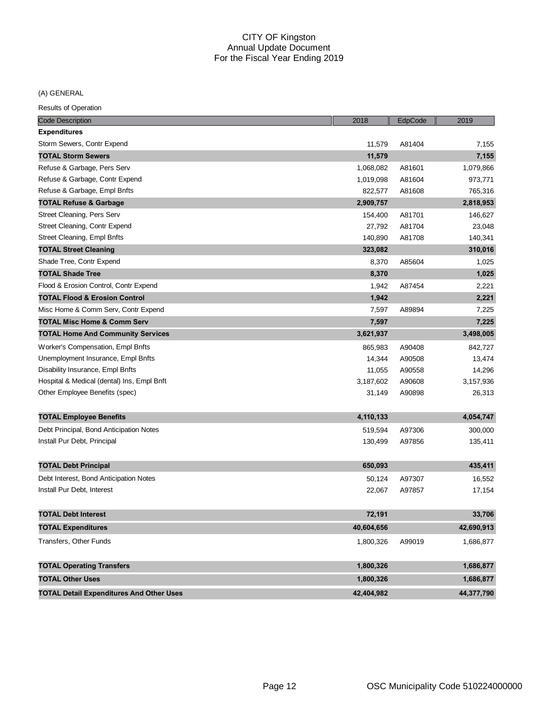# (A) GENERAL

| <b>Code Description</b>                         | 2018       | EdpCode | 2019       |
|-------------------------------------------------|------------|---------|------------|
| <b>Expenditures</b>                             |            |         |            |
| Storm Sewers, Contr Expend                      | 11,579     | A81404  | 7,155      |
| <b>TOTAL Storm Sewers</b>                       | 11,579     |         | 7,155      |
| Refuse & Garbage, Pers Serv                     | 1,068,082  | A81601  | 1,079,866  |
| Refuse & Garbage, Contr Expend                  | 1,019,098  | A81604  | 973,771    |
| Refuse & Garbage, Empl Bnfts                    | 822,577    | A81608  | 765,316    |
| <b>TOTAL Refuse &amp; Garbage</b>               | 2,909,757  |         | 2,818,953  |
| Street Cleaning, Pers Serv                      | 154,400    | A81701  | 146,627    |
| Street Cleaning, Contr Expend                   | 27,792     | A81704  | 23,048     |
| Street Cleaning, Empl Bnfts                     | 140,890    | A81708  | 140,341    |
| <b>TOTAL Street Cleaning</b>                    | 323,082    |         | 310,016    |
| Shade Tree, Contr Expend                        | 8,370      | A85604  | 1,025      |
| <b>TOTAL Shade Tree</b>                         | 8,370      |         | 1,025      |
| Flood & Erosion Control, Contr Expend           | 1,942      | A87454  | 2,221      |
| <b>TOTAL Flood &amp; Erosion Control</b>        | 1,942      |         | 2,221      |
| Misc Home & Comm Serv, Contr Expend             | 7,597      | A89894  | 7,225      |
| <b>TOTAL Misc Home &amp; Comm Serv</b>          | 7,597      |         | 7,225      |
| <b>TOTAL Home And Community Services</b>        | 3,621,937  |         | 3,498,005  |
| Worker's Compensation, Empl Bnfts               | 865,983    | A90408  | 842,727    |
| Unemployment Insurance, Empl Bnfts              | 14,344     | A90508  | 13,474     |
| Disability Insurance, Empl Bnfts                | 11,055     | A90558  | 14,296     |
| Hospital & Medical (dental) Ins, Empl Bnft      | 3,187,602  | A90608  | 3,157,936  |
| Other Employee Benefits (spec)                  | 31,149     | A90898  | 26,313     |
| <b>TOTAL Employee Benefits</b>                  | 4,110,133  |         | 4,054,747  |
| Debt Principal, Bond Anticipation Notes         | 519,594    | A97306  | 300,000    |
| Install Pur Debt, Principal                     | 130,499    | A97856  | 135,411    |
| <b>TOTAL Debt Principal</b>                     | 650,093    |         | 435,411    |
| Debt Interest, Bond Anticipation Notes          | 50,124     | A97307  | 16,552     |
| Install Pur Debt, Interest                      | 22,067     | A97857  | 17,154     |
| <b>TOTAL Debt Interest</b>                      | 72,191     |         | 33,706     |
| <b>TOTAL Expenditures</b>                       | 40,604,656 |         | 42,690,913 |
| Transfers, Other Funds                          | 1,800,326  | A99019  | 1,686,877  |
| <b>TOTAL Operating Transfers</b>                | 1,800,326  |         | 1,686,877  |
| <b>TOTAL Other Uses</b>                         | 1,800,326  |         | 1,686,877  |
| <b>TOTAL Detail Expenditures And Other Uses</b> | 42,404,982 |         | 44,377,790 |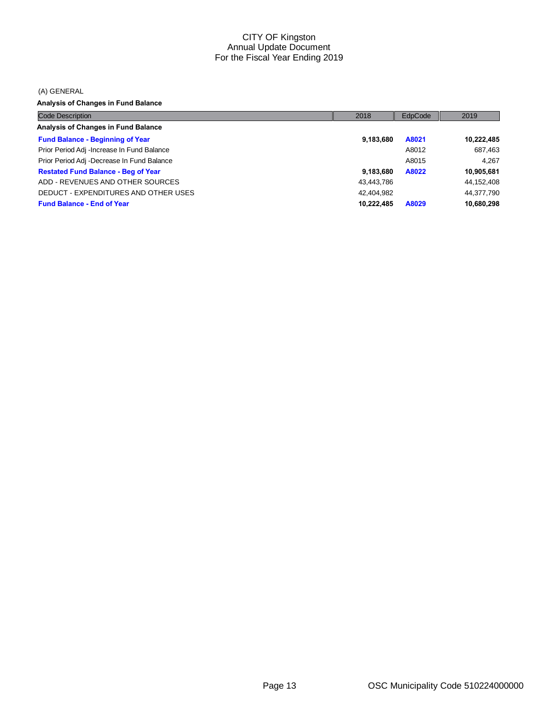#### (A) GENERAL

**Analysis of Changes in Fund Balance**

| <b>Code Description</b>                    | 2018       | <b>EdpCode</b> | 2019       |
|--------------------------------------------|------------|----------------|------------|
| Analysis of Changes in Fund Balance        |            |                |            |
| <b>Fund Balance - Beginning of Year</b>    | 9,183,680  | A8021          | 10,222,485 |
| Prior Period Adj -Increase In Fund Balance |            | A8012          | 687,463    |
| Prior Period Adj -Decrease In Fund Balance |            | A8015          | 4.267      |
| <b>Restated Fund Balance - Beg of Year</b> | 9,183,680  | A8022          | 10,905,681 |
| ADD - REVENUES AND OTHER SOURCES           | 43,443,786 |                | 44,152,408 |
| DEDUCT - EXPENDITURES AND OTHER USES       | 42.404.982 |                | 44,377,790 |
| <b>Fund Balance - End of Year</b>          | 10.222.485 | A8029          | 10,680,298 |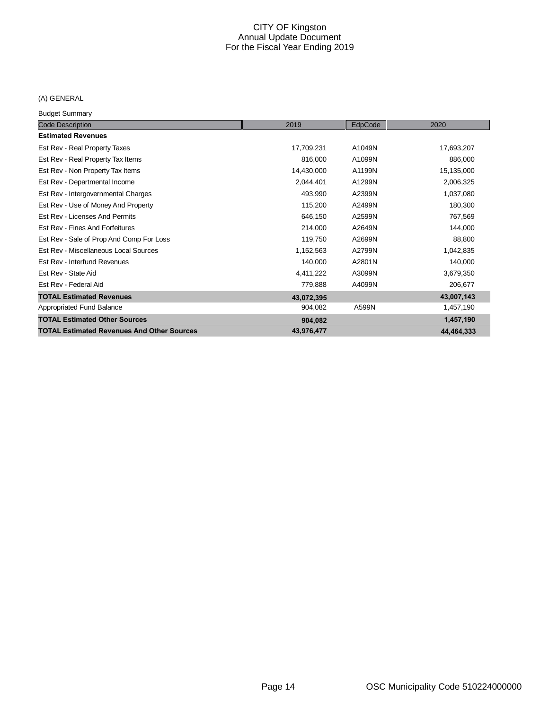# (A) GENERAL

Budget Summary

| <b>Code Description</b>                           | 2019       | EdpCode | 2020       |
|---------------------------------------------------|------------|---------|------------|
| <b>Estimated Revenues</b>                         |            |         |            |
| Est Rev - Real Property Taxes                     | 17,709,231 | A1049N  | 17,693,207 |
| Est Rev - Real Property Tax Items                 | 816,000    | A1099N  | 886,000    |
| Est Rev - Non Property Tax Items                  | 14,430,000 | A1199N  | 15,135,000 |
| Est Rev - Departmental Income                     | 2,044,401  | A1299N  | 2,006,325  |
| Est Rev - Intergovernmental Charges               | 493,990    | A2399N  | 1,037,080  |
| Est Rev - Use of Money And Property               | 115,200    | A2499N  | 180,300    |
| Est Rev - Licenses And Permits                    | 646,150    | A2599N  | 767,569    |
| Est Rev - Fines And Forfeitures                   | 214,000    | A2649N  | 144,000    |
| Est Rev - Sale of Prop And Comp For Loss          | 119,750    | A2699N  | 88,800     |
| Est Rev - Miscellaneous Local Sources             | 1,152,563  | A2799N  | 1,042,835  |
| Est Rev - Interfund Revenues                      | 140,000    | A2801N  | 140,000    |
| Est Rev - State Aid                               | 4,411,222  | A3099N  | 3,679,350  |
| Est Rev - Federal Aid                             | 779,888    | A4099N  | 206,677    |
| <b>TOTAL Estimated Revenues</b>                   | 43,072,395 |         | 43,007,143 |
| Appropriated Fund Balance                         | 904,082    | A599N   | 1,457,190  |
| <b>TOTAL Estimated Other Sources</b>              | 904,082    |         | 1,457,190  |
| <b>TOTAL Estimated Revenues And Other Sources</b> | 43,976,477 |         | 44,464,333 |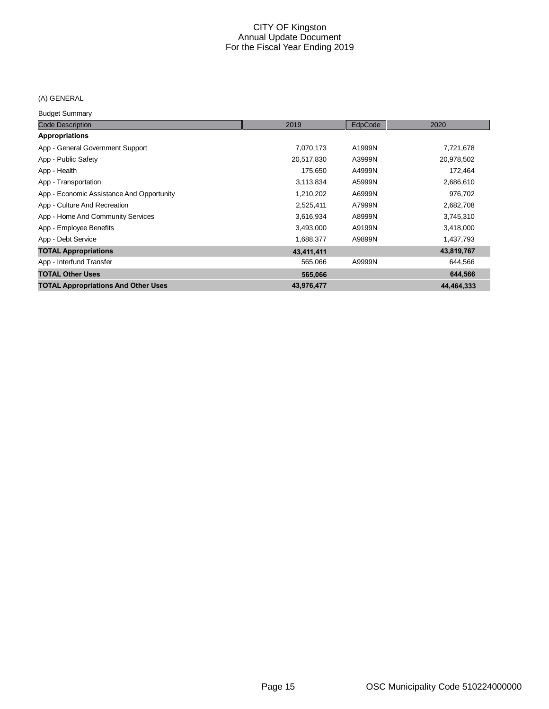# (A) GENERAL

Budget Summary

| <b>Code Description</b>                    | 2019       | EdpCode | 2020       |
|--------------------------------------------|------------|---------|------------|
| <b>Appropriations</b>                      |            |         |            |
| App - General Government Support           | 7,070,173  | A1999N  | 7,721,678  |
| App - Public Safety                        | 20,517,830 | A3999N  | 20,978,502 |
| App - Health                               | 175,650    | A4999N  | 172,464    |
| App - Transportation                       | 3,113,834  | A5999N  | 2,686,610  |
| App - Economic Assistance And Opportunity  | 1,210,202  | A6999N  | 976,702    |
| App - Culture And Recreation               | 2,525,411  | A7999N  | 2,682,708  |
| App - Home And Community Services          | 3,616,934  | A8999N  | 3,745,310  |
| App - Employee Benefits                    | 3,493,000  | A9199N  | 3,418,000  |
| App - Debt Service                         | 1,688,377  | A9899N  | 1,437,793  |
| <b>TOTAL Appropriations</b>                | 43,411,411 |         | 43,819,767 |
| App - Interfund Transfer                   | 565,066    | A9999N  | 644,566    |
| <b>TOTAL Other Uses</b>                    | 565,066    |         | 644,566    |
| <b>TOTAL Appropriations And Other Uses</b> | 43,976,477 |         | 44.464.333 |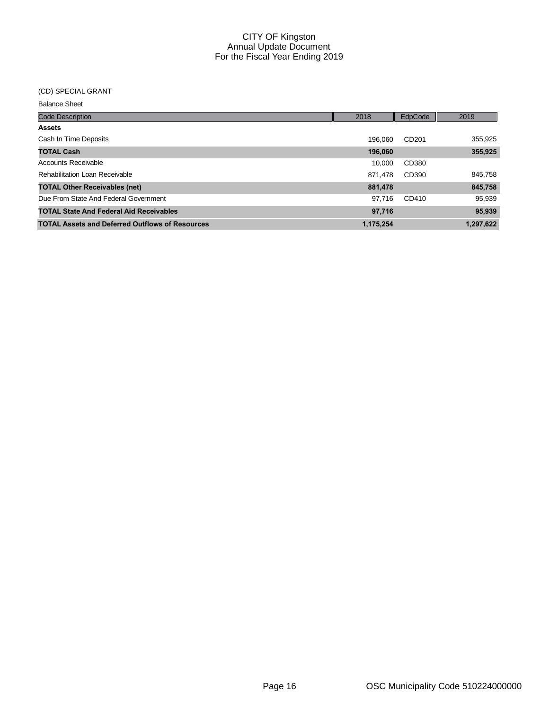### (CD) SPECIAL GRANT

Balance Sheet

| <b>Code Description</b>                                | 2018      | EdpCode           | 2019      |
|--------------------------------------------------------|-----------|-------------------|-----------|
| <b>Assets</b>                                          |           |                   |           |
| Cash In Time Deposits                                  | 196.060   | CD <sub>201</sub> | 355,925   |
| <b>TOTAL Cash</b>                                      | 196,060   |                   | 355,925   |
| Accounts Receivable                                    | 10.000    | CD380             |           |
| Rehabilitation Loan Receivable                         | 871.478   | CD390             | 845,758   |
| <b>TOTAL Other Receivables (net)</b>                   | 881,478   |                   | 845,758   |
| Due From State And Federal Government                  | 97.716    | CD410             | 95,939    |
| <b>TOTAL State And Federal Aid Receivables</b>         | 97,716    |                   | 95,939    |
| <b>TOTAL Assets and Deferred Outflows of Resources</b> | 1,175,254 |                   | 1,297,622 |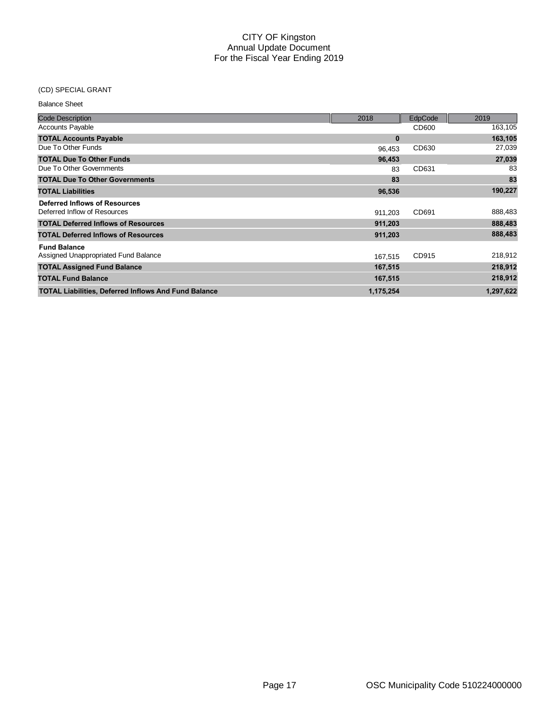#### (CD) SPECIAL GRANT

| <b>Balance Sheet</b> |  |
|----------------------|--|
|----------------------|--|

| <b>Code Description</b>                                     | 2018      | EdpCode | 2019      |
|-------------------------------------------------------------|-----------|---------|-----------|
| <b>Accounts Payable</b>                                     |           | CD600   | 163,105   |
| <b>TOTAL Accounts Payable</b>                               | $\bf{0}$  |         | 163,105   |
| Due To Other Funds                                          | 96,453    | CD630   | 27,039    |
| <b>TOTAL Due To Other Funds</b>                             | 96,453    |         | 27,039    |
| Due To Other Governments                                    | 83        | CD631   | 83        |
| <b>TOTAL Due To Other Governments</b>                       | 83        |         | 83        |
| <b>TOTAL Liabilities</b>                                    | 96,536    |         | 190,227   |
| Deferred Inflows of Resources                               |           |         |           |
| Deferred Inflow of Resources                                | 911.203   | CD691   | 888,483   |
| <b>TOTAL Deferred Inflows of Resources</b>                  | 911,203   |         | 888,483   |
| <b>TOTAL Deferred Inflows of Resources</b>                  | 911,203   |         | 888,483   |
| <b>Fund Balance</b>                                         |           |         |           |
| Assigned Unappropriated Fund Balance                        | 167,515   | CD915   | 218,912   |
| <b>TOTAL Assigned Fund Balance</b>                          | 167,515   |         | 218,912   |
| <b>TOTAL Fund Balance</b>                                   | 167,515   |         | 218,912   |
| <b>TOTAL Liabilities, Deferred Inflows And Fund Balance</b> | 1,175,254 |         | 1,297,622 |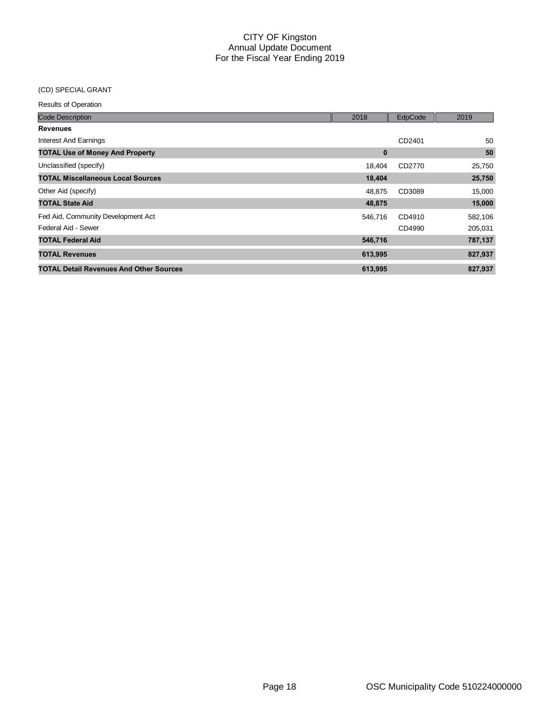#### (CD) SPECIAL GRANT

| <b>Code Description</b>                        | 2018    | EdpCode | 2019    |
|------------------------------------------------|---------|---------|---------|
| <b>Revenues</b>                                |         |         |         |
| <b>Interest And Earnings</b>                   |         | CD2401  | 50      |
| <b>TOTAL Use of Money And Property</b>         | 0       |         | 50      |
| Unclassified (specify)                         | 18.404  | CD2770  | 25,750  |
| <b>TOTAL Miscellaneous Local Sources</b>       | 18,404  |         | 25,750  |
| Other Aid (specify)                            | 48,875  | CD3089  | 15,000  |
| <b>TOTAL State Aid</b>                         | 48,875  |         | 15,000  |
| Fed Aid, Community Development Act             | 546,716 | CD4910  | 582,106 |
| Federal Aid - Sewer                            |         | CD4990  | 205,031 |
| <b>TOTAL Federal Aid</b>                       | 546,716 |         | 787,137 |
| <b>TOTAL Revenues</b>                          | 613,995 |         | 827,937 |
| <b>TOTAL Detail Revenues And Other Sources</b> | 613,995 |         | 827.937 |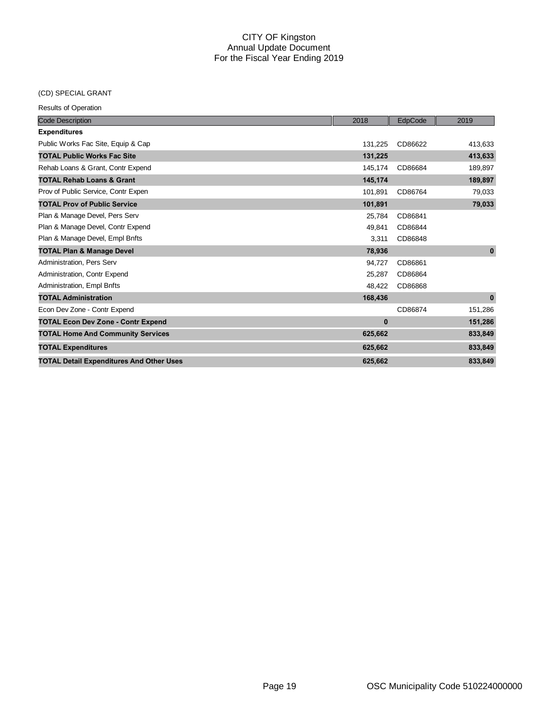# (CD) SPECIAL GRANT

| <b>Code Description</b>                         | 2018     | EdpCode | 2019         |
|-------------------------------------------------|----------|---------|--------------|
| <b>Expenditures</b>                             |          |         |              |
| Public Works Fac Site, Equip & Cap              | 131,225  | CD86622 | 413,633      |
| <b>TOTAL Public Works Fac Site</b>              | 131,225  |         | 413,633      |
| Rehab Loans & Grant, Contr Expend               | 145,174  | CD86684 | 189,897      |
| <b>TOTAL Rehab Loans &amp; Grant</b>            | 145,174  |         | 189,897      |
| Prov of Public Service, Contr Expen             | 101,891  | CD86764 | 79,033       |
| <b>TOTAL Prov of Public Service</b>             | 101,891  |         | 79,033       |
| Plan & Manage Devel, Pers Serv                  | 25.784   | CD86841 |              |
| Plan & Manage Devel, Contr Expend               | 49,841   | CD86844 |              |
| Plan & Manage Devel, Empl Bnfts                 | 3,311    | CD86848 |              |
| <b>TOTAL Plan &amp; Manage Devel</b>            | 78,936   |         | $\mathbf{0}$ |
| Administration, Pers Serv                       | 94,727   | CD86861 |              |
| Administration, Contr Expend                    | 25.287   | CD86864 |              |
| Administration, Empl Bnfts                      | 48,422   | CD86868 |              |
| <b>TOTAL Administration</b>                     | 168,436  |         | $\mathbf{0}$ |
| Econ Dev Zone - Contr Expend                    |          | CD86874 | 151,286      |
| <b>TOTAL Econ Dev Zone - Contr Expend</b>       | $\bf{0}$ |         | 151,286      |
| <b>TOTAL Home And Community Services</b>        | 625,662  |         | 833,849      |
| <b>TOTAL Expenditures</b>                       | 625,662  |         | 833,849      |
| <b>TOTAL Detail Expenditures And Other Uses</b> | 625.662  |         | 833,849      |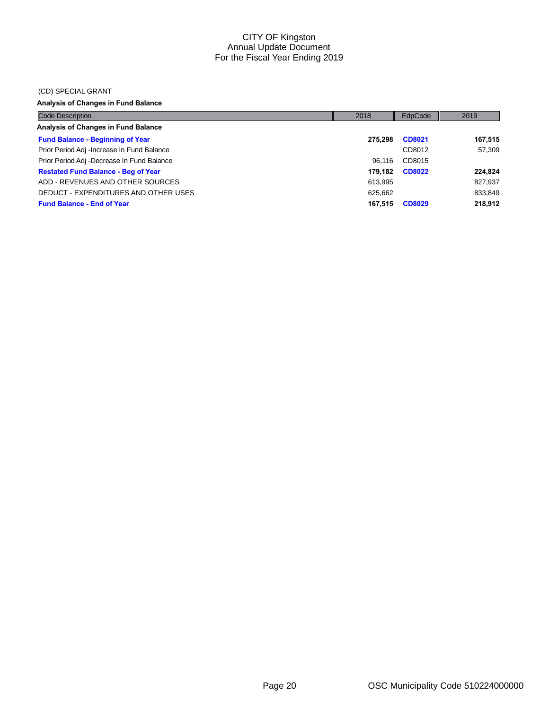#### (CD) SPECIAL GRANT

# **Analysis of Changes in Fund Balance**

| <b>Code Description</b>                    | 2018    | EdpCode       | 2019    |
|--------------------------------------------|---------|---------------|---------|
| <b>Analysis of Changes in Fund Balance</b> |         |               |         |
| <b>Fund Balance - Beginning of Year</b>    | 275.298 | <b>CD8021</b> | 167,515 |
| Prior Period Adj -Increase In Fund Balance |         | CD8012        | 57.309  |
| Prior Period Adj -Decrease In Fund Balance | 96.116  | CD8015        |         |
| <b>Restated Fund Balance - Beg of Year</b> | 179.182 | <b>CD8022</b> | 224,824 |
| ADD - REVENUES AND OTHER SOURCES           | 613.995 |               | 827,937 |
| DEDUCT - EXPENDITURES AND OTHER USES       | 625.662 |               | 833,849 |
| <b>Fund Balance - End of Year</b>          | 167,515 | <b>CD8029</b> | 218,912 |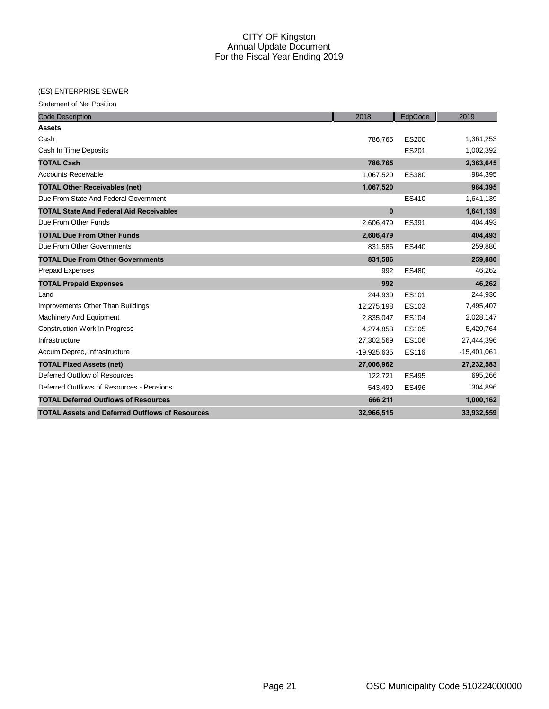#### (ES) ENTERPRISE SEWER

Statement of Net Position

| <b>Code Description</b>                                | 2018          | EdpCode      | 2019          |
|--------------------------------------------------------|---------------|--------------|---------------|
| <b>Assets</b>                                          |               |              |               |
| Cash                                                   | 786,765       | <b>ES200</b> | 1,361,253     |
| Cash In Time Deposits                                  |               | ES201        | 1,002,392     |
| <b>TOTAL Cash</b>                                      | 786,765       |              | 2,363,645     |
| <b>Accounts Receivable</b>                             | 1,067,520     | <b>ES380</b> | 984,395       |
| <b>TOTAL Other Receivables (net)</b>                   | 1,067,520     |              | 984,395       |
| Due From State And Federal Government                  |               | ES410        | 1,641,139     |
| <b>TOTAL State And Federal Aid Receivables</b>         | $\mathbf 0$   |              | 1,641,139     |
| Due From Other Funds                                   | 2,606,479     | ES391        | 404,493       |
| <b>TOTAL Due From Other Funds</b>                      | 2,606,479     |              | 404,493       |
| Due From Other Governments                             | 831,586       | <b>ES440</b> | 259,880       |
| <b>TOTAL Due From Other Governments</b>                | 831,586       |              | 259,880       |
| <b>Prepaid Expenses</b>                                | 992           | <b>ES480</b> | 46,262        |
| <b>TOTAL Prepaid Expenses</b>                          | 992           |              | 46,262        |
| Land                                                   | 244,930       | ES101        | 244,930       |
| Improvements Other Than Buildings                      | 12,275,198    | ES103        | 7,495,407     |
| <b>Machinery And Equipment</b>                         | 2,835,047     | <b>ES104</b> | 2,028,147     |
| <b>Construction Work In Progress</b>                   | 4,274,853     | <b>ES105</b> | 5,420,764     |
| Infrastructure                                         | 27,302,569    | <b>ES106</b> | 27,444,396    |
| Accum Deprec, Infrastructure                           | $-19,925,635$ | <b>ES116</b> | $-15,401,061$ |
| <b>TOTAL Fixed Assets (net)</b>                        | 27,006,962    |              | 27,232,583    |
| Deferred Outflow of Resources                          | 122,721       | <b>ES495</b> | 695,266       |
| Deferred Outflows of Resources - Pensions              | 543,490       | <b>ES496</b> | 304,896       |
| <b>TOTAL Deferred Outflows of Resources</b>            | 666,211       |              | 1,000,162     |
| <b>TOTAL Assets and Deferred Outflows of Resources</b> | 32,966,515    |              | 33,932,559    |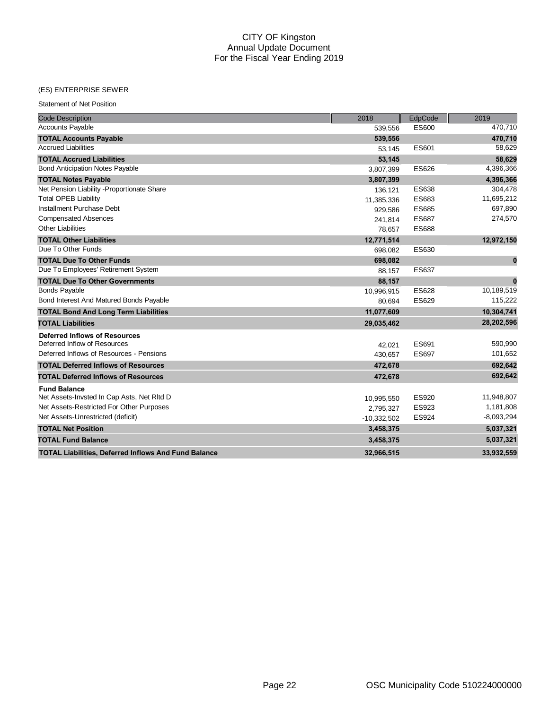#### (ES) ENTERPRISE SEWER

Statement of Net Position

| <b>Code Description</b>                                     | 2018          | EdpCode      | 2019         |
|-------------------------------------------------------------|---------------|--------------|--------------|
| <b>Accounts Payable</b>                                     | 539,556       | ES600        | 470,710      |
| <b>TOTAL Accounts Payable</b>                               | 539,556       |              | 470,710      |
| <b>Accrued Liabilities</b>                                  | 53,145        | ES601        | 58,629       |
| <b>TOTAL Accrued Liabilities</b>                            | 53,145        |              | 58,629       |
| <b>Bond Anticipation Notes Payable</b>                      | 3,807,399     | <b>ES626</b> | 4,396,366    |
| <b>TOTAL Notes Payable</b>                                  | 3,807,399     |              | 4,396,366    |
| Net Pension Liability - Proportionate Share                 | 136,121       | ES638        | 304,478      |
| <b>Total OPEB Liability</b>                                 | 11,385,336    | ES683        | 11,695,212   |
| Installment Purchase Debt                                   | 929,586       | <b>ES685</b> | 697,890      |
| <b>Compensated Absences</b>                                 | 241.814       | <b>ES687</b> | 274,570      |
| <b>Other Liabilities</b>                                    | 78,657        | <b>ES688</b> |              |
| <b>TOTAL Other Liabilities</b>                              | 12,771,514    |              | 12,972,150   |
| Due To Other Funds                                          | 698,082       | ES630        |              |
| <b>TOTAL Due To Other Funds</b>                             | 698,082       |              | $\bf{0}$     |
| Due To Employees' Retirement System                         | 88,157        | <b>ES637</b> |              |
| <b>TOTAL Due To Other Governments</b>                       | 88,157        |              | $\bf{0}$     |
| <b>Bonds Payable</b>                                        | 10,996,915    | <b>ES628</b> | 10,189,519   |
| Bond Interest And Matured Bonds Payable                     | 80,694        | ES629        | 115,222      |
| <b>TOTAL Bond And Long Term Liabilities</b>                 | 11,077,609    |              | 10,304,741   |
| <b>TOTAL Liabilities</b>                                    | 29,035,462    |              | 28,202,596   |
| <b>Deferred Inflows of Resources</b>                        |               |              |              |
| Deferred Inflow of Resources                                | 42.021        | ES691        | 590,990      |
| Deferred Inflows of Resources - Pensions                    | 430,657       | <b>ES697</b> | 101,652      |
| <b>TOTAL Deferred Inflows of Resources</b>                  | 472,678       |              | 692,642      |
| <b>TOTAL Deferred Inflows of Resources</b>                  | 472,678       |              | 692,642      |
| <b>Fund Balance</b>                                         |               |              |              |
| Net Assets-Invsted In Cap Asts, Net RItd D                  | 10,995,550    | <b>ES920</b> | 11,948,807   |
| Net Assets-Restricted For Other Purposes                    | 2,795,327     | ES923        | 1,181,808    |
| Net Assets-Unrestricted (deficit)                           | $-10,332,502$ | ES924        | $-8,093,294$ |
| <b>TOTAL Net Position</b>                                   | 3,458,375     |              | 5,037,321    |
| <b>TOTAL Fund Balance</b>                                   | 3,458,375     |              | 5,037,321    |
| <b>TOTAL Liabilities, Deferred Inflows And Fund Balance</b> | 32.966.515    |              | 33,932,559   |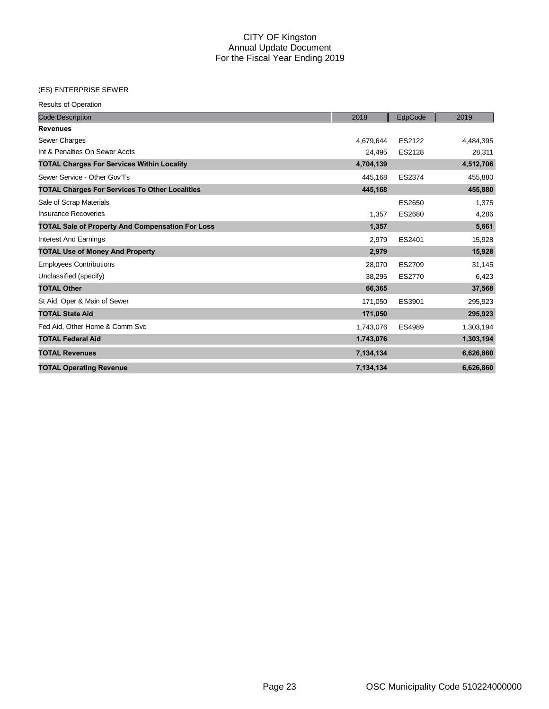#### (ES) ENTERPRISE SEWER

| <b>Code Description</b>                                 | 2018      | EdpCode | 2019      |
|---------------------------------------------------------|-----------|---------|-----------|
| <b>Revenues</b>                                         |           |         |           |
| Sewer Charges                                           | 4.679.644 | ES2122  | 4,484,395 |
| Int & Penalties On Sewer Accts                          | 24,495    | ES2128  | 28,311    |
| <b>TOTAL Charges For Services Within Locality</b>       | 4,704,139 |         | 4,512,706 |
| Sewer Service - Other Gov'Ts                            | 445,168   | ES2374  | 455,880   |
| <b>TOTAL Charges For Services To Other Localities</b>   | 445,168   |         | 455,880   |
| Sale of Scrap Materials                                 |           | ES2650  | 1,375     |
| <b>Insurance Recoveries</b>                             | 1,357     | ES2680  | 4,286     |
| <b>TOTAL Sale of Property And Compensation For Loss</b> | 1,357     |         | 5,661     |
| <b>Interest And Earnings</b>                            | 2,979     | ES2401  | 15,928    |
| <b>TOTAL Use of Money And Property</b>                  | 2,979     |         | 15,928    |
| <b>Employees Contributions</b>                          | 28,070    | ES2709  | 31,145    |
| Unclassified (specify)                                  | 38,295    | ES2770  | 6,423     |
| <b>TOTAL Other</b>                                      | 66,365    |         | 37,568    |
| St Aid, Oper & Main of Sewer                            | 171,050   | ES3901  | 295,923   |
| <b>TOTAL State Aid</b>                                  | 171,050   |         | 295,923   |
| Fed Aid, Other Home & Comm Svc                          | 1,743,076 | ES4989  | 1,303,194 |
| <b>TOTAL Federal Aid</b>                                | 1,743,076 |         | 1,303,194 |
| <b>TOTAL Revenues</b>                                   | 7,134,134 |         | 6,626,860 |
| <b>TOTAL Operating Revenue</b>                          | 7,134,134 |         | 6,626,860 |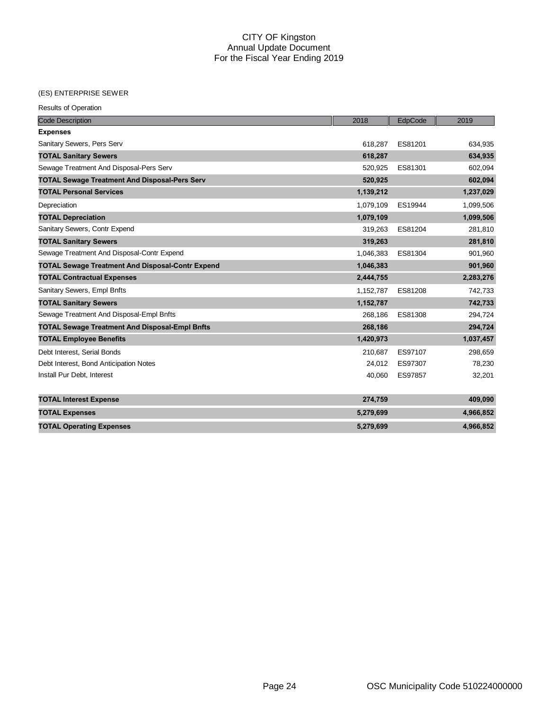#### (ES) ENTERPRISE SEWER

| <b>Code Description</b>                                 | 2018      | EdpCode | 2019      |
|---------------------------------------------------------|-----------|---------|-----------|
| <b>Expenses</b>                                         |           |         |           |
| Sanitary Sewers, Pers Serv                              | 618.287   | ES81201 | 634,935   |
| <b>TOTAL Sanitary Sewers</b>                            | 618,287   |         | 634,935   |
| Sewage Treatment And Disposal-Pers Serv                 | 520,925   | ES81301 | 602,094   |
| <b>TOTAL Sewage Treatment And Disposal-Pers Serv</b>    | 520,925   |         | 602,094   |
| <b>TOTAL Personal Services</b>                          | 1,139,212 |         | 1,237,029 |
| Depreciation                                            | 1,079,109 | ES19944 | 1,099,506 |
| <b>TOTAL Depreciation</b>                               | 1,079,109 |         | 1,099,506 |
| Sanitary Sewers, Contr Expend                           | 319,263   | ES81204 | 281,810   |
| <b>TOTAL Sanitary Sewers</b>                            | 319,263   |         | 281,810   |
| Sewage Treatment And Disposal-Contr Expend              | 1,046,383 | ES81304 | 901,960   |
| <b>TOTAL Sewage Treatment And Disposal-Contr Expend</b> | 1,046,383 |         | 901,960   |
| <b>TOTAL Contractual Expenses</b>                       | 2,444,755 |         | 2,283,276 |
| Sanitary Sewers, Empl Bnfts                             | 1,152,787 | ES81208 | 742,733   |
| <b>TOTAL Sanitary Sewers</b>                            | 1,152,787 |         | 742,733   |
| Sewage Treatment And Disposal-Empl Bnfts                | 268,186   | ES81308 | 294,724   |
| <b>TOTAL Sewage Treatment And Disposal-Empl Bnfts</b>   | 268,186   |         | 294,724   |
| <b>TOTAL Employee Benefits</b>                          | 1,420,973 |         | 1,037,457 |
| Debt Interest, Serial Bonds                             | 210,687   | ES97107 | 298,659   |
| Debt Interest, Bond Anticipation Notes                  | 24,012    | ES97307 | 78,230    |
| Install Pur Debt, Interest                              | 40,060    | ES97857 | 32,201    |
| <b>TOTAL Interest Expense</b>                           | 274,759   |         | 409,090   |
| <b>TOTAL Expenses</b>                                   | 5,279,699 |         | 4,966,852 |
| <b>TOTAL Operating Expenses</b>                         | 5,279,699 |         | 4,966,852 |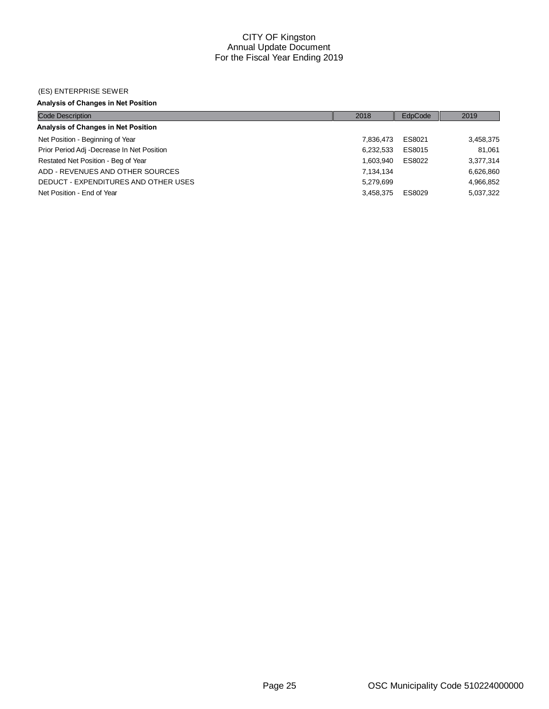#### (ES) ENTERPRISE SEWER

# **Analysis of Changes in Net Position**

| <b>Code Description</b>                    | 2018      | EdpCode | 2019      |
|--------------------------------------------|-----------|---------|-----------|
| Analysis of Changes in Net Position        |           |         |           |
| Net Position - Beginning of Year           | 7.836.473 | ES8021  | 3,458,375 |
| Prior Period Adj -Decrease In Net Position | 6,232,533 | ES8015  | 81.061    |
| Restated Net Position - Beg of Year        | 1.603.940 | ES8022  | 3,377,314 |
| ADD - REVENUES AND OTHER SOURCES           | 7,134,134 |         | 6,626,860 |
| DEDUCT - EXPENDITURES AND OTHER USES       | 5.279.699 |         | 4,966,852 |
| Net Position - End of Year                 | 3.458.375 | ES8029  | 5,037,322 |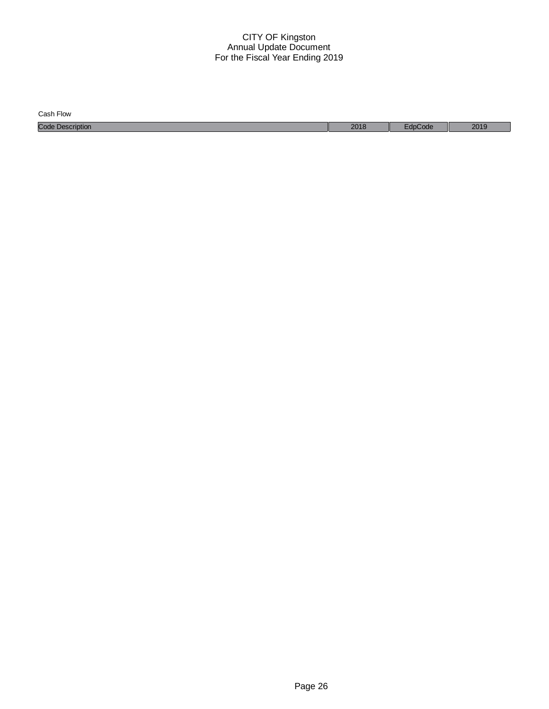| Cash Flow               |      |       |      |
|-------------------------|------|-------|------|
| <b>Code Description</b> | 2018 | code: | 2019 |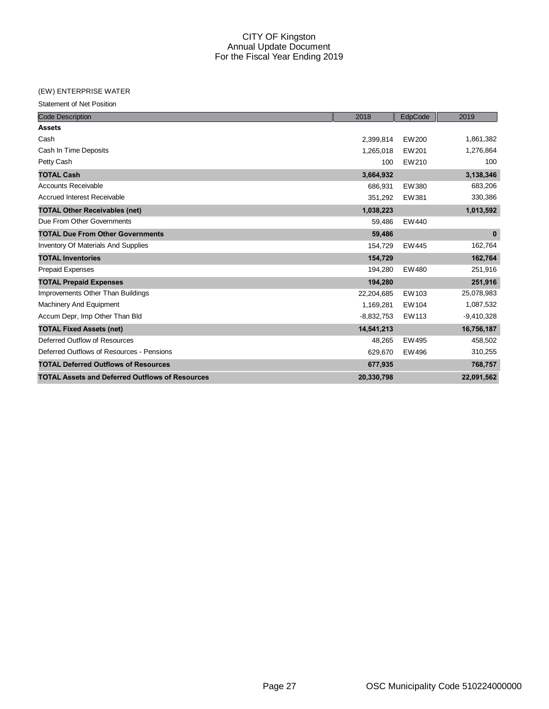#### (EW) ENTERPRISE WATER

Statement of Net Position

| <b>Code Description</b>                                | 2018         | EdpCode | 2019         |
|--------------------------------------------------------|--------------|---------|--------------|
| <b>Assets</b>                                          |              |         |              |
| Cash                                                   | 2,399,814    | EW200   | 1,861,382    |
| Cash In Time Deposits                                  | 1,265,018    | EW201   | 1,276,864    |
| Petty Cash                                             | 100          | EW210   | 100          |
| <b>TOTAL Cash</b>                                      | 3,664,932    |         | 3,138,346    |
| <b>Accounts Receivable</b>                             | 686,931      | EW380   | 683,206      |
| <b>Accrued Interest Receivable</b>                     | 351,292      | EW381   | 330,386      |
| <b>TOTAL Other Receivables (net)</b>                   | 1,038,223    |         | 1,013,592    |
| Due From Other Governments                             | 59,486       | EW440   |              |
| <b>TOTAL Due From Other Governments</b>                | 59,486       |         | $\bf{0}$     |
| <b>Inventory Of Materials And Supplies</b>             | 154,729      | EW445   | 162,764      |
| <b>TOTAL Inventories</b>                               | 154,729      |         | 162,764      |
| Prepaid Expenses                                       | 194,280      | EW480   | 251,916      |
| <b>TOTAL Prepaid Expenses</b>                          | 194,280      |         | 251,916      |
| Improvements Other Than Buildings                      | 22,204,685   | EW103   | 25,078,983   |
| <b>Machinery And Equipment</b>                         | 1,169,281    | EW104   | 1,087,532    |
| Accum Depr, Imp Other Than Bld                         | $-8,832,753$ | EW113   | $-9,410,328$ |
| <b>TOTAL Fixed Assets (net)</b>                        | 14,541,213   |         | 16,756,187   |
| Deferred Outflow of Resources                          | 48,265       | EW495   | 458,502      |
| Deferred Outflows of Resources - Pensions              | 629,670      | EW496   | 310,255      |
| <b>TOTAL Deferred Outflows of Resources</b>            | 677,935      |         | 768,757      |
| <b>TOTAL Assets and Deferred Outflows of Resources</b> | 20,330,798   |         | 22,091,562   |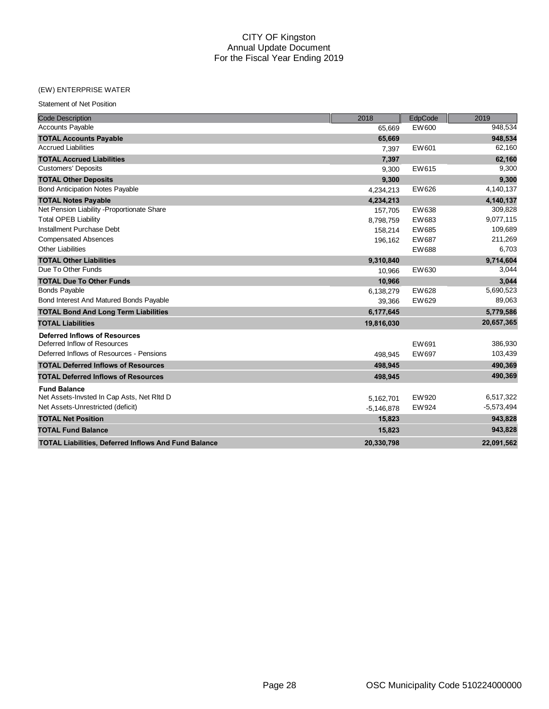#### (EW) ENTERPRISE WATER

Statement of Net Position

| <b>Code Description</b>                                     | 2018         | EdpCode | 2019         |
|-------------------------------------------------------------|--------------|---------|--------------|
| <b>Accounts Payable</b>                                     | 65,669       | EW600   | 948,534      |
| <b>TOTAL Accounts Payable</b>                               | 65,669       |         | 948,534      |
| <b>Accrued Liabilities</b>                                  | 7,397        | EW601   | 62,160       |
| <b>TOTAL Accrued Liabilities</b>                            | 7,397        |         | 62,160       |
| <b>Customers' Deposits</b>                                  | 9,300        | EW615   | 9,300        |
| <b>TOTAL Other Deposits</b>                                 | 9,300        |         | 9,300        |
| <b>Bond Anticipation Notes Payable</b>                      | 4,234,213    | EW626   | 4,140,137    |
| <b>TOTAL Notes Payable</b>                                  | 4,234,213    |         | 4,140,137    |
| Net Pension Liability - Proportionate Share                 | 157,705      | EW638   | 309,828      |
| <b>Total OPEB Liability</b>                                 | 8,798,759    | EW683   | 9,077,115    |
| Installment Purchase Debt                                   | 158,214      | EW685   | 109,689      |
| <b>Compensated Absences</b>                                 | 196,162      | EW687   | 211,269      |
| <b>Other Liabilities</b>                                    |              | EW688   | 6,703        |
| <b>TOTAL Other Liabilities</b>                              | 9,310,840    |         | 9,714,604    |
| Due To Other Funds                                          | 10.966       | EW630   | 3,044        |
| <b>TOTAL Due To Other Funds</b>                             | 10,966       |         | 3,044        |
| <b>Bonds Payable</b>                                        | 6,138,279    | EW628   | 5,690,523    |
| Bond Interest And Matured Bonds Payable                     | 39,366       | EW629   | 89,063       |
| <b>TOTAL Bond And Long Term Liabilities</b>                 | 6,177,645    |         | 5,779,586    |
| <b>TOTAL Liabilities</b>                                    | 19,816,030   |         | 20,657,365   |
| <b>Deferred Inflows of Resources</b>                        |              |         |              |
| Deferred Inflow of Resources                                |              | EW691   | 386,930      |
| Deferred Inflows of Resources - Pensions                    | 498.945      | EW697   | 103,439      |
| <b>TOTAL Deferred Inflows of Resources</b>                  | 498,945      |         | 490,369      |
| <b>TOTAL Deferred Inflows of Resources</b>                  | 498,945      |         | 490,369      |
| <b>Fund Balance</b>                                         |              |         |              |
| Net Assets-Invsted In Cap Asts, Net RItd D                  | 5,162,701    | EW920   | 6,517,322    |
| Net Assets-Unrestricted (deficit)                           | $-5,146,878$ | EW924   | $-5,573,494$ |
| <b>TOTAL Net Position</b>                                   | 15,823       |         | 943,828      |
| <b>TOTAL Fund Balance</b>                                   | 15,823       |         | 943,828      |
| <b>TOTAL Liabilities, Deferred Inflows And Fund Balance</b> | 20,330,798   |         | 22,091,562   |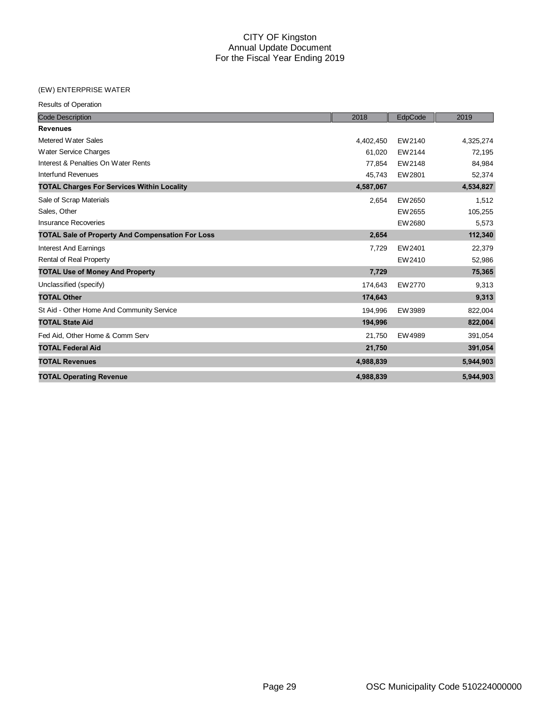#### (EW) ENTERPRISE WATER

Results of Operation

| <b>Code Description</b>                                 | 2018      | EdpCode | 2019      |
|---------------------------------------------------------|-----------|---------|-----------|
| <b>Revenues</b>                                         |           |         |           |
| Metered Water Sales                                     | 4,402,450 | EW2140  | 4,325,274 |
| Water Service Charges                                   | 61,020    | EW2144  | 72,195    |
| Interest & Penalties On Water Rents                     | 77,854    | EW2148  | 84,984    |
| <b>Interfund Revenues</b>                               | 45,743    | EW2801  | 52,374    |
| <b>TOTAL Charges For Services Within Locality</b>       | 4,587,067 |         | 4,534,827 |
| Sale of Scrap Materials                                 | 2,654     | EW2650  | 1,512     |
| Sales, Other                                            |           | EW2655  | 105,255   |
| <b>Insurance Recoveries</b>                             |           | EW2680  | 5,573     |
| <b>TOTAL Sale of Property And Compensation For Loss</b> | 2,654     |         | 112,340   |
| <b>Interest And Earnings</b>                            | 7,729     | EW2401  | 22,379    |
| Rental of Real Property                                 |           | EW2410  | 52,986    |
| <b>TOTAL Use of Money And Property</b>                  | 7,729     |         | 75,365    |
| Unclassified (specify)                                  | 174,643   | EW2770  | 9,313     |
| <b>TOTAL Other</b>                                      | 174,643   |         | 9,313     |
| St Aid - Other Home And Community Service               | 194,996   | EW3989  | 822,004   |
| <b>TOTAL State Aid</b>                                  | 194,996   |         | 822,004   |
| Fed Aid, Other Home & Comm Serv                         | 21,750    | EW4989  | 391,054   |
| <b>TOTAL Federal Aid</b>                                | 21,750    |         | 391,054   |
| <b>TOTAL Revenues</b>                                   | 4,988,839 |         | 5,944,903 |
| <b>TOTAL Operating Revenue</b>                          | 4,988,839 |         | 5,944,903 |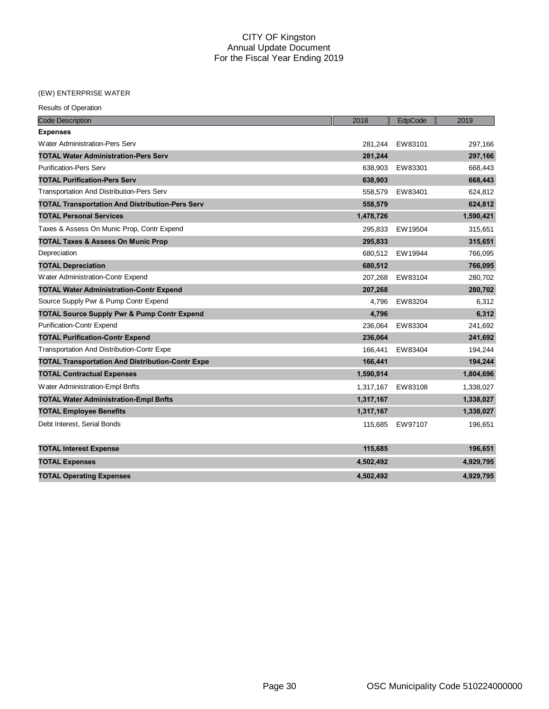# (EW) ENTERPRISE WATER

| <b>Results of Operation</b> |
|-----------------------------|
|                             |

| <b>Code Description</b>                                 | 2018      | EdpCode | 2019      |
|---------------------------------------------------------|-----------|---------|-----------|
| <b>Expenses</b>                                         |           |         |           |
| Water Administration-Pers Serv                          | 281.244   | EW83101 | 297,166   |
| <b>TOTAL Water Administration-Pers Serv</b>             | 281,244   |         | 297,166   |
| <b>Purification-Pers Serv</b>                           | 638.903   | EW83301 | 668,443   |
| <b>TOTAL Purification-Pers Serv</b>                     | 638,903   |         | 668,443   |
| <b>Transportation And Distribution-Pers Serv</b>        | 558,579   | EW83401 | 624,812   |
| <b>TOTAL Transportation And Distribution-Pers Serv</b>  | 558,579   |         | 624,812   |
| <b>TOTAL Personal Services</b>                          | 1,478,726 |         | 1,590,421 |
| Taxes & Assess On Munic Prop, Contr Expend              | 295,833   | EW19504 | 315,651   |
| <b>TOTAL Taxes &amp; Assess On Munic Prop</b>           | 295,833   |         | 315,651   |
| Depreciation                                            | 680.512   | EW19944 | 766,095   |
| <b>TOTAL Depreciation</b>                               | 680,512   |         | 766,095   |
| Water Administration-Contr Expend                       | 207.268   | EW83104 | 280.702   |
| <b>TOTAL Water Administration-Contr Expend</b>          | 207,268   |         | 280,702   |
| Source Supply Pwr & Pump Contr Expend                   | 4,796     | EW83204 | 6,312     |
| <b>TOTAL Source Supply Pwr &amp; Pump Contr Expend</b>  | 4,796     |         | 6,312     |
| <b>Purification-Contr Expend</b>                        | 236,064   | EW83304 | 241,692   |
| <b>TOTAL Purification-Contr Expend</b>                  | 236.064   |         | 241,692   |
| <b>Transportation And Distribution-Contr Expe</b>       | 166,441   | EW83404 | 194,244   |
| <b>TOTAL Transportation And Distribution-Contr Expe</b> | 166,441   |         | 194,244   |
| <b>TOTAL Contractual Expenses</b>                       | 1,590,914 |         | 1,804,696 |
| Water Administration-Empl Bnfts                         | 1,317,167 | EW83108 | 1,338,027 |
| <b>TOTAL Water Administration-Empl Bnfts</b>            | 1,317,167 |         | 1,338,027 |
| <b>TOTAL Employee Benefits</b>                          | 1,317,167 |         | 1,338,027 |
| Debt Interest, Serial Bonds                             | 115,685   | EW97107 | 196,651   |
| <b>TOTAL Interest Expense</b>                           | 115,685   |         | 196,651   |
| <b>TOTAL Expenses</b>                                   | 4,502,492 |         | 4,929,795 |
| <b>TOTAL Operating Expenses</b>                         | 4,502,492 |         | 4,929,795 |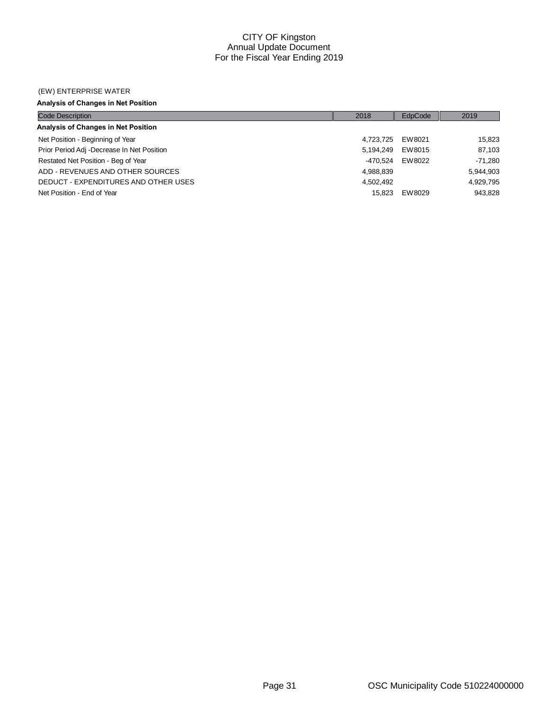#### (EW) ENTERPRISE WATER

# **Analysis of Changes in Net Position**

| <b>Code Description</b>                    | 2018      | EdpCode | 2019      |
|--------------------------------------------|-----------|---------|-----------|
| Analysis of Changes in Net Position        |           |         |           |
| Net Position - Beginning of Year           | 4.723.725 | EW8021  | 15,823    |
| Prior Period Adj -Decrease In Net Position | 5.194.249 | EW8015  | 87,103    |
| Restated Net Position - Beg of Year        | -470.524  | EW8022  | $-71.280$ |
| ADD - REVENUES AND OTHER SOURCES           | 4,988,839 |         | 5,944,903 |
| DEDUCT - EXPENDITURES AND OTHER USES       | 4,502,492 |         | 4.929.795 |
| Net Position - End of Year                 | 15.823    | EW8029  | 943,828   |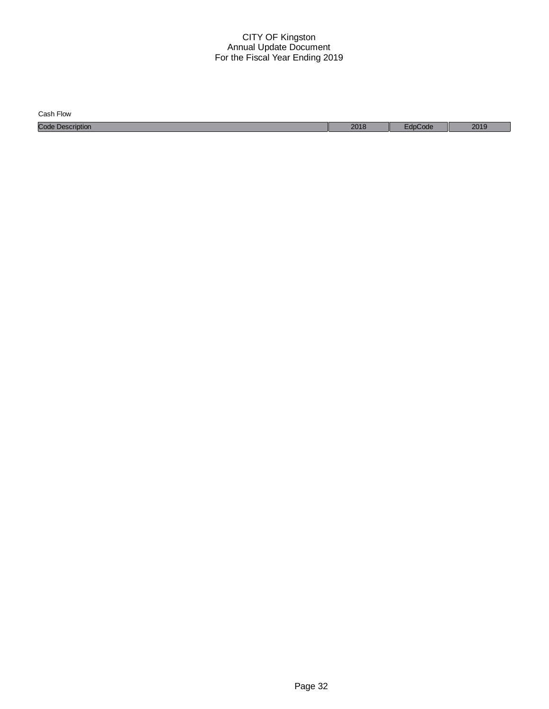| Cash Flow               |      |       |      |
|-------------------------|------|-------|------|
| <b>Code Description</b> | 2018 | code: | 2019 |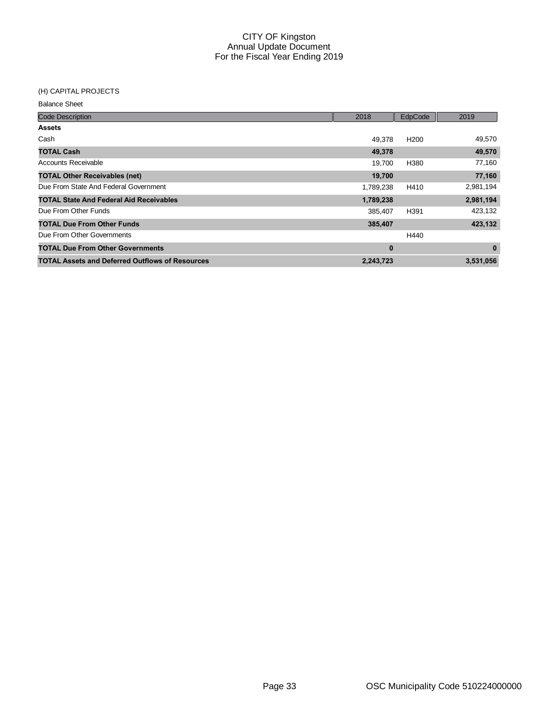# (H) CAPITAL PROJECTS

| <b>Code Description</b>                                | 2018      | EdpCode          | 2019      |
|--------------------------------------------------------|-----------|------------------|-----------|
| <b>Assets</b>                                          |           |                  |           |
| Cash                                                   | 49.378    | H <sub>200</sub> | 49,570    |
| <b>TOTAL Cash</b>                                      | 49,378    |                  | 49,570    |
| Accounts Receivable                                    | 19,700    | H380             | 77,160    |
| <b>TOTAL Other Receivables (net)</b>                   | 19,700    |                  | 77,160    |
| Due From State And Federal Government                  | 1,789,238 | H410             | 2,981,194 |
| <b>TOTAL State And Federal Aid Receivables</b>         | 1,789,238 |                  | 2,981,194 |
| Due From Other Funds                                   | 385,407   | H391             | 423,132   |
| <b>TOTAL Due From Other Funds</b>                      | 385,407   |                  | 423,132   |
| Due From Other Governments                             |           | H440             |           |
| <b>TOTAL Due From Other Governments</b>                | $\bf{0}$  |                  | 0         |
| <b>TOTAL Assets and Deferred Outflows of Resources</b> | 2,243,723 |                  | 3,531,056 |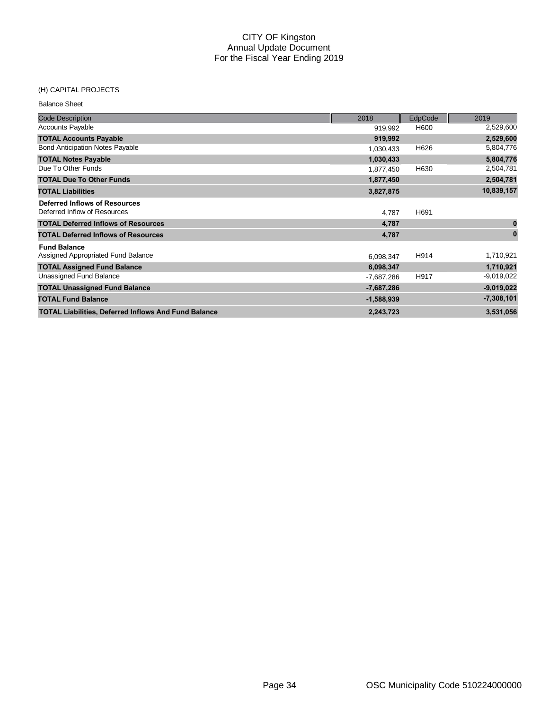# (H) CAPITAL PROJECTS

| <b>Balance Sheet</b>                                                 |              |         |              |
|----------------------------------------------------------------------|--------------|---------|--------------|
| <b>Code Description</b>                                              | 2018         | EdpCode | 2019         |
| <b>Accounts Payable</b>                                              | 919,992      | H600    | 2,529,600    |
| <b>TOTAL Accounts Payable</b>                                        | 919,992      |         | 2,529,600    |
| <b>Bond Anticipation Notes Payable</b>                               | 1,030,433    | H626    | 5,804,776    |
| <b>TOTAL Notes Payable</b>                                           | 1,030,433    |         | 5,804,776    |
| Due To Other Funds                                                   | 1,877,450    | H630    | 2,504,781    |
| <b>TOTAL Due To Other Funds</b>                                      | 1,877,450    |         | 2,504,781    |
| <b>TOTAL Liabilities</b>                                             | 3,827,875    |         | 10,839,157   |
| <b>Deferred Inflows of Resources</b><br>Deferred Inflow of Resources | 4,787        | H691    |              |
| <b>TOTAL Deferred Inflows of Resources</b>                           | 4,787        |         | 0            |
| <b>TOTAL Deferred Inflows of Resources</b>                           | 4,787        |         | $\bf{0}$     |
| <b>Fund Balance</b><br>Assigned Appropriated Fund Balance            | 6,098,347    | H914    | 1,710,921    |
| <b>TOTAL Assigned Fund Balance</b>                                   | 6,098,347    |         | 1,710,921    |
| Unassigned Fund Balance                                              | $-7,687,286$ | H917    | $-9,019,022$ |
| <b>TOTAL Unassigned Fund Balance</b>                                 | $-7,687,286$ |         | $-9,019,022$ |
| <b>TOTAL Fund Balance</b>                                            | $-1,588,939$ |         | $-7,308,101$ |
| <b>TOTAL Liabilities, Deferred Inflows And Fund Balance</b>          | 2,243,723    |         | 3,531,056    |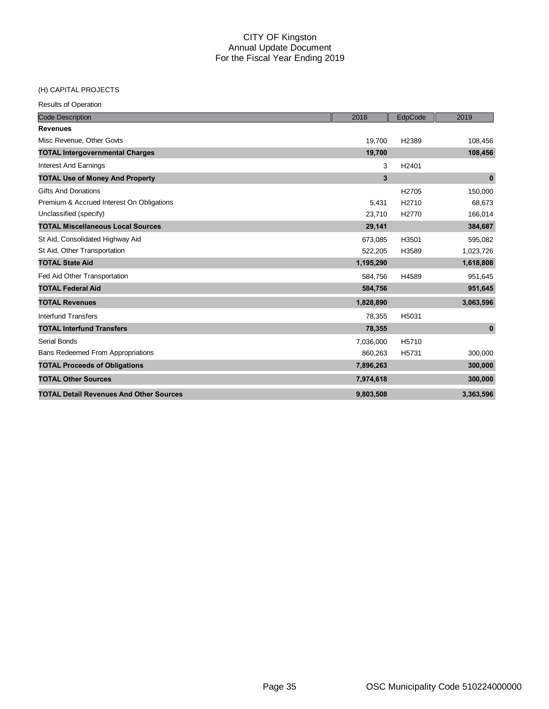#### (H) CAPITAL PROJECTS

Results of Operation

| <b>Code Description</b>                        | 2018      | EdpCode | 2019      |
|------------------------------------------------|-----------|---------|-----------|
| <b>Revenues</b>                                |           |         |           |
| Misc Revenue, Other Govts                      | 19,700    | H2389   | 108,456   |
| <b>TOTAL Intergovernmental Charges</b>         | 19,700    |         | 108,456   |
| <b>Interest And Earnings</b>                   | 3         | H2401   |           |
| <b>TOTAL Use of Money And Property</b>         | 3         |         | $\bf{0}$  |
| <b>Gifts And Donations</b>                     |           | H2705   | 150,000   |
| Premium & Accrued Interest On Obligations      | 5.431     | H2710   | 68,673    |
| Unclassified (specify)                         | 23,710    | H2770   | 166,014   |
| <b>TOTAL Miscellaneous Local Sources</b>       | 29,141    |         | 384,687   |
| St Aid, Consolidated Highway Aid               | 673,085   | H3501   | 595,082   |
| St Aid, Other Transportation                   | 522,205   | H3589   | 1,023,726 |
| <b>TOTAL State Aid</b>                         | 1,195,290 |         | 1,618,808 |
| Fed Aid Other Transportation                   | 584,756   | H4589   | 951,645   |
| <b>TOTAL Federal Aid</b>                       | 584,756   |         | 951,645   |
| <b>TOTAL Revenues</b>                          | 1,828,890 |         | 3,063,596 |
| Interfund Transfers                            | 78,355    | H5031   |           |
| <b>TOTAL Interfund Transfers</b>               | 78,355    |         | $\bf{0}$  |
| Serial Bonds                                   | 7,036,000 | H5710   |           |
| <b>Bans Redeemed From Appropriations</b>       | 860,263   | H5731   | 300,000   |
| <b>TOTAL Proceeds of Obligations</b>           | 7,896,263 |         | 300,000   |
| <b>TOTAL Other Sources</b>                     | 7,974,618 |         | 300,000   |
| <b>TOTAL Detail Revenues And Other Sources</b> | 9,803,508 |         | 3,363,596 |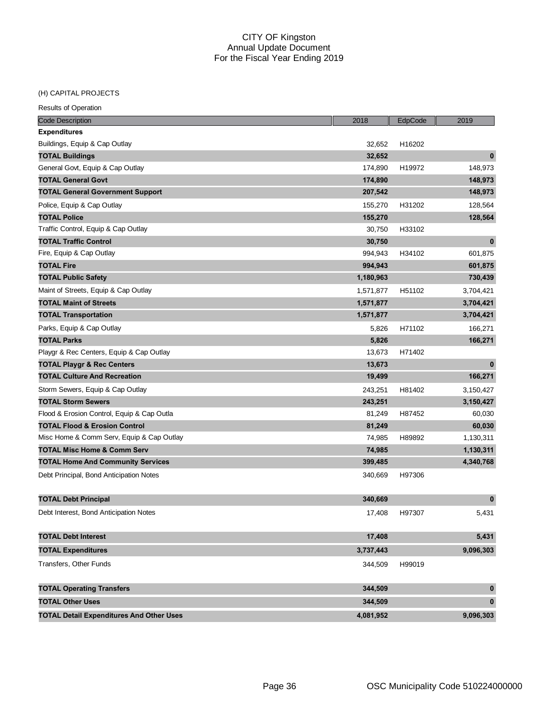# (H) CAPITAL PROJECTS

| <b>Results of Operation</b> |  |
|-----------------------------|--|
|                             |  |

| <b>Code Description</b>                         | 2018      | EdpCode | 2019         |
|-------------------------------------------------|-----------|---------|--------------|
| <b>Expenditures</b>                             |           |         |              |
| Buildings, Equip & Cap Outlay                   | 32,652    | H16202  |              |
| <b>TOTAL Buildings</b>                          | 32,652    |         | $\mathbf 0$  |
| General Govt, Equip & Cap Outlay                | 174,890   | H19972  | 148,973      |
| <b>TOTAL General Govt</b>                       | 174,890   |         | 148,973      |
| <b>TOTAL General Government Support</b>         | 207,542   |         | 148,973      |
| Police, Equip & Cap Outlay                      | 155,270   | H31202  | 128,564      |
| <b>TOTAL Police</b>                             | 155,270   |         | 128,564      |
| Traffic Control, Equip & Cap Outlay             | 30,750    | H33102  |              |
| <b>TOTAL Traffic Control</b>                    | 30,750    |         | $\bf{0}$     |
| Fire, Equip & Cap Outlay                        | 994,943   | H34102  | 601,875      |
| <b>TOTAL Fire</b>                               | 994,943   |         | 601,875      |
| <b>TOTAL Public Safety</b>                      | 1,180,963 |         | 730,439      |
| Maint of Streets, Equip & Cap Outlay            | 1,571,877 | H51102  | 3,704,421    |
| <b>TOTAL Maint of Streets</b>                   | 1,571,877 |         | 3,704,421    |
| <b>TOTAL Transportation</b>                     | 1,571,877 |         | 3,704,421    |
| Parks, Equip & Cap Outlay                       | 5,826     | H71102  | 166,271      |
| <b>TOTAL Parks</b>                              | 5,826     |         | 166,271      |
| Playgr & Rec Centers, Equip & Cap Outlay        | 13,673    | H71402  |              |
| <b>TOTAL Playgr &amp; Rec Centers</b>           | 13,673    |         | $\bf{0}$     |
| <b>TOTAL Culture And Recreation</b>             | 19,499    |         | 166,271      |
| Storm Sewers, Equip & Cap Outlay                | 243,251   | H81402  | 3,150,427    |
| <b>TOTAL Storm Sewers</b>                       | 243,251   |         | 3,150,427    |
| Flood & Erosion Control, Equip & Cap Outla      | 81,249    | H87452  | 60,030       |
| <b>TOTAL Flood &amp; Erosion Control</b>        | 81,249    |         | 60,030       |
| Misc Home & Comm Serv, Equip & Cap Outlay       | 74,985    | H89892  | 1,130,311    |
| <b>TOTAL Misc Home &amp; Comm Serv</b>          | 74,985    |         | 1,130,311    |
| <b>TOTAL Home And Community Services</b>        | 399,485   |         | 4,340,768    |
| Debt Principal, Bond Anticipation Notes         | 340,669   | H97306  |              |
|                                                 |           |         |              |
| <b>TOTAL Debt Principal</b>                     | 340,669   |         | $\bf{0}$     |
| Debt Interest, Bond Anticipation Notes          | 17,408    | H97307  | 5,431        |
|                                                 |           |         |              |
| <b>TOTAL Debt Interest</b>                      | 17,408    |         | 5,431        |
| <b>TOTAL Expenditures</b>                       | 3,737,443 |         | 9,096,303    |
| Transfers, Other Funds                          | 344,509   | H99019  |              |
|                                                 |           |         |              |
| <b>TOTAL Operating Transfers</b>                | 344,509   |         | $\pmb{0}$    |
| <b>TOTAL Other Uses</b>                         | 344,509   |         | $\mathbf{0}$ |
| <b>TOTAL Detail Expenditures And Other Uses</b> | 4,081,952 |         | 9,096,303    |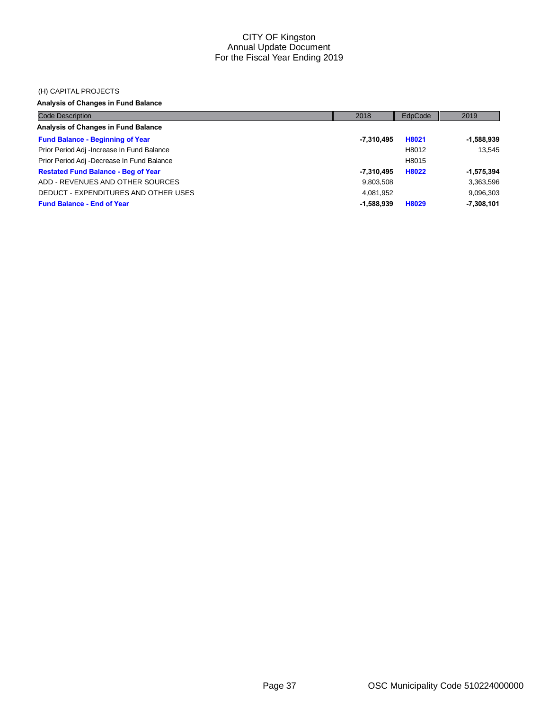#### (H) CAPITAL PROJECTS

# **Analysis of Changes in Fund Balance**

| <b>Code Description</b>                     | 2018         | EdpCode | 2019         |
|---------------------------------------------|--------------|---------|--------------|
| Analysis of Changes in Fund Balance         |              |         |              |
| <b>Fund Balance - Beginning of Year</b>     | -7,310,495   | H8021   | -1,588,939   |
| Prior Period Adj - Increase In Fund Balance |              | H8012   | 13.545       |
| Prior Period Adj -Decrease In Fund Balance  |              | H8015   |              |
| <b>Restated Fund Balance - Beg of Year</b>  | -7,310,495   | H8022   | $-1,575,394$ |
| ADD - REVENUES AND OTHER SOURCES            | 9,803,508    |         | 3,363,596    |
| DEDUCT - EXPENDITURES AND OTHER USES        | 4,081,952    |         | 9,096,303    |
| <b>Fund Balance - End of Year</b>           | $-1,588,939$ | H8029   | $-7,308,101$ |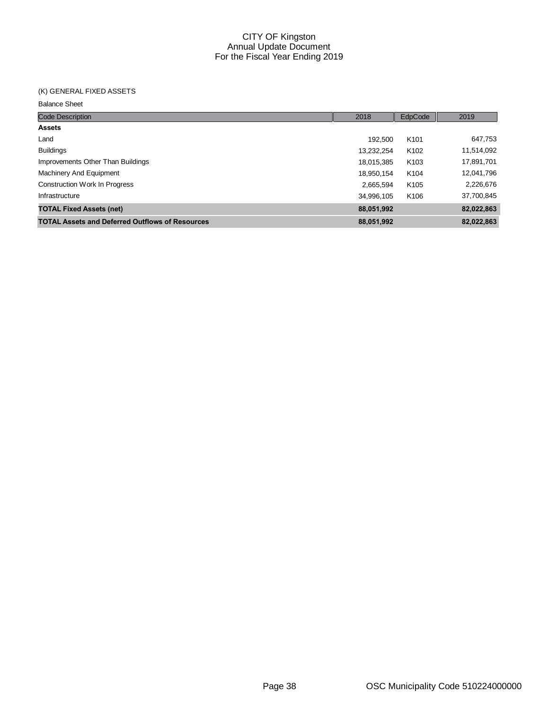# (K) GENERAL FIXED ASSETS

| <b>Code Description</b>                                | 2018       | EdpCode          | 2019       |
|--------------------------------------------------------|------------|------------------|------------|
| <b>Assets</b>                                          |            |                  |            |
| Land                                                   | 192.500    | K <sub>101</sub> | 647,753    |
| <b>Buildings</b>                                       | 13,232,254 | K <sub>102</sub> | 11,514,092 |
| Improvements Other Than Buildings                      | 18,015,385 | K <sub>103</sub> | 17,891,701 |
| Machinery And Equipment                                | 18,950,154 | K <sub>104</sub> | 12,041,796 |
| <b>Construction Work In Progress</b>                   | 2,665,594  | K <sub>105</sub> | 2,226,676  |
| Infrastructure                                         | 34,996,105 | K <sub>106</sub> | 37,700,845 |
| <b>TOTAL Fixed Assets (net)</b>                        | 88,051,992 |                  | 82,022,863 |
| <b>TOTAL Assets and Deferred Outflows of Resources</b> | 88,051,992 |                  | 82.022.863 |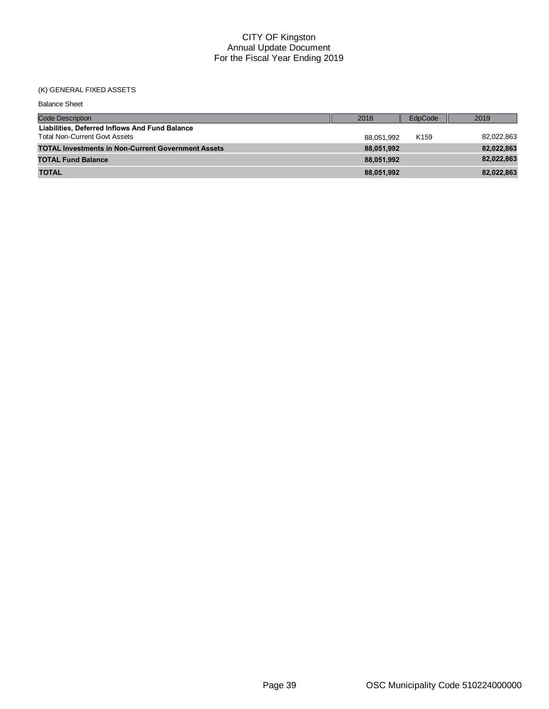#### (K) GENERAL FIXED ASSETS

| <b>Balance Sheet</b>                                                                   |            |                  |            |
|----------------------------------------------------------------------------------------|------------|------------------|------------|
| <b>Code Description</b>                                                                | 2018       | EdpCode          | 2019       |
| Liabilities, Deferred Inflows And Fund Balance<br><b>Total Non-Current Govt Assets</b> | 88.051.992 | K <sub>159</sub> | 82,022,863 |
| <b>TOTAL Investments in Non-Current Government Assets</b>                              | 88.051.992 |                  | 82,022,863 |
| <b>TOTAL Fund Balance</b>                                                              | 88.051.992 |                  | 82,022,863 |
| <b>TOTAL</b>                                                                           | 88,051,992 |                  | 82,022,863 |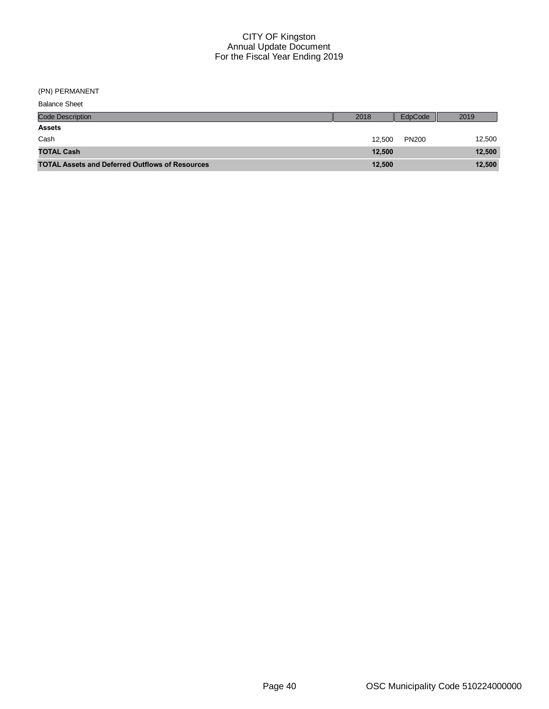(PN) PERMANENT

| <b>Balance Sheet</b>                                   |        |              |        |
|--------------------------------------------------------|--------|--------------|--------|
| <b>Code Description</b>                                | 2018   | EdpCode      | 2019   |
| <b>Assets</b>                                          |        |              |        |
| Cash                                                   | 12.500 | <b>PN200</b> | 12,500 |
| <b>TOTAL Cash</b>                                      | 12,500 |              | 12,500 |
| <b>TOTAL Assets and Deferred Outflows of Resources</b> | 12,500 |              | 12,500 |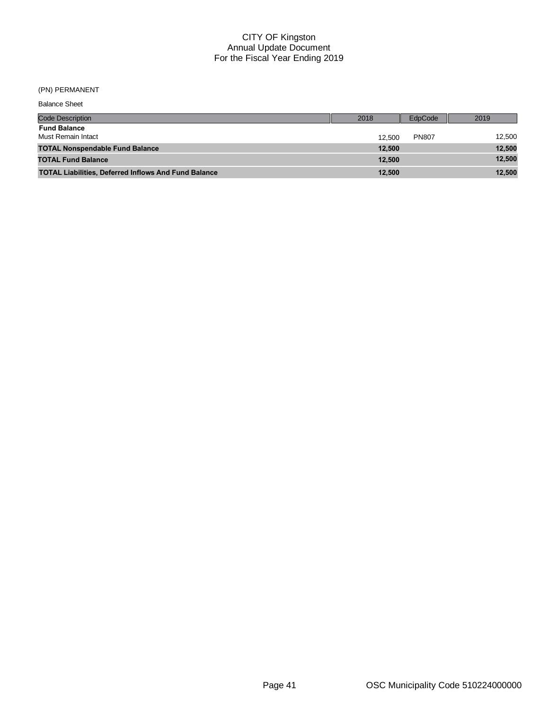(PN) PERMANENT

| <b>Balance Sheet</b>                                        |        |              |        |
|-------------------------------------------------------------|--------|--------------|--------|
| <b>Code Description</b>                                     | 2018   | EdpCode      | 2019   |
| <b>Fund Balance</b><br>Must Remain Intact                   | 12.500 | <b>PN807</b> | 12,500 |
| <b>TOTAL Nonspendable Fund Balance</b>                      | 12.500 |              | 12,500 |
| <b>TOTAL Fund Balance</b>                                   | 12.500 |              | 12,500 |
| <b>TOTAL Liabilities, Deferred Inflows And Fund Balance</b> | 12.500 |              | 12,500 |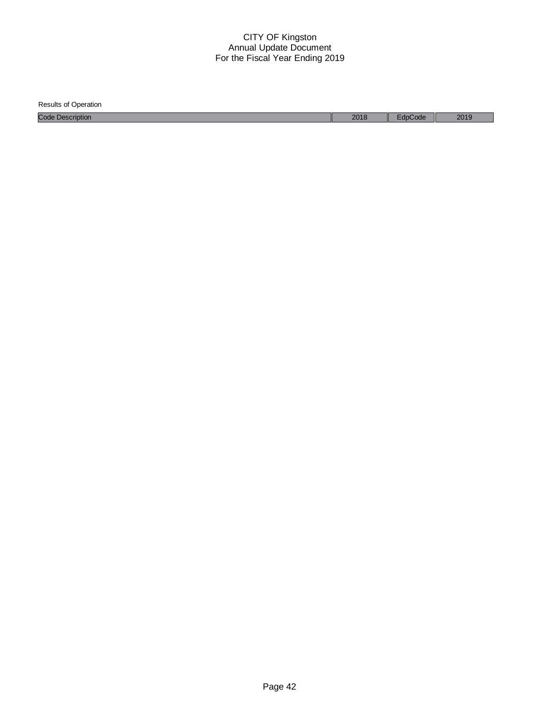| <b>Results of Operation</b> |      |       |      |
|-----------------------------|------|-------|------|
| <b>Code Description</b>     | 2018 | ›Code | 2019 |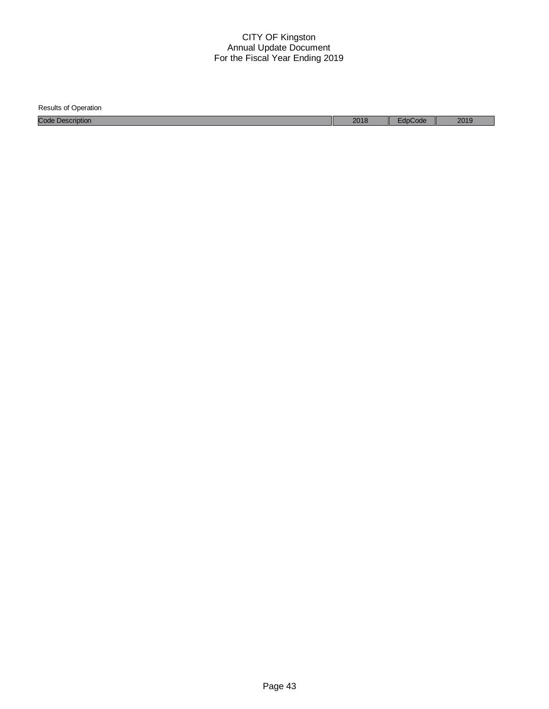| <b>Results of Operation</b> |      |         |      |
|-----------------------------|------|---------|------|
| <b>Code Description</b>     | 2018 | EdpCode | 2019 |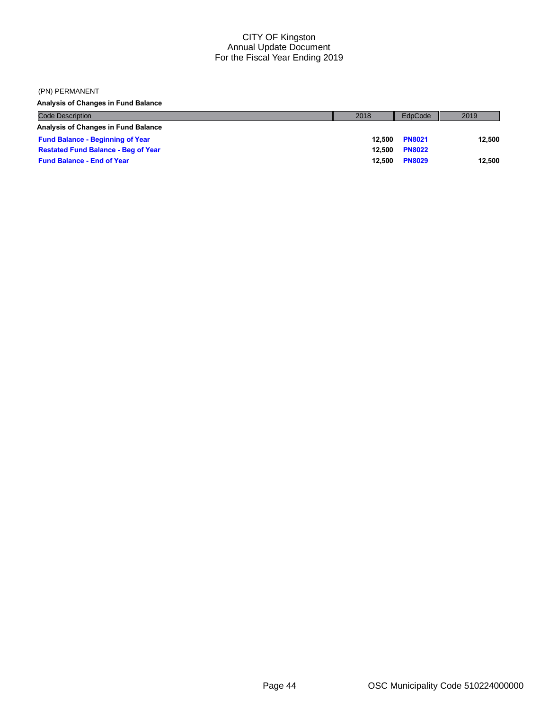#### (PN) PERMANENT

**Analysis of Changes in Fund Balance**

| <b>Code Description</b>                    | 2018   | EdpCode       | 2019   |
|--------------------------------------------|--------|---------------|--------|
| <b>Analysis of Changes in Fund Balance</b> |        |               |        |
| <b>Fund Balance - Beginning of Year</b>    | 12.500 | <b>PN8021</b> | 12.500 |
| <b>Restated Fund Balance - Beg of Year</b> | 12.500 | <b>PN8022</b> |        |
| <b>Fund Balance - End of Year</b>          | 12.500 | <b>PN8029</b> | 12.500 |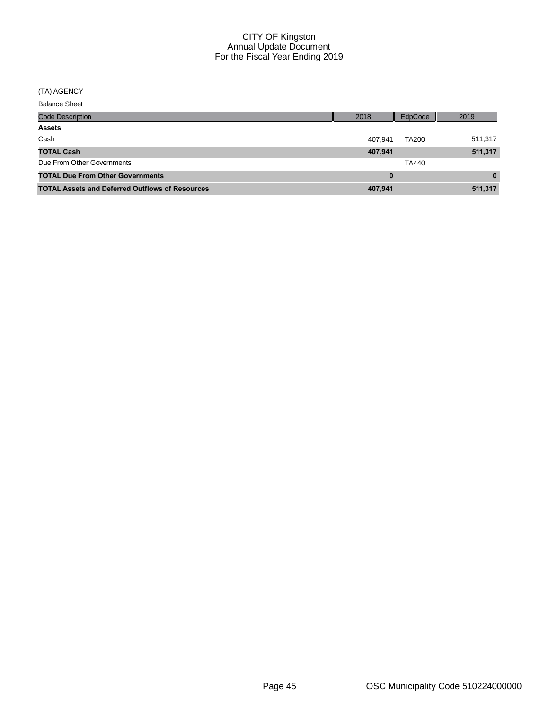#### (TA) AGENCY

| <b>Code Description</b>                                | 2018    | EdpCode      | 2019     |
|--------------------------------------------------------|---------|--------------|----------|
| <b>Assets</b>                                          |         |              |          |
| Cash                                                   | 407.941 | <b>TA200</b> | 511,317  |
| <b>TOTAL Cash</b>                                      | 407,941 |              | 511,317  |
| Due From Other Governments                             |         | TA440        |          |
| <b>TOTAL Due From Other Governments</b>                | 0       |              | $\bf{0}$ |
| <b>TOTAL Assets and Deferred Outflows of Resources</b> | 407,941 |              | 511,317  |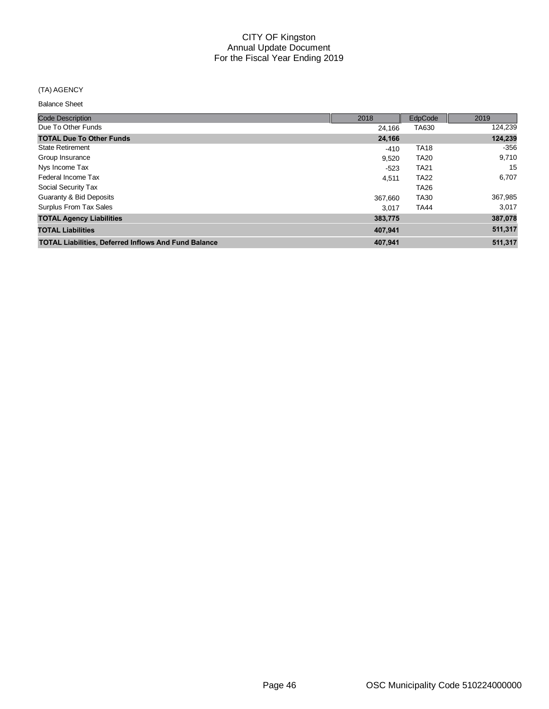#### (TA) AGENCY

| <b>Code Description</b>                                     | 2018    | EdpCode     | 2019    |
|-------------------------------------------------------------|---------|-------------|---------|
| Due To Other Funds                                          | 24.166  | TA630       | 124,239 |
| <b>TOTAL Due To Other Funds</b>                             | 24,166  |             | 124,239 |
| <b>State Retirement</b>                                     | $-410$  | <b>TA18</b> | -356    |
| Group Insurance                                             | 9,520   | <b>TA20</b> | 9,710   |
| Nys Income Tax                                              | $-523$  | <b>TA21</b> | 15      |
| Federal Income Tax                                          | 4,511   | <b>TA22</b> | 6,707   |
| Social Security Tax                                         |         | <b>TA26</b> |         |
| Guaranty & Bid Deposits                                     | 367.660 | <b>TA30</b> | 367,985 |
| Surplus From Tax Sales                                      | 3.017   | <b>TA44</b> | 3,017   |
| <b>TOTAL Agency Liabilities</b>                             | 383,775 |             | 387,078 |
| <b>TOTAL Liabilities</b>                                    | 407,941 |             | 511,317 |
| <b>TOTAL Liabilities, Deferred Inflows And Fund Balance</b> | 407,941 |             | 511,317 |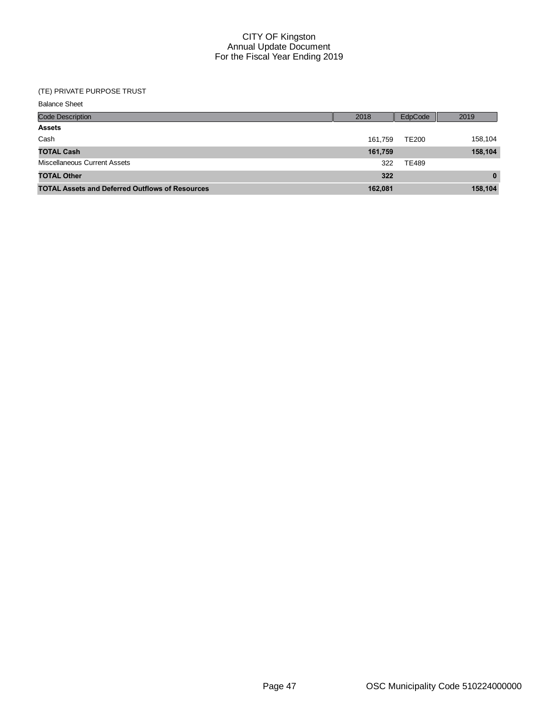# (TE) PRIVATE PURPOSE TRUST

| <b>Code Description</b>                                | 2018    | EdpCode      | 2019         |
|--------------------------------------------------------|---------|--------------|--------------|
| <b>Assets</b>                                          |         |              |              |
| Cash                                                   | 161.759 | <b>TE200</b> | 158,104      |
| <b>TOTAL Cash</b>                                      | 161,759 |              | 158,104      |
| Miscellaneous Current Assets                           | 322     | <b>TE489</b> |              |
| <b>TOTAL Other</b>                                     | 322     |              | $\mathbf{0}$ |
| <b>TOTAL Assets and Deferred Outflows of Resources</b> | 162,081 |              | 158,104      |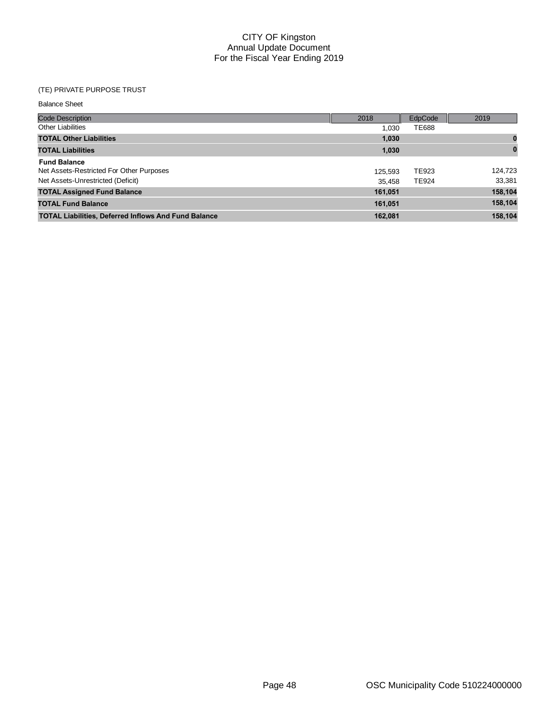# (TE) PRIVATE PURPOSE TRUST

| <b>Code Description</b>                                     | 2018    | EdpCode      | 2019     |
|-------------------------------------------------------------|---------|--------------|----------|
| <b>Other Liabilities</b>                                    | 1.030   | TE688        |          |
| <b>TOTAL Other Liabilities</b>                              | 1,030   |              |          |
| <b>TOTAL Liabilities</b>                                    | 1,030   |              | $\bf{0}$ |
| <b>Fund Balance</b>                                         |         |              |          |
| Net Assets-Restricted For Other Purposes                    | 125,593 | <b>TE923</b> | 124.723  |
| Net Assets-Unrestricted (Deficit)                           | 35.458  | <b>TE924</b> | 33,381   |
| <b>TOTAL Assigned Fund Balance</b>                          | 161,051 |              | 158,104  |
| <b>TOTAL Fund Balance</b>                                   | 161,051 |              | 158,104  |
| <b>TOTAL Liabilities, Deferred Inflows And Fund Balance</b> | 162.081 |              | 158.104  |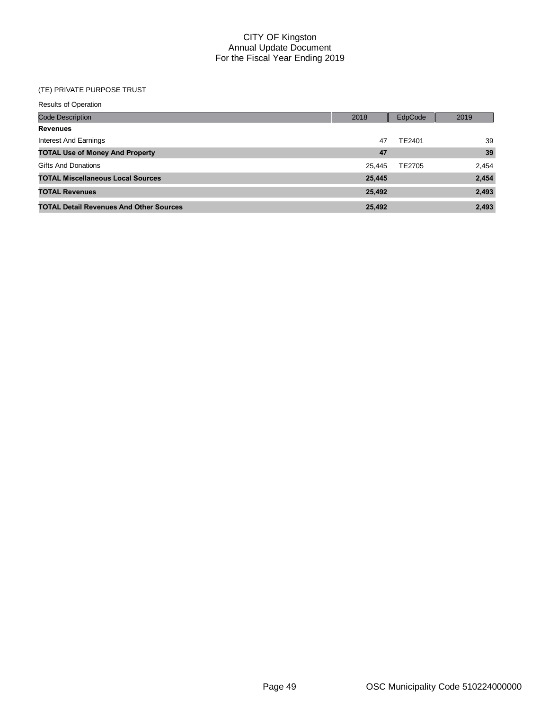# (TE) PRIVATE PURPOSE TRUST

| <b>Results of Operation</b>                    |  |        |         |       |  |  |  |  |  |  |
|------------------------------------------------|--|--------|---------|-------|--|--|--|--|--|--|
| <b>Code Description</b>                        |  | 2018   | EdpCode | 2019  |  |  |  |  |  |  |
| <b>Revenues</b>                                |  |        |         |       |  |  |  |  |  |  |
| Interest And Earnings                          |  | 47     | TE2401  | 39    |  |  |  |  |  |  |
| <b>TOTAL Use of Money And Property</b>         |  | 47     |         | 39    |  |  |  |  |  |  |
| <b>Gifts And Donations</b>                     |  | 25,445 | TE2705  | 2,454 |  |  |  |  |  |  |
| <b>TOTAL Miscellaneous Local Sources</b>       |  | 25,445 |         | 2,454 |  |  |  |  |  |  |
| <b>TOTAL Revenues</b>                          |  | 25,492 |         | 2,493 |  |  |  |  |  |  |
| <b>TOTAL Detail Revenues And Other Sources</b> |  | 25,492 |         | 2,493 |  |  |  |  |  |  |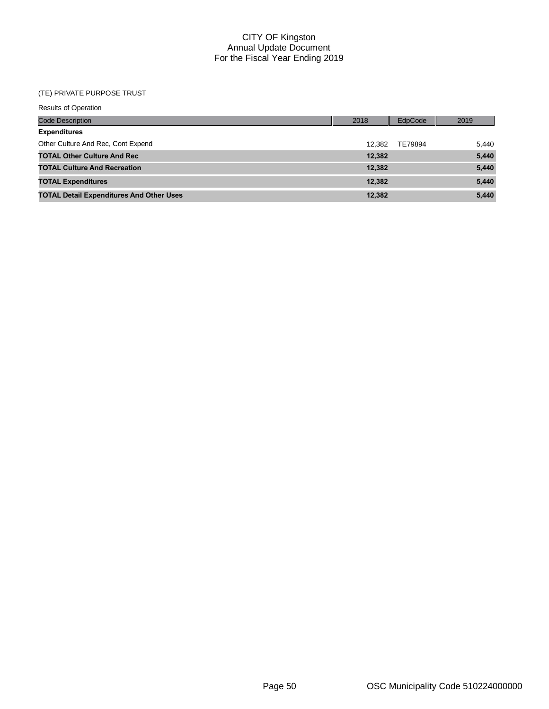#### (TE) PRIVATE PURPOSE TRUST

| <b>Results of Operation</b>                     |        |                |       |  |  |  |  |  |  |  |
|-------------------------------------------------|--------|----------------|-------|--|--|--|--|--|--|--|
| <b>Code Description</b>                         | 2018   | <b>EdpCode</b> | 2019  |  |  |  |  |  |  |  |
| <b>Expenditures</b>                             |        |                |       |  |  |  |  |  |  |  |
| Other Culture And Rec. Cont Expend              | 12.382 | TE79894        | 5,440 |  |  |  |  |  |  |  |
| <b>TOTAL Other Culture And Rec</b>              | 12,382 |                | 5,440 |  |  |  |  |  |  |  |
| <b>TOTAL Culture And Recreation</b>             | 12,382 |                | 5,440 |  |  |  |  |  |  |  |
| <b>TOTAL Expenditures</b>                       | 12,382 |                | 5,440 |  |  |  |  |  |  |  |
| <b>TOTAL Detail Expenditures And Other Uses</b> | 12,382 |                | 5,440 |  |  |  |  |  |  |  |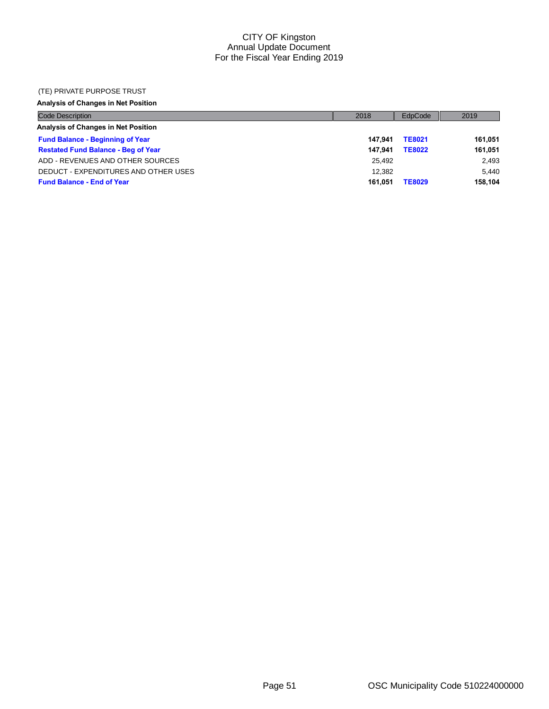#### (TE) PRIVATE PURPOSE TRUST

# **Analysis of Changes in Net Position**

| <b>Code Description</b>                    | 2018    | EdpCode       | 2019    |
|--------------------------------------------|---------|---------------|---------|
| Analysis of Changes in Net Position        |         |               |         |
| <b>Fund Balance - Beginning of Year</b>    | 147.941 | <b>TE8021</b> | 161.051 |
| <b>Restated Fund Balance - Beg of Year</b> | 147.941 | <b>TE8022</b> | 161.051 |
| ADD - REVENUES AND OTHER SOURCES           | 25.492  |               | 2.493   |
| DEDUCT - EXPENDITURES AND OTHER USES       | 12.382  |               | 5.440   |
| <b>Fund Balance - End of Year</b>          | 161.051 | <b>TE8029</b> | 158.104 |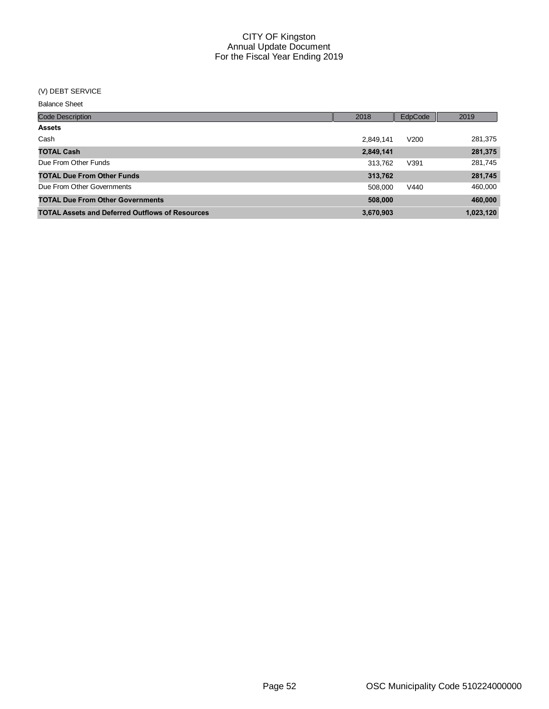# (V) DEBT SERVICE

| <b>Code Description</b>                                | 2018      | EdpCode | 2019      |
|--------------------------------------------------------|-----------|---------|-----------|
| <b>Assets</b>                                          |           |         |           |
| Cash                                                   | 2,849,141 | V200    | 281,375   |
| <b>TOTAL Cash</b>                                      | 2,849,141 |         | 281,375   |
| Due From Other Funds                                   | 313,762   | V391    | 281,745   |
| <b>TOTAL Due From Other Funds</b>                      | 313,762   |         | 281,745   |
| Due From Other Governments                             | 508,000   | V440    | 460,000   |
| <b>TOTAL Due From Other Governments</b>                | 508,000   |         | 460,000   |
| <b>TOTAL Assets and Deferred Outflows of Resources</b> | 3,670,903 |         | 1,023,120 |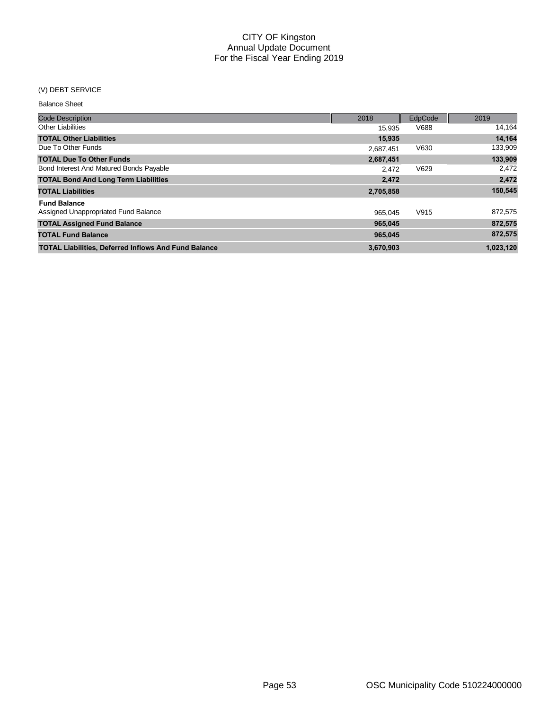# (V) DEBT SERVICE

| <b>Code Description</b>                                     | 2018      | EdpCode | 2019      |
|-------------------------------------------------------------|-----------|---------|-----------|
| <b>Other Liabilities</b>                                    | 15.935    | V688    | 14,164    |
| <b>TOTAL Other Liabilities</b>                              | 15,935    |         | 14,164    |
| Due To Other Funds                                          | 2,687,451 | V630    | 133,909   |
| <b>TOTAL Due To Other Funds</b>                             | 2,687,451 |         | 133,909   |
| Bond Interest And Matured Bonds Payable                     | 2,472     | V629    | 2,472     |
| <b>TOTAL Bond And Long Term Liabilities</b>                 | 2,472     |         | 2,472     |
| <b>TOTAL Liabilities</b>                                    | 2,705,858 |         | 150,545   |
| <b>Fund Balance</b>                                         |           |         |           |
| Assigned Unappropriated Fund Balance                        | 965.045   | V915    | 872,575   |
| <b>TOTAL Assigned Fund Balance</b>                          | 965.045   |         | 872,575   |
| <b>TOTAL Fund Balance</b>                                   | 965,045   |         | 872,575   |
| <b>TOTAL Liabilities, Deferred Inflows And Fund Balance</b> | 3,670,903 |         | 1.023.120 |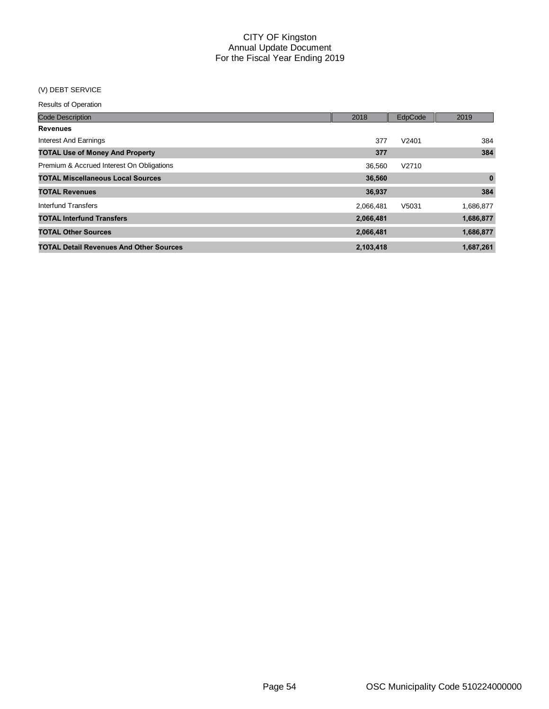# (V) DEBT SERVICE

Results of Operation

| <b>Code Description</b>                        | 2018      | EdpCode | 2019      |
|------------------------------------------------|-----------|---------|-----------|
| <b>Revenues</b>                                |           |         |           |
| Interest And Earnings                          | 377       | V2401   | 384       |
| <b>TOTAL Use of Money And Property</b>         | 377       |         | 384       |
| Premium & Accrued Interest On Obligations      | 36.560    | V2710   |           |
| <b>TOTAL Miscellaneous Local Sources</b>       | 36,560    |         | $\bf{0}$  |
| <b>TOTAL Revenues</b>                          | 36,937    |         | 384       |
| Interfund Transfers                            | 2,066,481 | V5031   | 1,686,877 |
| <b>TOTAL Interfund Transfers</b>               | 2,066,481 |         | 1,686,877 |
| <b>TOTAL Other Sources</b>                     | 2,066,481 |         | 1,686,877 |
| <b>TOTAL Detail Revenues And Other Sources</b> | 2,103,418 |         | 1,687,261 |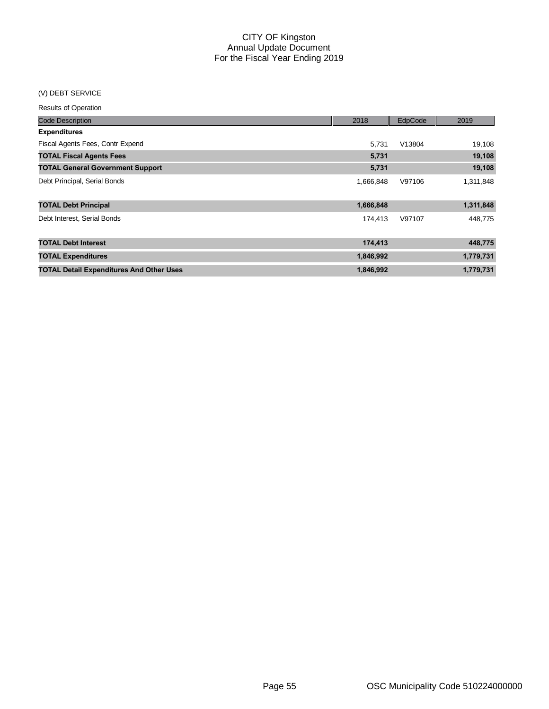# (V) DEBT SERVICE

#### Results of Operation

| <b>Code Description</b>                         | 2018      | EdpCode | 2019      |
|-------------------------------------------------|-----------|---------|-----------|
| <b>Expenditures</b>                             |           |         |           |
| Fiscal Agents Fees, Contr Expend                | 5,731     | V13804  | 19,108    |
| <b>TOTAL Fiscal Agents Fees</b>                 | 5,731     |         | 19,108    |
| <b>TOTAL General Government Support</b>         | 5,731     |         | 19,108    |
| Debt Principal, Serial Bonds                    | 1,666,848 | V97106  | 1,311,848 |
| <b>TOTAL Debt Principal</b>                     | 1,666,848 |         | 1,311,848 |
| Debt Interest, Serial Bonds                     | 174,413   | V97107  | 448,775   |
| <b>TOTAL Debt Interest</b>                      | 174,413   |         | 448,775   |
| <b>TOTAL Expenditures</b>                       | 1,846,992 |         | 1,779,731 |
| <b>TOTAL Detail Expenditures And Other Uses</b> | 1,846,992 |         | 1,779,731 |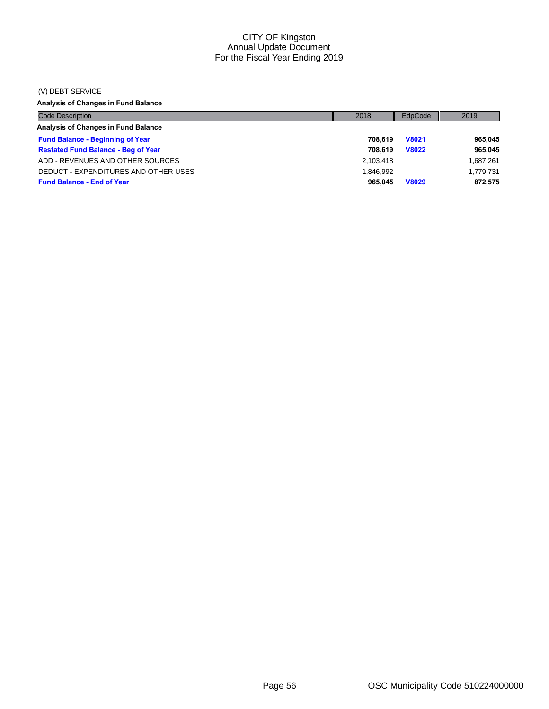#### (V) DEBT SERVICE

# **Analysis of Changes in Fund Balance**

| <b>Code Description</b>                    | 2018      | EdpCode      | 2019      |
|--------------------------------------------|-----------|--------------|-----------|
| <b>Analysis of Changes in Fund Balance</b> |           |              |           |
| <b>Fund Balance - Beginning of Year</b>    | 708.619   | <b>V8021</b> | 965,045   |
| <b>Restated Fund Balance - Beg of Year</b> | 708.619   | <b>V8022</b> | 965.045   |
| ADD - REVENUES AND OTHER SOURCES           | 2,103,418 |              | 1,687,261 |
| DEDUCT - EXPENDITURES AND OTHER USES       | 1.846.992 |              | 1,779,731 |
| <b>Fund Balance - End of Year</b>          | 965.045   | <b>V8029</b> | 872,575   |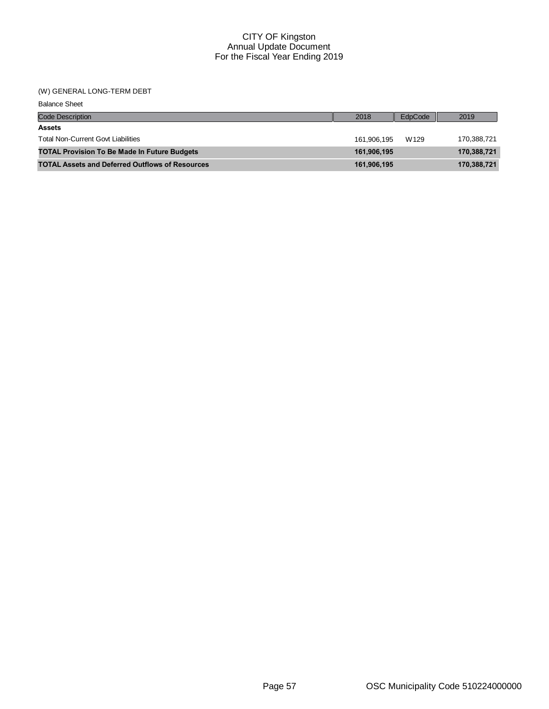# (W) GENERAL LONG-TERM DEBT

| <b>Balance Sheet</b>                                   |             |         |             |
|--------------------------------------------------------|-------------|---------|-------------|
| <b>Code Description</b>                                | 2018        | EdpCode | 2019        |
| <b>Assets</b>                                          |             |         |             |
| <b>Total Non-Current Govt Liabilities</b>              | 161.906.195 | W129    | 170,388,721 |
| <b>TOTAL Provision To Be Made In Future Budgets</b>    | 161,906,195 |         | 170,388,721 |
| <b>TOTAL Assets and Deferred Outflows of Resources</b> | 161,906,195 |         | 170,388,721 |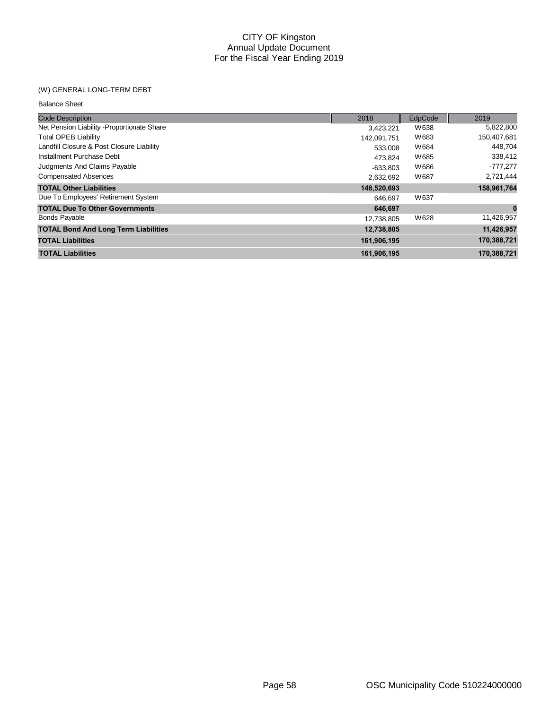#### (W) GENERAL LONG-TERM DEBT

| <b>Code Description</b>                     | 2018        | EdpCode | 2019        |
|---------------------------------------------|-------------|---------|-------------|
| Net Pension Liability - Proportionate Share | 3,423,221   | W638    | 5,822,800   |
| <b>Total OPEB Liability</b>                 | 142,091,751 | W683    | 150,407,681 |
| Landfill Closure & Post Closure Liability   | 533,008     | W684    | 448.704     |
| Installment Purchase Debt                   | 473.824     | W685    | 338,412     |
| Judgments And Claims Payable                | $-633,803$  | W686    | -777,277    |
| <b>Compensated Absences</b>                 | 2,632,692   | W687    | 2,721,444   |
| <b>TOTAL Other Liabilities</b>              | 148,520,693 |         | 158,961,764 |
| Due To Employees' Retirement System         | 646.697     | W637    |             |
| <b>TOTAL Due To Other Governments</b>       | 646.697     |         | $\mathbf 0$ |
| <b>Bonds Payable</b>                        | 12,738,805  | W628    | 11,426,957  |
| <b>TOTAL Bond And Long Term Liabilities</b> | 12,738,805  |         | 11,426,957  |
| <b>TOTAL Liabilities</b>                    | 161,906,195 |         | 170,388,721 |
| <b>TOTAL Liabilities</b>                    | 161,906,195 |         | 170,388,721 |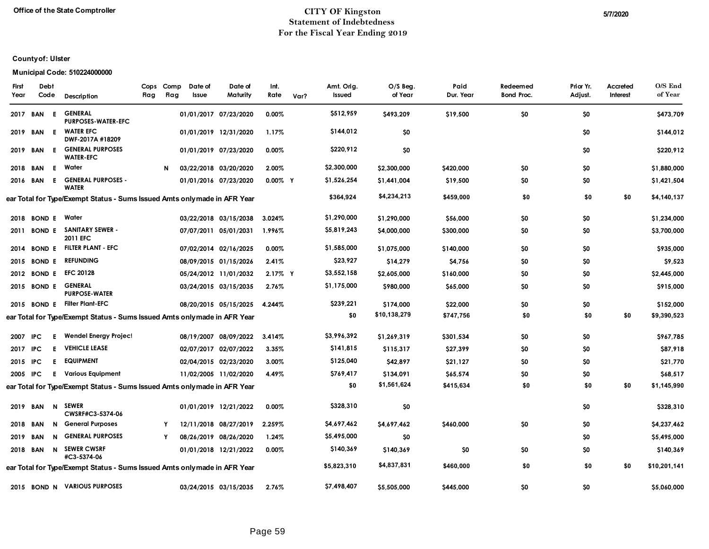#### **Office of the State Comptroller CITY OF Kingston 5/7/2020 Statement of Indebtedness For the Fiscal Year Ending 2019**

# **County of: Ulster**

# **Municipal Code: 510224000000**

| First<br>Year | Debt<br>Code  |    | Description                                                               | Cops<br>Flag | Comp<br>Flag | Date of<br>Issue | Date of<br>Maturity   | Int.<br>Rate | Var? | Amt. Orig.<br>Issued | $O/S$ Beg.<br>of Year | Paid<br>Dur. Year | Redeemed<br><b>Bond Proc.</b> | Prior Yr.<br>Adjust. | Accreted<br>Interest | O/S End<br>of Year |
|---------------|---------------|----|---------------------------------------------------------------------------|--------------|--------------|------------------|-----------------------|--------------|------|----------------------|-----------------------|-------------------|-------------------------------|----------------------|----------------------|--------------------|
| 2017          | BAN           | E  | <b>GENERAL</b><br><b>PURPOSES-WATER-EFC</b>                               |              |              |                  | 01/01/2017 07/23/2020 | 0.00%        |      | \$512,959            | \$493,209             | \$19,500          | \$0                           | \$0                  |                      | \$473,709          |
| 2019          | BAN           | E  | <b>WATER EFC</b><br>DWF-2017A #18209                                      |              |              |                  | 01/01/2019 12/31/2020 | 1.17%        |      | \$144,012            | \$0                   |                   |                               | \$0                  |                      | \$144,012          |
| 2019          | BAN           | E  | <b>GENERAL PURPOSES</b><br><b>WATER-EFC</b>                               |              |              |                  | 01/01/2019 07/23/2020 | 0.00%        |      | \$220,912            | \$0                   |                   |                               | \$0                  |                      | \$220,912          |
|               | 2018 BAN      | E. | Water                                                                     |              | N            |                  | 03/22/2018 03/20/2020 | 2.00%        |      | \$2,300,000          | \$2,300,000           | \$420,000         | SO.                           | \$0                  |                      | \$1,880,000        |
|               | 2016 BAN      | E. | <b>GENERAL PURPOSES -</b><br><b>WATER</b>                                 |              |              |                  | 01/01/2016 07/23/2020 | $0.00\%$ Y   |      | \$1,526,254          | \$1,441,004           | \$19,500          | \$0                           | \$0                  |                      | \$1,421,504        |
|               |               |    | ear Total for Type/Exempt Status - Sums Issued Amts only made in AFR Year |              |              |                  |                       |              |      | \$364,924            | \$4,234,213           | \$459,000         | \$0                           | \$0                  | \$0                  | \$4,140,137        |
|               | 2018 BOND E   |    | Water                                                                     |              |              |                  | 03/22/2018 03/15/2038 | 3.024%       |      | \$1,290,000          | \$1,290,000           | \$56,000          | \$0                           | \$0                  |                      | \$1,234,000        |
| 2011          | <b>BOND E</b> |    | <b>SANITARY SEWER -</b><br>2011 EFC                                       |              |              |                  | 07/07/2011 05/01/2031 | 1.996%       |      | \$5,819,243          | \$4,000,000           | \$300,000         | \$0                           | \$0                  |                      | \$3,700,000        |
| 2014          | <b>BOND E</b> |    | <b>FILTER PLANT - EFC</b>                                                 |              |              |                  | 07/02/2014 02/16/2025 | 0.00%        |      | \$1,585,000          | \$1,075,000           | \$140,000         | \$0                           | \$0                  |                      | \$935,000          |
|               | 2015 BOND E   |    | <b>REFUNDING</b>                                                          |              |              |                  | 08/09/2015 01/15/2026 | 2.41%        |      | \$23,927             | \$14,279              | \$4,756           | \$0                           | \$0                  |                      | \$9,523            |
| 2012          | <b>BOND E</b> |    | <b>EFC 2012B</b>                                                          |              |              |                  | 05/24/2012 11/01/2032 | 2.17% Y      |      | \$3,552,158          | \$2,605,000           | \$160,000         | \$0                           | \$0                  |                      | \$2,445,000        |
|               | 2015 BOND E   |    | <b>GENERAL</b><br><b>PURPOSE-WATER</b>                                    |              |              |                  | 03/24/2015 03/15/2035 | 2.76%        |      | \$1,175,000          | \$980,000             | \$65,000          | \$0                           | \$0                  |                      | \$915,000          |
|               | 2015 BOND E   |    | <b>Filter Plant-EFC</b>                                                   |              |              |                  | 08/20/2015 05/15/2025 | 4.244%       |      | \$239,221            | \$174,000             | \$22,000          | SO.                           | \$0                  |                      | \$152,000          |
|               |               |    | ear Total for Type/Exempt Status - Sums Issued Amts only made in AFR Year |              |              |                  |                       |              |      | \$0                  | \$10,138,279          | \$747,756         | \$0                           | \$0                  | \$0                  | \$9,390,523        |
| 2007          | IPC.          | E. | Wendel Energy Project                                                     |              |              |                  | 08/19/2007 08/09/2022 | 3.414%       |      | \$3,996,392          | \$1,269,319           | \$301,534         | \$0                           | \$0                  |                      | \$967,785          |
| 2017 IPC      |               | E. | <b>VEHICLE LEASE</b>                                                      |              |              |                  | 02/07/2017 02/07/2022 | 3.35%        |      | \$141,815            | \$115,317             | \$27,399          | \$0                           | \$0                  |                      | \$87,918           |
| 2015 IPC      |               | E. | <b>EQUIPMENT</b>                                                          |              |              |                  | 02/04/2015 02/23/2020 | 3.00%        |      | \$125,040            | \$42,897              | \$21,127          | \$0                           | \$0                  |                      | \$21,770           |
| 2005 IPC      |               | E. | Various Equipment                                                         |              |              |                  | 11/02/2005 11/02/2020 | 4.49%        |      | \$769,417            | \$134,091             | \$65,574          | \$0                           | \$0                  |                      | \$68,517           |
|               |               |    | ear Total for Type/Exempt Status - Sums Issued Amts onlymade in AFR Year  |              |              |                  |                       |              |      | \$0                  | \$1,561,624           | \$415,634         | \$0                           | \$0                  | \$0                  | \$1,145,990        |
|               | 2019 BAN      | N  | <b>SEWER</b><br>CWSRF#C3-5374-06                                          |              |              |                  | 01/01/2019 12/21/2022 | 0.00%        |      | \$328,310            | \$0                   |                   |                               | \$0                  |                      | \$328,310          |
| 2018 BAN      |               | N  | <b>General Purposes</b>                                                   |              | Y            |                  | 12/11/2018 08/27/2019 | 2.259%       |      | \$4,697,462          | \$4,697,462           | \$460,000         | \$0                           | \$0                  |                      | \$4,237,462        |
| 2019 BAN      |               | N  | <b>GENERAL PURPOSES</b>                                                   |              | Υ            |                  | 08/26/2019 08/26/2020 | 1.24%        |      | \$5,495,000          | \$0                   |                   |                               | \$0                  |                      | \$5,495,000        |
| 2018 BAN      |               | N  | <b>SEWER CWSRF</b><br>#C3-5374-06                                         |              |              |                  | 01/01/2018 12/21/2022 | 0.00%        |      | \$140,369            | \$140,369             | \$0               | SO.                           | \$0                  |                      | \$140,369          |
|               |               |    | ear Total for Type/Exempt Status - Sums Issued Amts only made in AFR Year |              |              |                  |                       |              |      | \$5,823,310          | \$4,837,831           | \$460,000         | \$0                           | \$0                  | \$0                  | \$10,201,141       |
|               |               |    | 2015 BOND N VARIOUS PURPOSES                                              |              |              |                  | 03/24/2015 03/15/2035 | 2.76%        |      | \$7,498,407          | \$5,505,000           | \$445,000         | \$0                           | \$0                  |                      | \$5,060,000        |
|               |               |    |                                                                           |              |              |                  |                       |              |      |                      |                       |                   |                               |                      |                      |                    |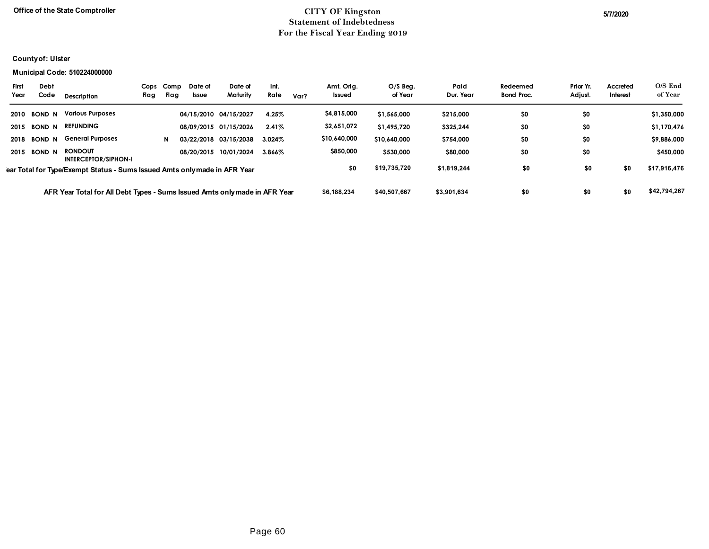# **Office of the State Comptroller** 5/7/2020 **Statement of Indebtedness For the Fiscal Year Ending 2019**

# **County of: Ulster**

#### **Municipal Code: 510224000000**

| <b>First</b><br>Year                                                      | Debt<br>Code  | Description                                                                | Cops<br>Flag | Comp<br>Flag | Date of<br><b>Issue</b> | Date of<br>Maturity   | Int.<br>Rate | Var? | Amt. Oria.<br>Issued | $O/S$ Beg.<br>of Year | Paid<br>Dur. Year | Redeemed<br><b>Bond Proc.</b> | Prior Yr.<br>Adjust. | Accreted<br>Interest | O/S End<br>of Year |
|---------------------------------------------------------------------------|---------------|----------------------------------------------------------------------------|--------------|--------------|-------------------------|-----------------------|--------------|------|----------------------|-----------------------|-------------------|-------------------------------|----------------------|----------------------|--------------------|
| 2010                                                                      | <b>BOND N</b> | <b>Various Purposes</b>                                                    |              |              |                         | 04/15/2010 04/15/2027 | 4.25%        |      | \$4,815,000          | \$1,565,000           | \$215,000         | \$0                           | \$0                  |                      | \$1,350,000        |
| 2015                                                                      | <b>BOND N</b> | <b>REFUNDING</b>                                                           |              |              |                         | 08/09/2015 01/15/2026 | 2.41%        |      | \$2,651,072          | \$1,495,720           | \$325,244         | \$0                           | \$0                  |                      | \$1,170,476        |
| 2018                                                                      | <b>BOND N</b> | <b>General Purposes</b>                                                    |              | N            |                         | 03/22/2018 03/15/2038 | 3.024%       |      | \$10,640,000         | \$10,640,000          | \$754,000         | \$0                           | \$0                  |                      | \$9,886,000        |
|                                                                           | 2015 BOND N   | <b>RONDOUT</b><br><b>INTERCEPTOR/SIPHON-I</b>                              |              |              |                         | 08/20/2015 10/01/2024 | 3.866%       |      | \$850,000            | \$530,000             | \$80,000          | \$0                           | \$0                  |                      | \$450,000          |
| ear Total for Type/Exempt Status - Sums Issued Amts only made in AFR Year |               |                                                                            |              |              |                         |                       |              | \$0  | \$19,735,720         | \$1,819,244           | \$0               | \$0                           | \$0                  | \$17,916,476         |                    |
|                                                                           |               | AFR Year Total for All Debt Types - Sums Issued Amts only made in AFR Year |              |              |                         |                       |              |      | \$6.188.234          | \$40.507.667          | \$3.901.634       | \$0                           | \$0                  | \$0                  | \$42.794.267       |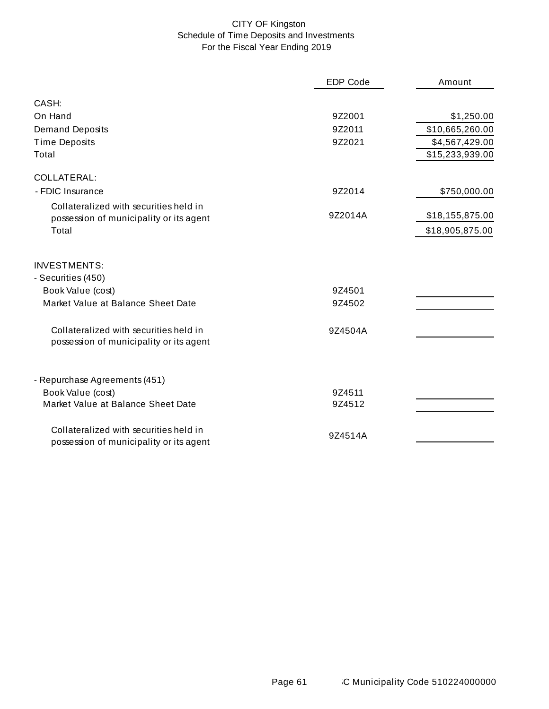# CITY OF Kingston Schedule of Time Deposits and Investments For the Fiscal Year Ending 2019

|                                                                                   | <b>EDP Code</b> | Amount          |
|-----------------------------------------------------------------------------------|-----------------|-----------------|
| CASH:                                                                             |                 |                 |
| On Hand                                                                           | 9Z2001          | \$1,250.00      |
| <b>Demand Deposits</b>                                                            | 9Z2011          | \$10,665,260.00 |
| <b>Time Deposits</b>                                                              | 9Z2021          | \$4,567,429.00  |
| Total                                                                             |                 | \$15,233,939.00 |
| <b>COLLATERAL:</b>                                                                |                 |                 |
| - FDIC Insurance                                                                  | 9Z2014          | \$750,000.00    |
| Collateralized with securities held in                                            |                 |                 |
| possession of municipality or its agent                                           | 9Z2014A         | \$18,155,875.00 |
| Total                                                                             |                 | \$18,905,875.00 |
| <b>INVESTMENTS:</b><br>- Securities (450)                                         |                 |                 |
| Book Value (cost)                                                                 | 9Z4501          |                 |
| Market Value at Balance Sheet Date                                                | 9Z4502          |                 |
| Collateralized with securities held in<br>possession of municipality or its agent | 9Z4504A         |                 |
| - Repurchase Agreements (451)                                                     |                 |                 |
| Book Value (cost)                                                                 | 9Z4511          |                 |
| Market Value at Balance Sheet Date                                                | 9Z4512          |                 |
| Collateralized with securities held in<br>possession of municipality or its agent | 9Z4514A         |                 |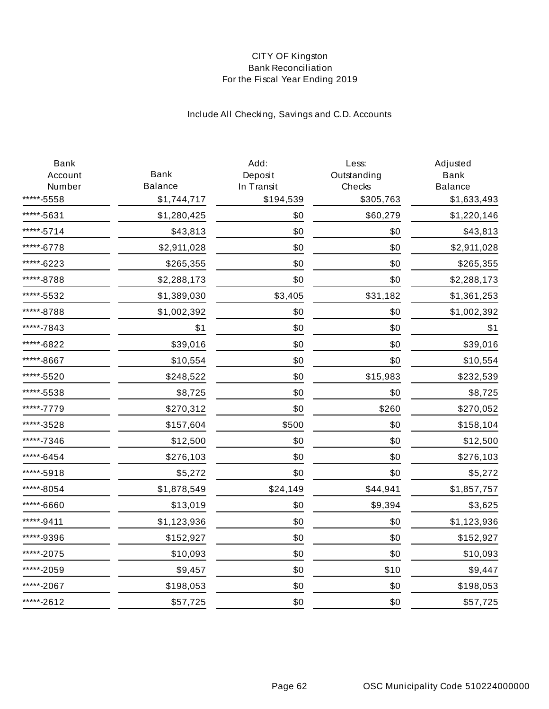## CITY OF Kingston Bank Reconciliation For the Fiscal Year Ending 2019

# Include All Checking, Savings and C.D. Accounts

| Bank<br>Account | <b>Bank</b>    | Add:<br>Deposit | Less:<br>Outstanding | Adjusted<br><b>Bank</b> |
|-----------------|----------------|-----------------|----------------------|-------------------------|
| Number          | <b>Balance</b> | In Transit      | Checks               | <b>Balance</b>          |
| ***-5558        | \$1,744,717    | \$194,539       | \$305,763            | \$1,633,493             |
| ****-5631       | \$1,280,425    | \$0             | \$60,279             | \$1,220,146             |
| ****-5714       | \$43,813       | \$0             | \$0                  | \$43,813                |
| ****-6778       | \$2,911,028    | \$0             | \$0                  | \$2,911,028             |
| *****-6223      | \$265,355      | \$0             | \$0                  | \$265,355               |
| ****-8788       | \$2,288,173    | \$0             | \$0                  | \$2,288,173             |
| ****-5532       | \$1,389,030    | \$3,405         | \$31,182             | \$1,361,253             |
| *****-8788      | \$1,002,392    | \$0             | \$0                  | \$1,002,392             |
| ****-7843       | \$1            | \$0             | \$0                  | \$1                     |
| ****-6822       | \$39,016       | \$0             | \$0                  | \$39,016                |
| ****-8667       | \$10,554       | \$0             | \$0                  | \$10,554                |
| ****-5520       | \$248,522      | \$0             | \$15,983             | \$232,539               |
| ****-5538       | \$8,725        | \$0             | \$0                  | \$8,725                 |
| *****-7779      | \$270,312      | \$0             | \$260                | \$270,052               |
| ****-3528       | \$157,604      | \$500           | \$0                  | \$158,104               |
| ****-7346       | \$12,500       | \$0             | \$0                  | \$12,500                |
| *****-6454      | \$276,103      | \$0             | \$0                  | \$276,103               |
| ****-5918       | \$5,272        | \$0             | \$0                  | \$5,272                 |
| ****-8054       | \$1,878,549    | \$24,149        | \$44,941             | \$1,857,757             |
| *****-6660      | \$13,019       | \$0             | \$9,394              | \$3,625                 |
| *****-9411      | \$1,123,936    | \$0             | \$0                  | \$1,123,936             |
| ****-9396       | \$152,927      | \$0             | \$0                  | \$152,927               |
| *****-2075      | \$10,093       | \$0             | \$0                  | \$10,093                |
| *****-2059      | \$9,457        | \$0             | \$10                 | \$9,447                 |
| ****-2067       | \$198,053      | \$0             | \$0                  | \$198,053               |
| *****-2612      | \$57,725       | \$0             | \$0                  | \$57,725                |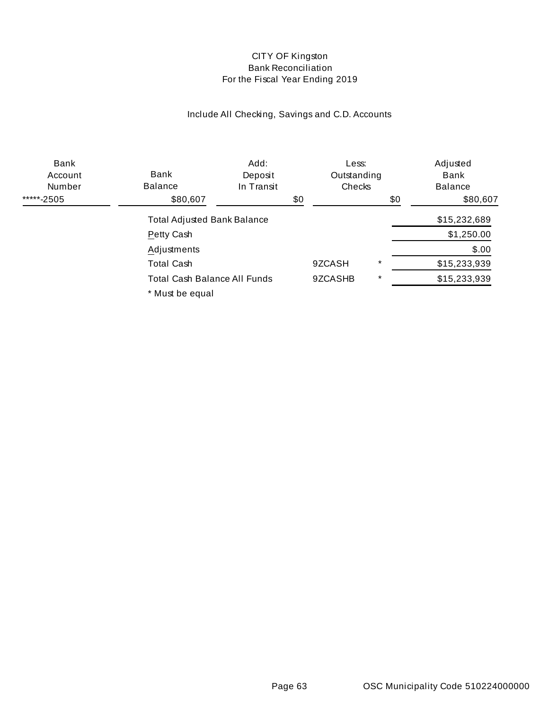## CITY OF Kingston Bank Reconciliation For the Fiscal Year Ending 2019

# Include All Checking, Savings and C.D. Accounts

| Bank<br>Account<br>Number          | Bank<br><b>Balance</b>       | Add:<br>Deposit<br>In Transit |     | Less:<br>Outstanding<br>Checks |              | Adjusted<br>Bank<br><b>Balance</b> |
|------------------------------------|------------------------------|-------------------------------|-----|--------------------------------|--------------|------------------------------------|
| *****-2505                         | \$80,607                     |                               | \$0 |                                | \$0          | \$80,607                           |
| <b>Total Adjusted Bank Balance</b> |                              |                               |     |                                | \$15,232,689 |                                    |
|                                    | Petty Cash                   |                               |     |                                |              | \$1,250.00                         |
|                                    | Adjustments                  |                               |     |                                |              | \$.00                              |
|                                    | Total Cash                   |                               |     | 9ZCASH                         | $\star$      | \$15,233,939                       |
|                                    | Total Cash Balance All Funds |                               |     | 9ZCASHB                        | $\star$      | \$15,233,939                       |
|                                    | * Must be equal              |                               |     |                                |              |                                    |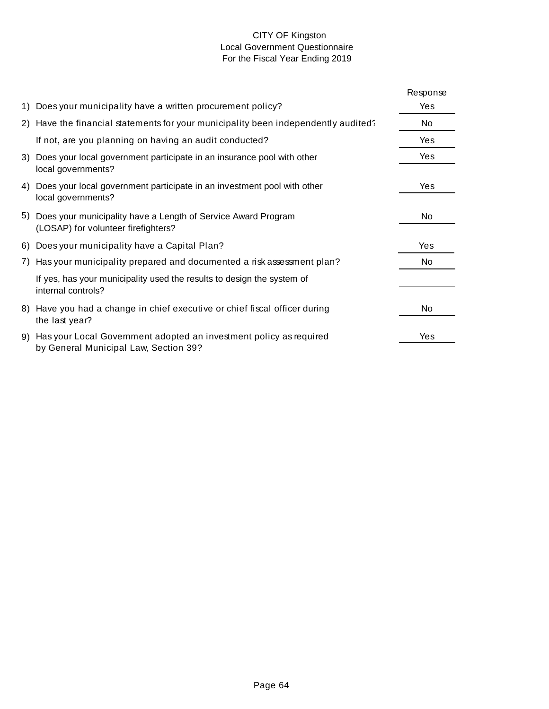## CITY OF Kingston Local Government Questionnaire For the Fiscal Year Ending 2019

|     |                                                                                                                | Response |
|-----|----------------------------------------------------------------------------------------------------------------|----------|
| 1)  | Does your municipality have a written procurement policy?                                                      | Yes      |
|     | 2) Have the financial statements for your municipality been independently audited?                             | No       |
|     | If not, are you planning on having an audit conducted?                                                         | Yes      |
| 3)  | Does your local government participate in an insurance pool with other<br>local governments?                   | Yes      |
| 4)  | Does your local government participate in an investment pool with other<br>local governments?                  | Yes      |
| 5)  | Does your municipality have a Length of Service Award Program<br>(LOSAP) for volunteer firefighters?           | No       |
| 6)  | Does your municipality have a Capital Plan?                                                                    | Yes      |
| 7). | Has your municipality prepared and documented a risk assessment plan?                                          | No       |
|     | If yes, has your municipality used the results to design the system of<br>internal controls?                   |          |
|     | 8) Have you had a change in chief executive or chief fiscal officer during<br>the last year?                   | No       |
|     | 9) Has your Local Government adopted an investment policy as required<br>by General Municipal Law, Section 39? | Yes      |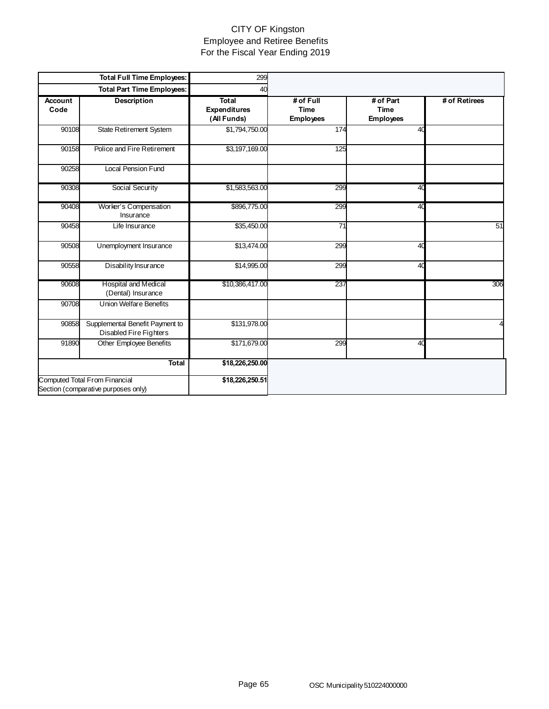## CITY OF Kingston Employee and Retiree Benefits For the Fiscal Year Ending 2019

|                        | <b>Total Full Time Employees:</b>                                    | 299                                                |                                              |                                       |               |
|------------------------|----------------------------------------------------------------------|----------------------------------------------------|----------------------------------------------|---------------------------------------|---------------|
|                        | <b>Total Part Time Employees:</b>                                    | 40                                                 |                                              |                                       |               |
| <b>Account</b><br>Code | <b>Description</b>                                                   | <b>Total</b><br><b>Expenditures</b><br>(All Funds) | # of Full<br><b>Time</b><br><b>Employees</b> | # of Part<br>Time<br><b>Employees</b> | # of Retirees |
| 90108                  | State Retirement System                                              | \$1,794,750.00                                     | 174                                          | 40                                    |               |
| 90158                  | Police and Fire Retirement                                           | \$3,197,169.00                                     | 125                                          |                                       |               |
| 90258                  | <b>Local Pension Fund</b>                                            |                                                    |                                              |                                       |               |
| 90308                  | Social Security                                                      | \$1,583,563.00                                     | 299                                          | 40                                    |               |
| 90408                  | Worker's Compensation<br>Insurance                                   | \$896,775.00                                       | 299                                          | 40                                    |               |
| 90458                  | Life Insurance                                                       | \$35,450.00                                        | $\overline{71}$                              |                                       | 51            |
| 90508                  | Unemployment Insurance                                               | \$13,474.00                                        | 299                                          | 40                                    |               |
| 90558                  | Disability Insurance                                                 | \$14,995.00                                        | 299                                          | 40                                    |               |
| 90608                  | Hospital and Medical<br>(Dental) Insurance                           | \$10,386,417.00                                    | 237                                          |                                       | 306           |
| 90708                  | <b>Union Welfare Benefits</b>                                        |                                                    |                                              |                                       |               |
| 90858                  | Supplemental Benefit Payment to<br>Disabled Fire Fighters            | \$131,978.00                                       |                                              |                                       |               |
| 91890                  | Other Employee Benefits                                              | \$171,679.00                                       | 299                                          | 40                                    |               |
|                        | <b>Total</b>                                                         | \$18,226,250.00                                    |                                              |                                       |               |
|                        | Computed Total From Financial<br>Section (comparative purposes only) | \$18,226,250.51                                    |                                              |                                       |               |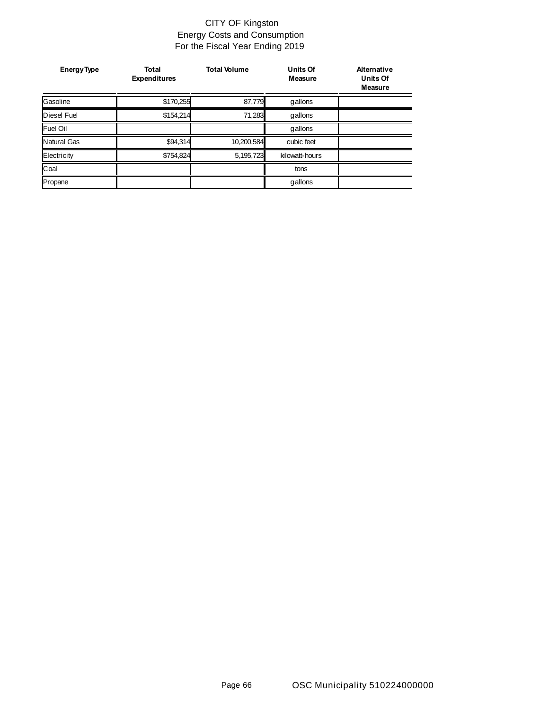## CITY OF Kingston Energy Costs and Consumption For the Fiscal Year Ending 2019

| <b>Energy Type</b> | <b>Total</b><br><b>Expenditures</b> | <b>Total Volume</b> | <b>Units Of</b><br><b>Measure</b> | <b>Alternative</b><br><b>Units Of</b><br>Measure |
|--------------------|-------------------------------------|---------------------|-----------------------------------|--------------------------------------------------|
| Gasoline           | \$170,255                           | 87,779              | gallons                           |                                                  |
| <b>Diesel Fuel</b> | \$154,214                           | 71,283              | gallons                           |                                                  |
| <b>Fuel Oil</b>    |                                     |                     | gallons                           |                                                  |
| Natural Gas        | \$94,314                            | 10,200,584          | cubic feet                        |                                                  |
| Electricity        | \$754,824                           | 5,195,723           | kilowatt-hours                    |                                                  |
| Coal               |                                     |                     | tons                              |                                                  |
| Propane            |                                     |                     | gallons                           |                                                  |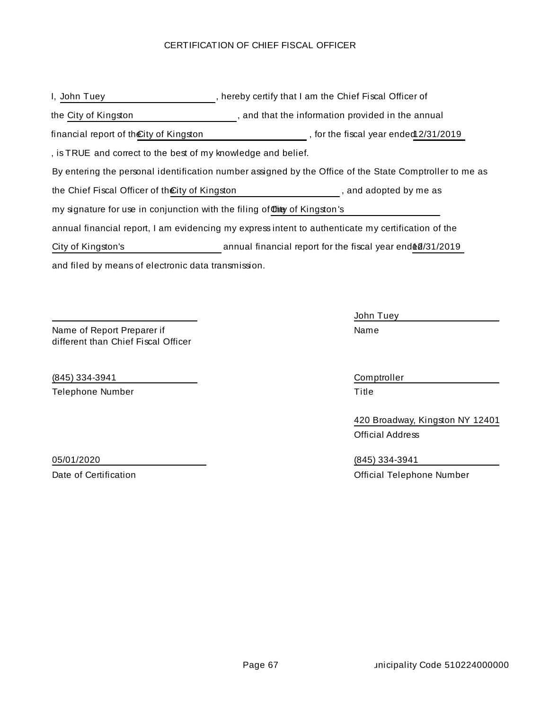### CERTIFICATION OF CHIEF FISCAL OFFICER

| I, John Tuey                                                              | , hereby certify that I am the Chief Fiscal Officer of                                                  |
|---------------------------------------------------------------------------|---------------------------------------------------------------------------------------------------------|
| the City of Kingston                                                      | , and that the information provided in the annual                                                       |
| financial report of the City of Kingston                                  | , for the fiscal year ended 2/31/2019                                                                   |
| , is TRUE and correct to the best of my knowledge and belief.             |                                                                                                         |
|                                                                           | By entering the personal identification number assigned by the Office of the State Comptroller to me as |
| the Chief Fiscal Officer of the City of Kingston                          | , and adopted by me as                                                                                  |
| my signature for use in conjunction with the filing of this of Kingston's |                                                                                                         |
|                                                                           | annual financial report, I am evidencing my express intent to authenticate my certification of the      |
| City of Kingston's                                                        | annual financial report for the fiscal year end \$0/31/2019                                             |
| and filed by means of electronic data transmission.                       |                                                                                                         |

Name of Report Preparer if different than Chief Fiscal Officer

(845) 334-3941 Comptroller Telephone Number Title

John Tuey Name

420 Broadway, Kingston NY 12401 Official Address

05/01/2020 (845) 334-3941 Date of Certification **Date of Certification Official Telephone Number**